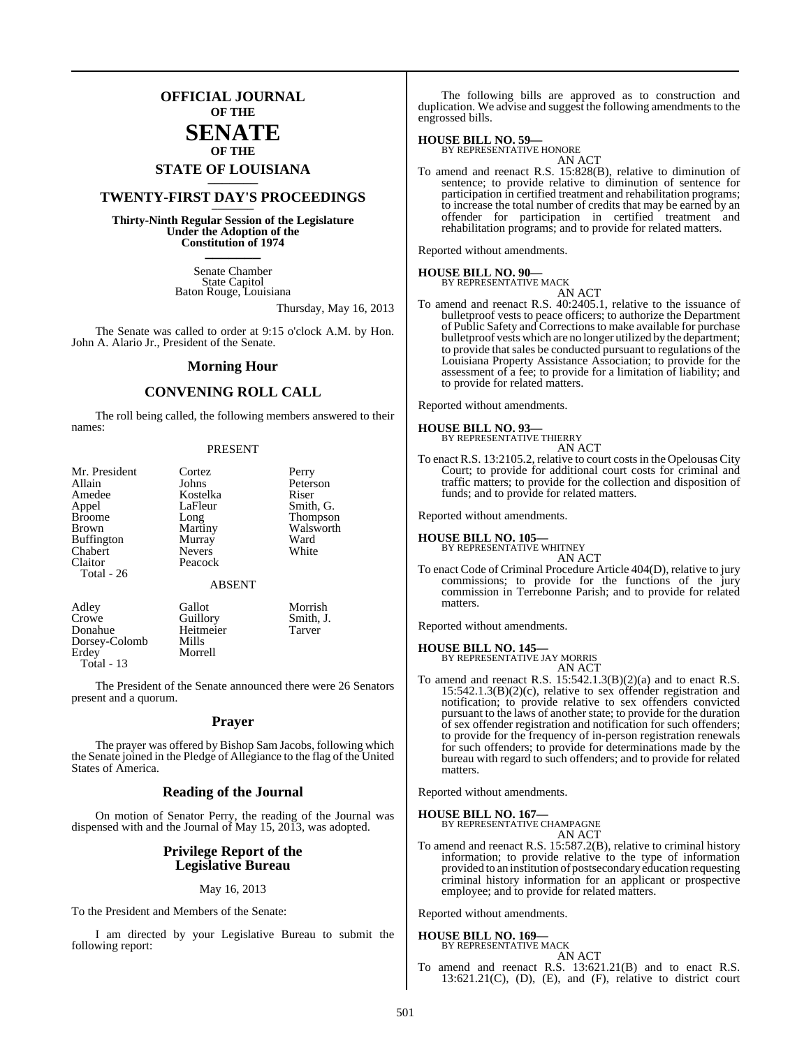## **OFFICIAL JOURNAL OF THE**

## **SENATE OF THE**

# **STATE OF LOUISIANA \_\_\_\_\_\_\_**

## **TWENTY-FIRST DAY'S PROCEEDINGS \_\_\_\_\_\_\_**

**Thirty-Ninth Regular Session of the Legislature Under the Adoption of the Constitution of 1974 \_\_\_\_\_\_\_**

> Senate Chamber State Capitol Baton Rouge, Louisiana

> > Thursday, May 16, 2013

The Senate was called to order at 9:15 o'clock A.M. by Hon. John A. Alario Jr., President of the Senate.

#### **Morning Hour**

#### **CONVENING ROLL CALL**

The roll being called, the following members answered to their names:

#### PRESENT

| Mr. President     | Cortez           | Perry                     |
|-------------------|------------------|---------------------------|
| Allain            | Johns            | Peterson                  |
| Amedee            | Kostelka         | Riser                     |
| Appel             | LaFleur          | Smith, G.                 |
| <b>Broome</b>     | Long             | Thompson                  |
| Brown             | Martiny          | Walsworth                 |
| <b>Buffington</b> | Murray           | Ward                      |
| Chabert           | <b>Nevers</b>    | White                     |
| Claitor           | Peacock          |                           |
| Total - 26        |                  |                           |
|                   | <b>ABSENT</b>    |                           |
| $\lambda$ 11      | $\sim$ 11 $\sim$ | $\mathbf{M}$ $\mathbf{I}$ |

| Adley             | Gallot    | Morrish   |
|-------------------|-----------|-----------|
| Crowe             | Guillory  | Smith, J. |
| Donahue           | Heitmeier | Tarver    |
| Dorsey-Colomb     | Mills     |           |
| Erdey             | Morrell   |           |
| <b>Total - 13</b> |           |           |

The President of the Senate announced there were 26 Senators present and a quorum.

#### **Prayer**

The prayer was offered by Bishop Sam Jacobs, following which the Senate joined in the Pledge of Allegiance to the flag of the United States of America.

#### **Reading of the Journal**

On motion of Senator Perry, the reading of the Journal was dispensed with and the Journal of May 15, 2013, was adopted.

#### **Privilege Report of the Legislative Bureau**

#### May 16, 2013

To the President and Members of the Senate:

I am directed by your Legislative Bureau to submit the following report:

The following bills are approved as to construction and duplication. We advise and suggest the following amendments to the engrossed bills.

#### **HOUSE BILL NO. 59—**

BY REPRESENTATIVE HONORE AN ACT

To amend and reenact R.S. 15:828(B), relative to diminution of sentence; to provide relative to diminution of sentence for participation in certified treatment and rehabilitation programs; to increase the total number of credits that may be earned by an offender for participation in certified treatment and rehabilitation programs; and to provide for related matters.

Reported without amendments.

## **HOUSE BILL NO. 90—** BY REPRESENTATIVE MACK

AN ACT To amend and reenact R.S. 40:2405.1, relative to the issuance of bulletproof vests to peace officers; to authorize the Department of Public Safety and Correctionsto make available for purchase bulletproof vests which are no longer utilized by the department; to provide that sales be conducted pursuant to regulations of the Louisiana Property Assistance Association; to provide for the assessment of a fee; to provide for a limitation of liability; and to provide for related matters.

Reported without amendments.

#### **HOUSE BILL NO. 93—**

BY REPRESENTATIVE THIERRY AN ACT

To enact R.S. 13:2105.2, relative to court costsin the Opelousas City Court; to provide for additional court costs for criminal and traffic matters; to provide for the collection and disposition of funds; and to provide for related matters.

Reported without amendments.

#### **HOUSE BILL NO. 105—**

BY REPRESENTATIVE WHITNEY AN ACT

To enact Code of Criminal Procedure Article 404(D), relative to jury commissions; to provide for the functions of the jury commission in Terrebonne Parish; and to provide for related matters.

Reported without amendments.

## **HOUSE BILL NO. 145—** BY REPRESENTATIVE JAY MORRIS

AN ACT

To amend and reenact R.S. 15:542.1.3(B)(2)(a) and to enact R.S. 15:542.1.3(B)(2)(c), relative to sex offender registration and notification; to provide relative to sex offenders convicted pursuant to the laws of another state; to provide for the duration of sex offender registration and notification for such offenders; to provide for the frequency of in-person registration renewals for such offenders; to provide for determinations made by the bureau with regard to such offenders; and to provide for related matters.

Reported without amendments.

## **HOUSE BILL NO. 167—** BY REPRESENTATIVE CHAMPAGNE

AN ACT

To amend and reenact R.S. 15:587.2(B), relative to criminal history information; to provide relative to the type of information provided to an institution of postsecondary education requesting criminal history information for an applicant or prospective employee; and to provide for related matters.

Reported without amendments.

## **HOUSE BILL NO. 169—**

BY REPRESENTATIVE MACK

AN ACT To amend and reenact R.S. 13:621.21(B) and to enact R.S.  $13:621.21(C)$ ,  $(D)$ ,  $(E)$ , and  $(F)$ , relative to district court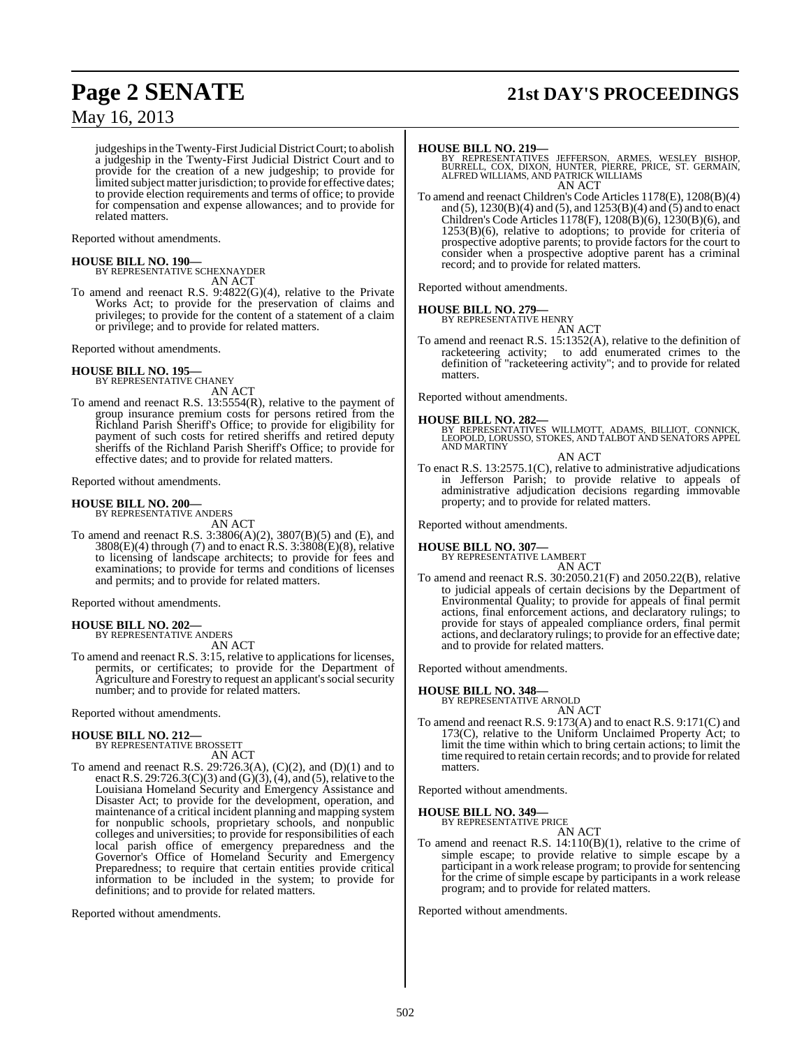# **Page 2 SENATE 21st DAY'S PROCEEDINGS**

## May 16, 2013

judgeships in the Twenty-First Judicial District Court; to abolish a judgeship in the Twenty-First Judicial District Court and to provide for the creation of a new judgeship; to provide for limited subject matter jurisdiction; to provide for effective dates; to provide election requirements and terms of office; to provide for compensation and expense allowances; and to provide for related matters.

Reported without amendments.

#### **HOUSE BILL NO. 190—**

BY REPRESENTATIVE SCHEXNAYDER AN ACT

To amend and reenact R.S. 9:4822(G)(4), relative to the Private Works Act; to provide for the preservation of claims and privileges; to provide for the content of a statement of a claim or privilege; and to provide for related matters.

Reported without amendments.

**HOUSE BILL NO. 195—** BY REPRESENTATIVE CHANEY AN ACT

To amend and reenact R.S. 13:5554(R), relative to the payment of group insurance premium costs for persons retired from the Richland Parish Sheriff's Office; to provide for eligibility for payment of such costs for retired sheriffs and retired deputy sheriffs of the Richland Parish Sheriff's Office; to provide for effective dates; and to provide for related matters.

Reported without amendments.

# **HOUSE BILL NO. 200—** BY REPRESENTATIVE ANDERS

AN ACT

To amend and reenact R.S. 3:3806(A)(2), 3807(B)(5) and (E), and  $3808(E)(4)$  through (7) and to enact R.S.  $3:3808(E)(8)$ , relative to licensing of landscape architects; to provide for fees and examinations; to provide for terms and conditions of licenses and permits; and to provide for related matters.

Reported without amendments.

**HOUSE BILL NO. 202—** BY REPRESENTATIVE ANDERS

AN ACT

To amend and reenact R.S. 3:15, relative to applications for licenses, permits, or certificates; to provide for the Department of Agriculture and Forestry to request an applicant's social security number; and to provide for related matters.

Reported without amendments.

## **HOUSE BILL NO. 212—** BY REPRESENTATIVE BROSSETT

AN ACT

To amend and reenact R.S. 29:726.3(A), (C)(2), and (D)(1) and to enact R.S. 29:726.3(C)(3) and (G)(3), (4), and (5), relative to the Louisiana Homeland Security and Emergency Assistance and Disaster Act; to provide for the development, operation, and maintenance of a critical incident planning and mapping system for nonpublic schools, proprietary schools, and nonpublic colleges and universities; to provide for responsibilities of each local parish office of emergency preparedness and the Governor's Office of Homeland Security and Emergency Preparedness; to require that certain entities provide critical information to be included in the system; to provide for definitions; and to provide for related matters.

Reported without amendments.

#### **HOUSE BILL NO. 219—**

BY REPRESENTATIVES JEFFERSON, ARMES, WESLEY BISHOP,<br>BURRELL, COX, DIXON, HUNTER, PIERRE, PRICE, ST. GERMAIN,<br>ALFRED WILLIAMS, AND PATRICK WILLIAMS AN ACT

To amend and reenact Children's Code Articles 1178(E), 1208(B)(4) and (5),  $1230(B)(4)$  and (5), and  $1253(B)(4)$  and  $(5)$  and to enact Children's Code Articles  $1178$ (F),  $1208$ (B)(6),  $1230$ (B)(6), and 1253(B)(6), relative to adoptions; to provide for criteria of prospective adoptive parents; to provide factors for the court to consider when a prospective adoptive parent has a criminal record; and to provide for related matters.

Reported without amendments.

#### **HOUSE BILL NO. 279—**

BY REPRESENTATIVE HENRY

AN ACT To amend and reenact R.S. 15:1352(A), relative to the definition of racketeering activity; to add enumerated crimes to the definition of "racketeering activity"; and to provide for related matters.

Reported without amendments.

#### **HOUSE BILL NO. 282—**

BY REPRESENTATIVES WILLMOTT, ADAMS, BILLIOT, CONNICK, LEOPOLD, LORUSSO, STOKES, AND TALBOT AND SENATORS APPEL AND MARTINY

AN ACT

To enact R.S. 13:2575.1(C), relative to administrative adjudications in Jefferson Parish; to provide relative to appeals of administrative adjudication decisions regarding immovable property; and to provide for related matters.

Reported without amendments.

#### **HOUSE BILL NO. 307—**

BY REPRESENTATIVE LAMBERT

- AN ACT
- To amend and reenact R.S. 30:2050.21(F) and 2050.22(B), relative to judicial appeals of certain decisions by the Department of Environmental Quality; to provide for appeals of final permit actions, final enforcement actions, and declaratory rulings; to provide for stays of appealed compliance orders, final permit actions, and declaratory rulings; to provide for an effective date; and to provide for related matters.

Reported without amendments.

#### **HOUSE BILL NO. 348—**

BY REPRESENTATIVE ARNOLD AN ACT

To amend and reenact R.S. 9:173(A) and to enact R.S. 9:171(C) and 173(C), relative to the Uniform Unclaimed Property Act; to limit the time within which to bring certain actions; to limit the time required to retain certain records; and to provide for related matters.

Reported without amendments.

#### **HOUSE BILL NO. 349—**

BY REPRESENTATIVE PRICE

AN ACT To amend and reenact R.S. 14:110(B)(1), relative to the crime of simple escape; to provide relative to simple escape by a participant in a work release program; to provide for sentencing for the crime of simple escape by participants in a work release program; and to provide for related matters.

Reported without amendments.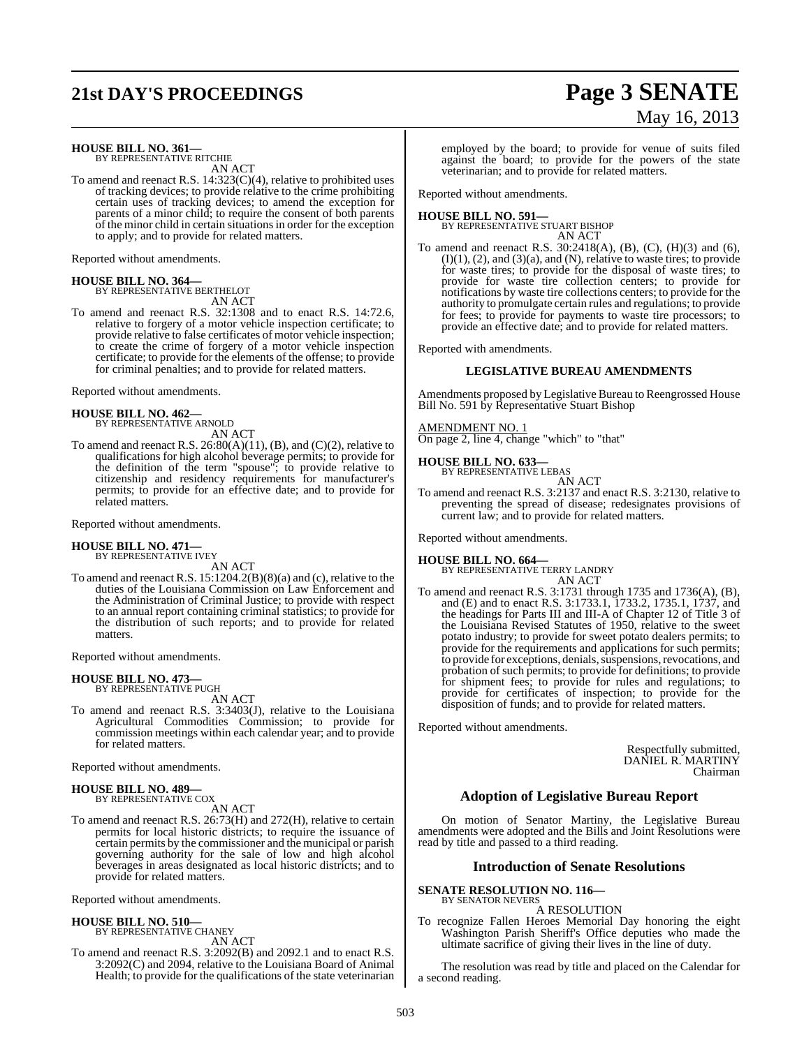# **21st DAY'S PROCEEDINGS Page 3 SENATE**

# May 16, 2013

**HOUSE BILL NO. 361—** BY REPRESENTATIVE RITCHIE

AN ACT

To amend and reenact R.S. 14:323(C)(4), relative to prohibited uses of tracking devices; to provide relative to the crime prohibiting certain uses of tracking devices; to amend the exception for parents of a minor child; to require the consent of both parents of the minor child in certain situationsin order for the exception to apply; and to provide for related matters.

Reported without amendments.

**HOUSE BILL NO. 364—** BY REPRESENTATIVE BERTHELOT

AN ACT

To amend and reenact R.S. 32:1308 and to enact R.S. 14:72.6, relative to forgery of a motor vehicle inspection certificate; to provide relative to false certificates of motor vehicle inspection; to create the crime of forgery of a motor vehicle inspection certificate; to provide for the elements of the offense; to provide for criminal penalties; and to provide for related matters.

Reported without amendments.

# **HOUSE BILL NO. 462—** BY REPRESENTATIVE ARNOLD

AN ACT

To amend and reenact R.S.  $26:80(A)(11)$ , (B), and (C)(2), relative to qualifications for high alcohol beverage permits; to provide for the definition of the term "spouse"; to provide relative to citizenship and residency requirements for manufacturer's permits; to provide for an effective date; and to provide for related matters.

Reported without amendments.

#### **HOUSE BILL NO. 471** BY REPRESENTATIVE IVEY

AN ACT

To amend and reenact R.S. 15:1204.2(B)(8)(a) and (c), relative to the duties of the Louisiana Commission on Law Enforcement and the Administration of Criminal Justice; to provide with respect to an annual report containing criminal statistics; to provide for the distribution of such reports; and to provide for related matters.

Reported without amendments.

# **HOUSE BILL NO. 473—** BY REPRESENTATIVE PUGH

AN ACT

To amend and reenact R.S. 3:3403(J), relative to the Louisiana Agricultural Commodities Commission; to provide for commission meetings within each calendar year; and to provide for related matters.

Reported without amendments.

#### **HOUSE BILL NO. 489—** BY REPRESENTATIVE COX

AN ACT

To amend and reenact R.S. 26:73(H) and 272(H), relative to certain permits for local historic districts; to require the issuance of certain permits by the commissioner and the municipal or parish governing authority for the sale of low and high alcohol beverages in areas designated as local historic districts; and to provide for related matters.

Reported without amendments.

#### **HOUSE BILL NO. 510—**

BY REPRESENTATIVE CHANEY AN ACT

To amend and reenact R.S. 3:2092(B) and 2092.1 and to enact R.S. 3:2092(C) and 2094, relative to the Louisiana Board of Animal Health; to provide for the qualifications of the state veterinarian employed by the board; to provide for venue of suits filed against the board; to provide for the powers of the state veterinarian; and to provide for related matters.

Reported without amendments.

#### **HOUSE BILL NO. 591—** BY REPRESENTATIVE STUART BISHOP AN ACT

To amend and reenact R.S. 30:2418(A), (B), (C), (H)(3) and (6),  $(I)(1)$ ,  $(2)$ , and  $(3)(a)$ , and  $(N)$ , relative to waste tires; to provide for waste tires; to provide for the disposal of waste tires; to provide for waste tire collection centers; to provide for notifications by waste tire collections centers; to provide for the authority to promulgate certain rules and regulations; to provide for fees; to provide for payments to waste tire processors; to provide an effective date; and to provide for related matters.

Reported with amendments.

#### **LEGISLATIVE BUREAU AMENDMENTS**

Amendments proposed by Legislative Bureau to Reengrossed House Bill No. 591 by Representative Stuart Bishop

#### AMENDMENT NO. 1

On page 2, line 4, change "which" to "that"

**HOUSE BILL NO. 633—** BY REPRESENTATIVE LEBAS

AN ACT

To amend and reenact R.S. 3:2137 and enact R.S. 3:2130, relative to preventing the spread of disease; redesignates provisions of current law; and to provide for related matters.

Reported without amendments.

#### **HOUSE BILL NO. 664—**

BY REPRESENTATIVE TERRY LANDRY AN ACT

To amend and reenact R.S. 3:1731 through 1735 and 1736(A), (B), and (E) and to enact R.S. 3:1733.1, 1733.2, 1735.1, 1737, and the headings for Parts III and III-A of Chapter 12 of Title 3 of the Louisiana Revised Statutes of 1950, relative to the sweet potato industry; to provide for sweet potato dealers permits; to provide for the requirements and applications for such permits; to provide for exceptions, denials, suspensions, revocations, and probation of such permits; to provide for definitions; to provide for shipment fees; to provide for rules and regulations; to provide for certificates of inspection; to provide for the disposition of funds; and to provide for related matters.

Reported without amendments.

Respectfully submitted, DANIEL R. MARTINY Chairman

## **Adoption of Legislative Bureau Report**

On motion of Senator Martiny, the Legislative Bureau amendments were adopted and the Bills and Joint Resolutions were read by title and passed to a third reading.

#### **Introduction of Senate Resolutions**

**SENATE RESOLUTION NO. 116—** BY SENATOR NEVERS

A RESOLUTION

To recognize Fallen Heroes Memorial Day honoring the eight Washington Parish Sheriff's Office deputies who made the ultimate sacrifice of giving their lives in the line of duty.

The resolution was read by title and placed on the Calendar for a second reading.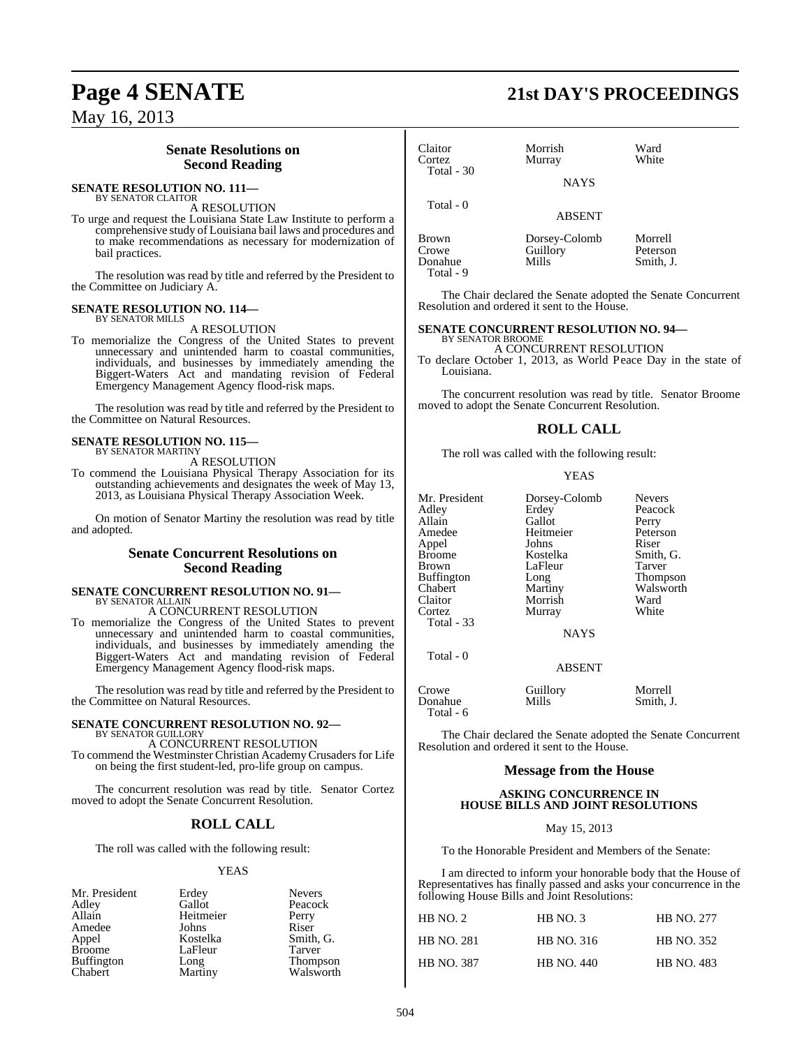### **Senate Resolutions on Second Reading**

#### **SENATE RESOLUTION NO. 111—** BY SENATOR CLAITOR

A RESOLUTION

To urge and request the Louisiana State Law Institute to perform a comprehensive study of Louisiana bail laws and procedures and to make recommendations as necessary for modernization of bail practices.

The resolution was read by title and referred by the President to the Committee on Judiciary A.

#### **SENATE RESOLUTION NO. 114—** BY SENATOR MILLS

A RESOLUTION

To memorialize the Congress of the United States to prevent unnecessary and unintended harm to coastal communities, individuals, and businesses by immediately amending the Biggert-Waters Act and mandating revision of Federal Emergency Management Agency flood-risk maps.

The resolution was read by title and referred by the President to the Committee on Natural Resources.

#### **SENATE RESOLUTION NO. 115—** BY SENATOR MARTINY

A RESOLUTION

To commend the Louisiana Physical Therapy Association for its outstanding achievements and designates the week of May 13, 2013, as Louisiana Physical Therapy Association Week.

On motion of Senator Martiny the resolution was read by title and adopted.

#### **Senate Concurrent Resolutions on Second Reading**

#### **SENATE CONCURRENT RESOLUTION NO. 91—** BY SENATOR ALLAIN

A CONCURRENT RESOLUTION

To memorialize the Congress of the United States to prevent unnecessary and unintended harm to coastal communities, individuals, and businesses by immediately amending the Biggert-Waters Act and mandating revision of Federal Emergency Management Agency flood-risk maps.

The resolution was read by title and referred by the President to the Committee on Natural Resources.

#### **SENATE CONCURRENT RESOLUTION NO. 92—** BY SENATOR GUILLORY

A CONCURRENT RESOLUTION To commend the Westminster Christian AcademyCrusaders for Life on being the first student-led, pro-life group on campus.

The concurrent resolution was read by title. Senator Cortez moved to adopt the Senate Concurrent Resolution.

## **ROLL CALL**

The roll was called with the following result:

#### YEAS

| Mr. President     | Erdey     | <b>Nevers</b> |
|-------------------|-----------|---------------|
| Adley             | Gallot    | Peacock       |
| Allain            | Heitmeier | Perry         |
| Amedee            | Johns     | Riser         |
| Appel             | Kostelka  | Smith, G.     |
| <b>Broome</b>     | LaFleur   | Tarver        |
| <b>Buffington</b> | Long      | Thompson      |
| Chabert           | Martiny   | Walsworth     |

## **Page 4 SENATE 21st DAY'S PROCEEDINGS**

| Claitor<br>Cortez<br>Total - 30 | Morrish<br>Murray<br><b>NAYS</b>   | Ward<br>White                    |
|---------------------------------|------------------------------------|----------------------------------|
| Total - 0                       | <b>ABSENT</b>                      |                                  |
| Brown<br>Crowe<br>Donahue       | Dorsey-Colomb<br>Guillory<br>Mills | Morrell<br>Peterson<br>Smith, J. |

The Chair declared the Senate adopted the Senate Concurrent Resolution and ordered it sent to the House.

## **SENATE CONCURRENT RESOLUTION NO. 94—** BY SENATOR BROOME

Total - 9

A CONCURRENT RESOLUTION

To declare October 1, 2013, as World Peace Day in the state of Louisiana.

The concurrent resolution was read by title. Senator Broome moved to adopt the Senate Concurrent Resolution.

#### **ROLL CALL**

The roll was called with the following result:

#### **YEAS**

| Mr. President | Dorsey-Colomb | <b>Nevers</b>   |
|---------------|---------------|-----------------|
| Adley         | Erdey         | Peacock         |
|               |               |                 |
| Allain        | Gallot        | Perry           |
| Amedee        | Heitmeier     | Peterson        |
| Appel         | Johns         | Riser           |
| Broome        | Kostelka      | Smith, G.       |
| Brown         | LaFleur       | Tarver          |
| Buffington    | Long          | <b>Thompson</b> |
| Chabert       | Martiny       | Walsworth       |
| Claitor       | Morrish       | Ward            |
| Cortez        | Murray        | White           |
| Total - 33    |               |                 |
|               | <b>NAYS</b>   |                 |
| Total - 0     |               |                 |
|               | <b>ABSENT</b> |                 |
|               |               |                 |

Crowe Guillory Morrell<br>
Donahue Mills Smith, J. Donahue Total - 6

The Chair declared the Senate adopted the Senate Concurrent Resolution and ordered it sent to the House.

#### **Message from the House**

#### **ASKING CONCURRENCE IN HOUSE BILLS AND JOINT RESOLUTIONS**

May 15, 2013

To the Honorable President and Members of the Senate:

I am directed to inform your honorable body that the House of Representatives has finally passed and asks your concurrence in the following House Bills and Joint Resolutions:

| HB NO. 2          | HB NO.3           | <b>HB NO. 277</b> |
|-------------------|-------------------|-------------------|
| <b>HB NO. 281</b> | <b>HB NO. 316</b> | <b>HB NO. 352</b> |
| <b>HB NO. 387</b> | <b>HB NO. 440</b> | <b>HB NO. 483</b> |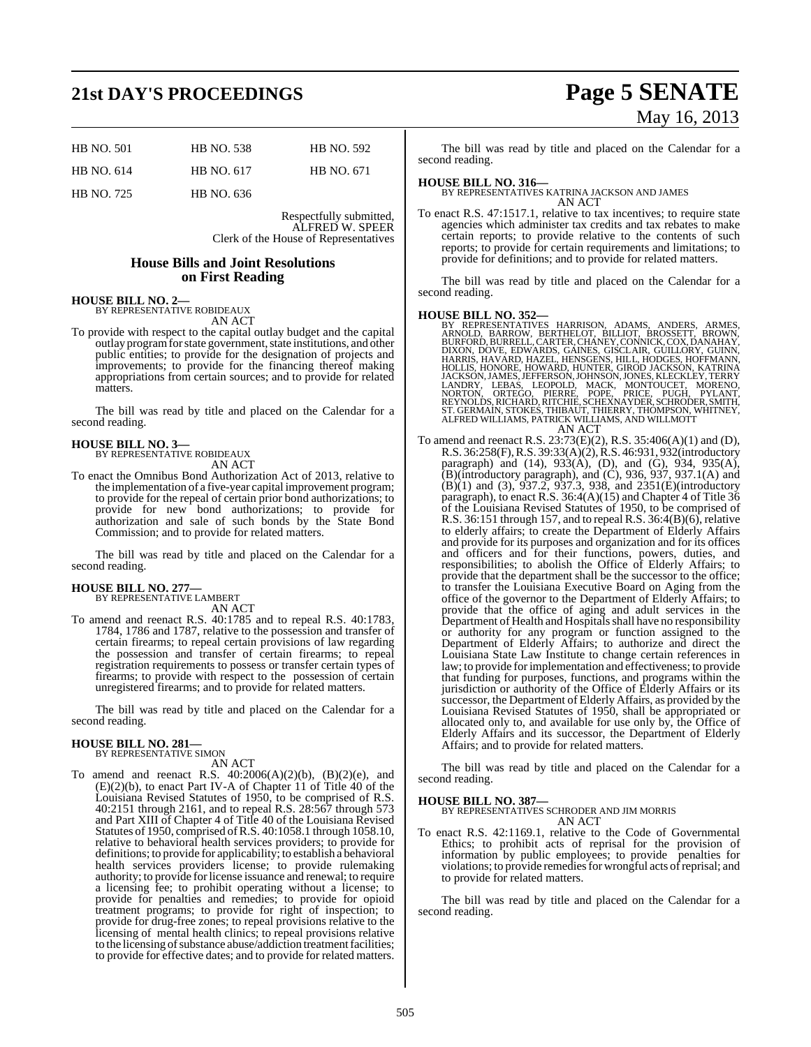# **21st DAY'S PROCEEDINGS Page 5 SENATE**

| <b>HB NO. 501</b> | <b>HB NO. 538</b> | <b>HB NO. 592</b> |
|-------------------|-------------------|-------------------|
| HB NO. 614        | HB NO. 617        | HB NO. 671        |
| <b>HB NO. 725</b> | HB NO. 636        |                   |

Respectfully submitted, ALFRED W. SPEER Clerk of the House of Representatives

#### **House Bills and Joint Resolutions on First Reading**

## **HOUSE BILL NO. 2—** BY REPRESENTATIVE ROBIDEAUX

AN ACT

To provide with respect to the capital outlay budget and the capital outlay programfor state government, state institutions, and other public entities; to provide for the designation of projects and improvements; to provide for the financing thereof making appropriations from certain sources; and to provide for related matters.

The bill was read by title and placed on the Calendar for a second reading.

## **HOUSE BILL NO. 3—** BY REPRESENTATIVE ROBIDEAUX

AN ACT

To enact the Omnibus Bond Authorization Act of 2013, relative to the implementation of a five-year capital improvement program; to provide for the repeal of certain prior bond authorizations; to provide for new bond authorizations; to provide for authorization and sale of such bonds by the State Bond Commission; and to provide for related matters.

The bill was read by title and placed on the Calendar for a second reading.

#### **HOUSE BILL NO. 277—** BY REPRESENTATIVE LAMBERT

AN ACT

To amend and reenact R.S. 40:1785 and to repeal R.S. 40:1783, 1784, 1786 and 1787, relative to the possession and transfer of certain firearms; to repeal certain provisions of law regarding the possession and transfer of certain firearms; to repeal registration requirements to possess or transfer certain types of firearms; to provide with respect to the possession of certain unregistered firearms; and to provide for related matters.

The bill was read by title and placed on the Calendar for a second reading.

#### **HOUSE BILL NO. 281—**

BY REPRESENTATIVE SIMON

AN ACT To amend and reenact R.S.  $40:2006(A)(2)(b)$ ,  $(B)(2)(e)$ , and (E)(2)(b), to enact Part IV-A of Chapter 11 of Title 40 of the Louisiana Revised Statutes of 1950, to be comprised of R.S. 40:2151 through 2161, and to repeal R.S. 28:567 through 573 and Part XIII of Chapter 4 of Title 40 of the Louisiana Revised Statutes of 1950, comprised ofR.S. 40:1058.1 through 1058.10, relative to behavioral health services providers; to provide for definitions; to provide for applicability; to establish a behavioral health services providers license; to provide rulemaking authority; to provide forlicense issuance and renewal; to require a licensing fee; to prohibit operating without a license; to provide for penalties and remedies; to provide for opioid treatment programs; to provide for right of inspection; to provide for drug-free zones; to repeal provisions relative to the licensing of mental health clinics; to repeal provisions relative to the licensing of substance abuse/addiction treatment facilities; to provide for effective dates; and to provide for related matters.

May 16, 2013

The bill was read by title and placed on the Calendar for a second reading.

**HOUSE BILL NO. 316—** BY REPRESENTATIVES KATRINA JACKSON AND JAMES AN ACT

To enact R.S. 47:1517.1, relative to tax incentives; to require state agencies which administer tax credits and tax rebates to make certain reports; to provide relative to the contents of such reports; to provide for certain requirements and limitations; to provide for definitions; and to provide for related matters.

The bill was read by title and placed on the Calendar for a second reading.

#### **HOUSE BILL NO. 352—**

- BY REPRESENTATIVES HARRISON, ADAMS, ANDERS, ARMES, ARNOLD, BARROW, BERTHELOT, BILLIOT, BROSSETT, BROWN, BURFORD, BURRELL, CARTER, CHANEY, CONNICK, COX, DANAHAY, DIXON, DOVE, EDWARDS, GAINES, GISCLAIR, GUILLORY, GUINN, HOLL AN ACT
- To amend and reenact R.S. 23:73(E)(2), R.S. 35:406(A)(1) and (D), R.S. 36:258(F), R.S. 39:33(A)(2), R.S. 46:931, 932(introductory paragraph) and (14), 933(A), (D), and (G), 934, 935(A),  $(B)$ (introductory paragraph), and  $(C)$ , 936, 937, 937.1 $(A)$  and  $(B)(1)$  and  $(3)$ ,  $937.2$ ,  $937.3$ ,  $938$ , and  $2351(E)$ (introductory paragraph), to enact R.S.  $36:4(A)(15)$  and Chapter 4 of Title 36 of the Louisiana Revised Statutes of 1950, to be comprised of R.S. 36:151 through 157, and to repeal R.S. 36:4(B)(6), relative to elderly affairs; to create the Department of Elderly Affairs and provide for its purposes and organization and for its offices and officers and for their functions, powers, duties, and responsibilities; to abolish the Office of Elderly Affairs; to provide that the department shall be the successor to the office; to transfer the Louisiana Executive Board on Aging from the office of the governor to the Department of Elderly Affairs; to provide that the office of aging and adult services in the Department of Health and Hospitals shall have no responsibility or authority for any program or function assigned to the Department of Elderly Affairs; to authorize and direct the Louisiana State Law Institute to change certain references in law; to provide forimplementation and effectiveness; to provide that funding for purposes, functions, and programs within the jurisdiction or authority of the Office of Elderly Affairs or its successor, the Department of Elderly Affairs, as provided by the Louisiana Revised Statutes of 1950, shall be appropriated or allocated only to, and available for use only by, the Office of Elderly Affairs and its successor, the Department of Elderly Affairs; and to provide for related matters.

The bill was read by title and placed on the Calendar for a second reading.

**HOUSE BILL NO. 387—** BY REPRESENTATIVES SCHRODER AND JIM MORRIS AN ACT

To enact R.S. 42:1169.1, relative to the Code of Governmental Ethics; to prohibit acts of reprisal for the provision of information by public employees; to provide penalties for violations; to provide remedies for wrongful acts of reprisal; and to provide for related matters.

The bill was read by title and placed on the Calendar for a second reading.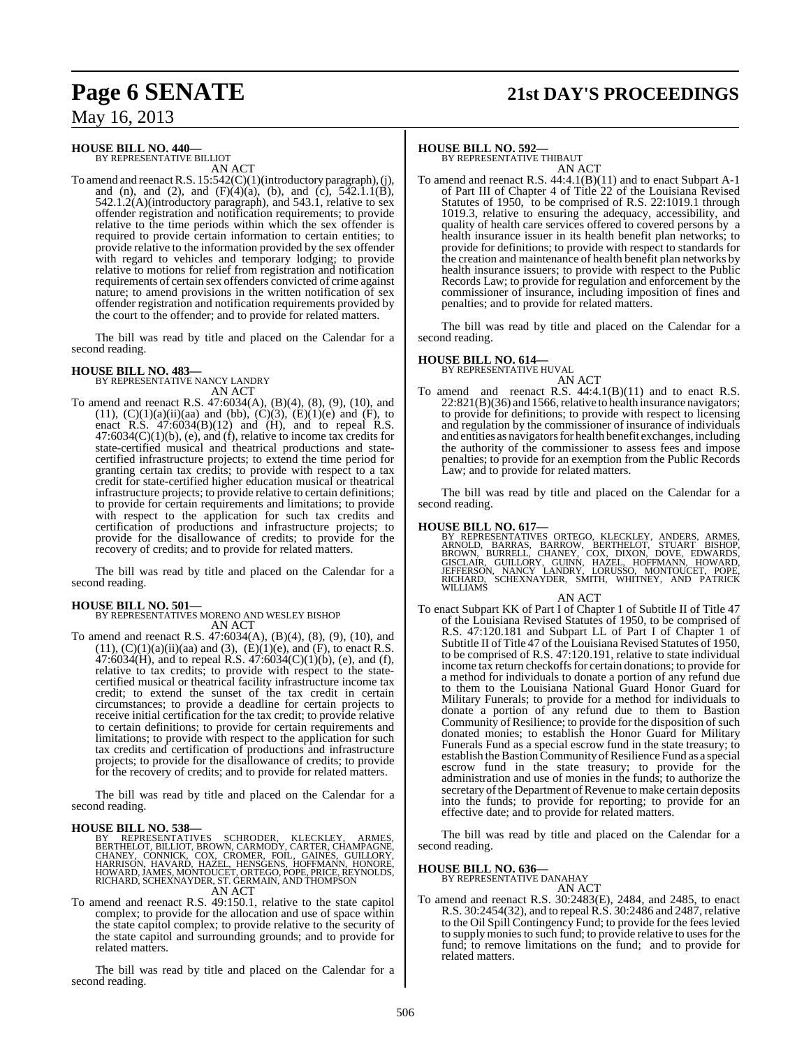## **Page 6 SENATE 21st DAY'S PROCEEDINGS**

May 16, 2013

#### **HOUSE BILL NO. 440—** BY REPRESENTATIVE BILLIOT

AN ACT

To amend and reenactR.S. 15:542(C)(1)(introductory paragraph), (j), and (n), and (2), and  $(F)(4)(a)$ , (b), and  $(c)$ ,  $542.1.1(B)$ , 542.1.2(A)(introductory paragraph), and 543.1, relative to sex offender registration and notification requirements; to provide relative to the time periods within which the sex offender is required to provide certain information to certain entities; to provide relative to the information provided by the sex offender with regard to vehicles and temporary lodging; to provide relative to motions for relief from registration and notification requirements of certain sex offenders convicted of crime against nature; to amend provisions in the written notification of sex offender registration and notification requirements provided by the court to the offender; and to provide for related matters.

The bill was read by title and placed on the Calendar for a second reading.

**HOUSE BILL NO. 483—** BY REPRESENTATIVE NANCY LANDRY AN ACT

To amend and reenact R.S. 47:6034(A), (B)(4), (8), (9), (10), and (11),  $(C)(1)(a)(ii)(aa)$  and (bb),  $(C)(3)$ ,  $(E)(1)(e)$  and  $(F)$ , to enact R.S.  $47:6034(B)(12)$  and  $(H)$ , and to repeal R.S.  $47:6034(C)(1)(b)$ , (e), and (f), relative to income tax credits for state-certified musical and theatrical productions and statecertified infrastructure projects; to extend the time period for granting certain tax credits; to provide with respect to a tax credit for state-certified higher education musical or theatrical infrastructure projects; to provide relative to certain definitions; to provide for certain requirements and limitations; to provide with respect to the application for such tax credits and certification of productions and infrastructure projects; to provide for the disallowance of credits; to provide for the recovery of credits; and to provide for related matters.

The bill was read by title and placed on the Calendar for a second reading.

**HOUSE BILL NO. 501—** BY REPRESENTATIVES MORENO AND WESLEY BISHOP AN ACT

To amend and reenact R.S. 47:6034(A), (B)(4), (8), (9), (10), and  $(11)$ ,  $(C)(1)(a)(ii)(aa)$  and  $(3)$ ,  $(E)(1)(e)$ , and  $(F)$ , to enact R.S.  $47:6034$ (H), and to repeal R.S.  $47:6034$ (C)(1)(b), (e), and (f), relative to tax credits; to provide with respect to the statecertified musical or theatrical facility infrastructure income tax credit; to extend the sunset of the tax credit in certain circumstances; to provide a deadline for certain projects to receive initial certification for the tax credit; to provide relative to certain definitions; to provide for certain requirements and limitations; to provide with respect to the application for such tax credits and certification of productions and infrastructure projects; to provide for the disallowance of credits; to provide for the recovery of credits; and to provide for related matters.

The bill was read by title and placed on the Calendar for a second reading.

HOUSE BILL NO. 538—<br>BY REPRESENTATIVES SCHRODER, KLECKLEY, ARMES, BERTHELOT, BILLIOT, BROWN, CARMODY, CARTER, CHAMPAGNE, CHANEY, CONNICK, COX, CROMER, FOIL, GAINES, GUILLORY, HARRISON, HAVARD, HAZEL, HENSGENS, HOFFMANN, HO

To amend and reenact R.S. 49:150.1, relative to the state capitol complex; to provide for the allocation and use of space within the state capitol complex; to provide relative to the security of the state capitol and surrounding grounds; and to provide for related matters.

The bill was read by title and placed on the Calendar for a second reading.

#### **HOUSE BILL NO. 592—**

BY REPRESENTATIVE THIBAUT AN ACT

To amend and reenact R.S. 44:4.1(B)(11) and to enact Subpart A-1 of Part III of Chapter 4 of Title 22 of the Louisiana Revised Statutes of 1950, to be comprised of R.S. 22:1019.1 through 1019.3, relative to ensuring the adequacy, accessibility, and quality of health care services offered to covered persons by a health insurance issuer in its health benefit plan networks; to provide for definitions; to provide with respect to standards for the creation and maintenance of health benefit plan networks by health insurance issuers; to provide with respect to the Public Records Law; to provide for regulation and enforcement by the commissioner of insurance, including imposition of fines and penalties; and to provide for related matters.

The bill was read by title and placed on the Calendar for a second reading.

#### **HOUSE BILL NO. 614—**

BY REPRESENTATIVE HUVAL

AN ACT To amend and reenact R.S.  $44:4.1(B)(11)$  and to enact R.S.  $22:821(B)(36)$  and 1566, relative to health insurance navigators; to provide for definitions; to provide with respect to licensing and regulation by the commissioner of insurance of individuals and entities as navigators for health benefit exchanges, including the authority of the commissioner to assess fees and impose penalties; to provide for an exemption from the Public Records Law; and to provide for related matters.

The bill was read by title and placed on the Calendar for a second reading.

**HOUSE BILL NO. 617—**<br>BY REPRESENTATIVES ORTEGO, KLECKLEY, ANDERS, ARMES, ARNOLD, BARRAS, BARROW, BERTHELOT, STUART BISHOP,<br>BROWN, BURRELL, CHANEY, COX, DIXON, DOVE, EDWARDS,<br>GISCLAIR, GUILLORY, GUINN, HAZEL, HOFFMANN, HOW

#### AN ACT

To enact Subpart KK of Part I of Chapter 1 of Subtitle II of Title 47 of the Louisiana Revised Statutes of 1950, to be comprised of R.S. 47:120.181 and Subpart LL of Part I of Chapter 1 of Subtitle II of Title 47 of the Louisiana Revised Statutes of 1950, to be comprised of R.S. 47:120.191, relative to state individual income tax return checkoffs for certain donations; to provide for a method for individuals to donate a portion of any refund due to them to the Louisiana National Guard Honor Guard for Military Funerals; to provide for a method for individuals to donate a portion of any refund due to them to Bastion Community of Resilience; to provide for the disposition of such donated monies; to establish the Honor Guard for Military Funerals Fund as a special escrow fund in the state treasury; to establish the Bastion Community of Resilience Fund as a special escrow fund in the state treasury; to provide for the administration and use of monies in the funds; to authorize the secretary of the Department of Revenue to make certain deposits into the funds; to provide for reporting; to provide for an effective date; and to provide for related matters.

The bill was read by title and placed on the Calendar for a second reading.

#### **HOUSE BILL NO. 636—**

BY REPRESENTATIVE DANAHAY AN ACT

To amend and reenact R.S. 30:2483(E), 2484, and 2485, to enact R.S. 30:2454(32), and to repeal R.S. 30:2486 and 2487, relative to the Oil Spill Contingency Fund; to provide for the fees levied to supply monies to such fund; to provide relative to uses for the fund; to remove limitations on the fund; and to provide for related matters.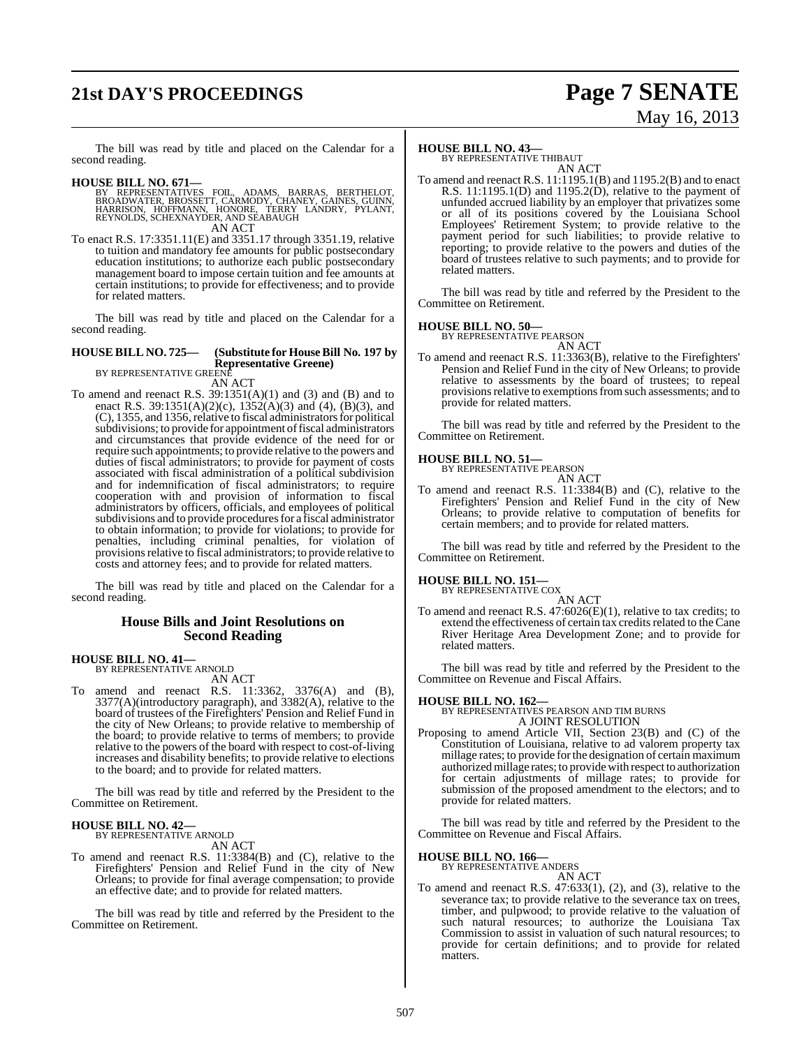# **21st DAY'S PROCEEDINGS Page 7 SENATE**

# May 16, 2013

The bill was read by title and placed on the Calendar for a second reading.

- **HOUSE BILL NO. 671—**<br>BY REPRESENTATIVES FOIL, ADAMS, BARRAS, BERTHELOT, BROADWATER, BROSSETT, CARMODY, CHANEY, GAINES, GUINN, HARRISON, HOFFMANN, HONORE, TERRY LANDRY, PYLANT, REYNOLDS, SCHEXNAYDER, AND SEABAUGH AN ACT
- To enact R.S. 17:3351.11(E) and 3351.17 through 3351.19, relative To enact R.S. 17:3351.11(E) and 3351.17 through 3351.19, relative to tuition and mandatory fee amounts for public postsecondary education institutions; to authorize each public postsecondary management board to impose certain tuition and fee amounts at certain institutions; to provide for effectiveness; and to provide for related matters.

The bill was read by title and placed on the Calendar for a second reading.

## **HOUSE BILL NO. 725— (Substitute for HouseBill No. 197 by Representative Greene)** BY REPRESENTATIVE GREENE

AN ACT

To amend and reenact R.S.  $39:1351(A)(1)$  and  $(3)$  and  $(B)$  and to enact R.S. 39:1351(A)(2)(c), 1352(A)(3) and (4), (B)(3), and  $(C)$ , 1355, and 1356, relative to fiscal administrators for political subdivisions; to provide for appointment of fiscal administrators and circumstances that provide evidence of the need for or require such appointments; to provide relative to the powers and duties of fiscal administrators; to provide for payment of costs associated with fiscal administration of a political subdivision and for indemnification of fiscal administrators; to require cooperation with and provision of information to fiscal administrators by officers, officials, and employees of political subdivisions and to provide procedures for a fiscal administrator to obtain information; to provide for violations; to provide for penalties, including criminal penalties, for violation of provisions relative to fiscal administrators; to provide relative to costs and attorney fees; and to provide for related matters.

The bill was read by title and placed on the Calendar for a second reading.

#### **House Bills and Joint Resolutions on Second Reading**

#### **HOUSE BILL NO. 41—**

BY REPRESENTATIVE ARNOLD AN ACT

To amend and reenact R.S. 11:3362, 3376(A) and (B), 3377(A)(introductory paragraph), and 3382(A), relative to the board of trustees of the Firefighters' Pension and Relief Fund in the city of New Orleans; to provide relative to membership of the board; to provide relative to terms of members; to provide relative to the powers of the board with respect to cost-of-living increases and disability benefits; to provide relative to elections to the board; and to provide for related matters.

The bill was read by title and referred by the President to the Committee on Retirement.

#### **HOUSE BILL NO. 42—** BY REPRESENTATIVE ARNOLD

AN ACT

To amend and reenact R.S. 11:3384(B) and (C), relative to the Firefighters' Pension and Relief Fund in the city of New Orleans; to provide for final average compensation; to provide an effective date; and to provide for related matters.

The bill was read by title and referred by the President to the Committee on Retirement.

#### **HOUSE BILL NO. 43—**

BY REPRESENTATIVE THIBAUT AN ACT

To amend and reenact R.S. 11:1195.1(B) and 1195.2(B) and to enact R.S.  $11:1195.1(D)$  and  $1195.2(D)$ , relative to the payment of unfunded accrued liability by an employer that privatizes some or all of its positions covered by the Louisiana School Employees' Retirement System; to provide relative to the payment period for such liabilities; to provide relative to reporting; to provide relative to the powers and duties of the board of trustees relative to such payments; and to provide for related matters.

The bill was read by title and referred by the President to the Committee on Retirement.

## **HOUSE BILL NO. 50—** BY REPRESENTATIVE PEARSON

AN ACT

To amend and reenact R.S. 11:3363(B), relative to the Firefighters' Pension and Relief Fund in the city of New Orleans; to provide relative to assessments by the board of trustees; to repeal provisions relative to exemptions from such assessments; and to provide for related matters.

The bill was read by title and referred by the President to the Committee on Retirement.

#### **HOUSE BILL NO. 51—**

BY REPRESENTATIVE PEARSON

AN ACT To amend and reenact R.S. 11:3384(B) and (C), relative to the Firefighters' Pension and Relief Fund in the city of New Orleans; to provide relative to computation of benefits for certain members; and to provide for related matters.

The bill was read by title and referred by the President to the Committee on Retirement.

## **HOUSE BILL NO. 151—** BY REPRESENTATIVE COX

AN ACT

To amend and reenact R.S.  $47:6026(E)(1)$ , relative to tax credits; to extend the effectiveness of certain tax credits related to the Cane River Heritage Area Development Zone; and to provide for related matters.

The bill was read by title and referred by the President to the Committee on Revenue and Fiscal Affairs.

**HOUSE BILL NO. 162—** BY REPRESENTATIVES PEARSON AND TIM BURNS A JOINT RESOLUTION

Proposing to amend Article VII, Section 23(B) and (C) of the Constitution of Louisiana, relative to ad valorem property tax millage rates; to provide forthe designation of certain maximum authorizedmillage rates; to providewith respect to authorization for certain adjustments of millage rates; to provide for submission of the proposed amendment to the electors; and to provide for related matters.

The bill was read by title and referred by the President to the Committee on Revenue and Fiscal Affairs.

## **HOUSE BILL NO. 166—**

BY REPRESENTATIVE ANDERS AN ACT

To amend and reenact R.S. 47:633(1), (2), and (3), relative to the severance tax; to provide relative to the severance tax on trees, timber, and pulpwood; to provide relative to the valuation of such natural resources; to authorize the Louisiana Tax Commission to assist in valuation of such natural resources; to provide for certain definitions; and to provide for related matters.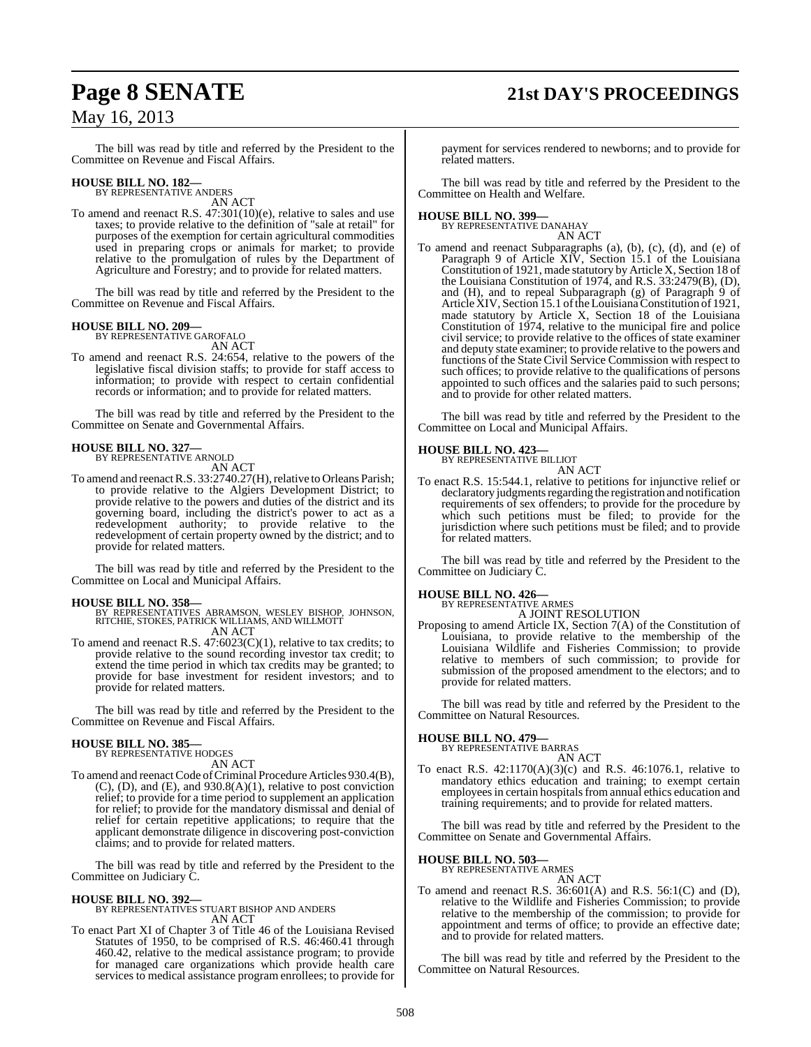# **Page 8 SENATE 21st DAY'S PROCEEDINGS**

## May 16, 2013

The bill was read by title and referred by the President to the Committee on Revenue and Fiscal Affairs.

## **HOUSE BILL NO. 182—** BY REPRESENTATIVE ANDERS

AN ACT

To amend and reenact R.S. 47:301(10)(e), relative to sales and use taxes; to provide relative to the definition of "sale at retail" for purposes of the exemption for certain agricultural commodities used in preparing crops or animals for market; to provide relative to the promulgation of rules by the Department of Agriculture and Forestry; and to provide for related matters.

The bill was read by title and referred by the President to the Committee on Revenue and Fiscal Affairs.

## **HOUSE BILL NO. 209—** BY REPRESENTATIVE GAROFALO

AN ACT

To amend and reenact R.S. 24:654, relative to the powers of the legislative fiscal division staffs; to provide for staff access to information; to provide with respect to certain confidential records or information; and to provide for related matters.

The bill was read by title and referred by the President to the Committee on Senate and Governmental Affairs.

#### **HOUSE BILL NO. 327—** BY REPRESENTATIVE ARNOLD

AN ACT

To amend and reenact R.S. 33:2740.27(H), relative to Orleans Parish; to provide relative to the Algiers Development District; to provide relative to the powers and duties of the district and its governing board, including the district's power to act as a redevelopment authority; to provide relative to the redevelopment of certain property owned by the district; and to provide for related matters.

The bill was read by title and referred by the President to the Committee on Local and Municipal Affairs.

#### **HOUSE BILL NO. 358—**

BY REPRESENTATIVES ABRAMSON, WESLEY BISHOP, JOHNSON, RITCHIE, STOKES, PATRICK WILLIAMS, AND WILLMOTT AN ACT

To amend and reenact R.S. 47:6023(C)(1), relative to tax credits; to provide relative to the sound recording investor tax credit; to extend the time period in which tax credits may be granted; to provide for base investment for resident investors; and to provide for related matters.

The bill was read by title and referred by the President to the Committee on Revenue and Fiscal Affairs.

#### **HOUSE BILL NO. 385—**

BY REPRESENTATIVE HODGES AN ACT

To amend and reenact Code of Criminal Procedure Articles 930.4(B), (C), (D), and (E), and 930.8(A)(1), relative to post conviction relief; to provide for a time period to supplement an application for relief; to provide for the mandatory dismissal and denial of relief for certain repetitive applications; to require that the applicant demonstrate diligence in discovering post-conviction claims; and to provide for related matters.

The bill was read by title and referred by the President to the Committee on Judiciary C.

#### **HOUSE BILL NO. 392—**

BY REPRESENTATIVES STUART BISHOP AND ANDERS AN ACT

To enact Part XI of Chapter 3 of Title 46 of the Louisiana Revised Statutes of 1950, to be comprised of R.S. 46:460.41 through 460.42, relative to the medical assistance program; to provide for managed care organizations which provide health care services to medical assistance program enrollees; to provide for

payment for services rendered to newborns; and to provide for related matters.

The bill was read by title and referred by the President to the Committee on Health and Welfare.

#### **HOUSE BILL NO. 399—**

BY REPRESENTATIVE DANAHAY AN ACT

To amend and reenact Subparagraphs (a), (b), (c), (d), and (e) of Paragraph 9 of Article XIV, Section 15.1 of the Louisiana Constitution of 1921, made statutory by Article X, Section 18 of the Louisiana Constitution of 1974, and R.S. 33:2479(B), (D), and (H), and to repeal Subparagraph (g) of Paragraph 9 of Article XIV, Section 15.1 of the Louisiana Constitution of 1921, made statutory by Article X, Section 18 of the Louisiana Constitution of 1974, relative to the municipal fire and police civil service; to provide relative to the offices of state examiner and deputy state examiner; to provide relative to the powers and functions of the State Civil Service Commission with respect to such offices; to provide relative to the qualifications of persons appointed to such offices and the salaries paid to such persons; and to provide for other related matters.

The bill was read by title and referred by the President to the Committee on Local and Municipal Affairs.

#### **HOUSE BILL NO. 423—**

BY REPRESENTATIVE BILLIOT AN ACT

To enact R.S. 15:544.1, relative to petitions for injunctive relief or declaratory judgments regarding the registration and notification requirements of sex offenders; to provide for the procedure by which such petitions must be filed; to provide for the jurisdiction where such petitions must be filed; and to provide for related matters.

The bill was read by title and referred by the President to the Committee on Judiciary C.

## **HOUSE BILL NO. 426—** BY REPRESENTATIVE ARMES

A JOINT RESOLUTION Proposing to amend Article IX, Section 7(A) of the Constitution of Louisiana, to provide relative to the membership of the Louisiana Wildlife and Fisheries Commission; to provide relative to members of such commission; to provide for submission of the proposed amendment to the electors; and to provide for related matters.

The bill was read by title and referred by the President to the Committee on Natural Resources.

## **HOUSE BILL NO. 479—** BY REPRESENTATIVE BARRAS

AN ACT

To enact R.S. 42:1170(A)(3)(c) and R.S. 46:1076.1, relative to mandatory ethics education and training; to exempt certain employees in certain hospitals from annual ethics education and training requirements; and to provide for related matters.

The bill was read by title and referred by the President to the Committee on Senate and Governmental Affairs.

## **HOUSE BILL NO. 503—** BY REPRESENTATIVE ARMES

AN ACT

To amend and reenact R.S. 36:601(A) and R.S. 56:1(C) and (D), relative to the Wildlife and Fisheries Commission; to provide relative to the membership of the commission; to provide for appointment and terms of office; to provide an effective date; and to provide for related matters.

The bill was read by title and referred by the President to the Committee on Natural Resources.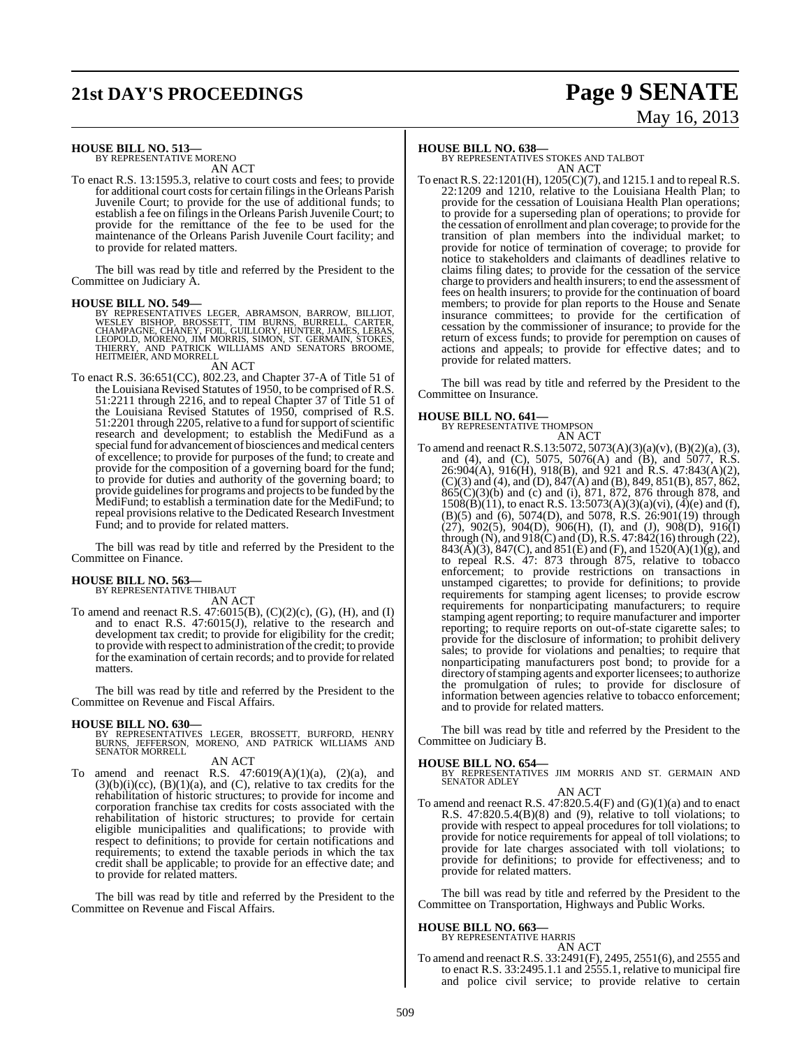# **21st DAY'S PROCEEDINGS Page 9 SENATE**

# May 16, 2013

#### **HOUSE BILL NO. 513—** BY REPRESENTATIVE MORENO

AN ACT

To enact R.S. 13:1595.3, relative to court costs and fees; to provide for additional court costs for certain filings in the Orleans Parish Juvenile Court; to provide for the use of additional funds; to establish a fee on filings in the Orleans Parish Juvenile Court; to provide for the remittance of the fee to be used for the maintenance of the Orleans Parish Juvenile Court facility; and to provide for related matters.

The bill was read by title and referred by the President to the Committee on Judiciary A.

#### **HOUSE BILL NO. 549—**

BY REPRESENTATIVES LEGER, ABRAMSON, BARROW, BILLIOT,<br>WESLEY BISHOP, BROSSETT, TIM BURNS, BURRELL, CARTER,<br>CHAMPAGNE, CHANEY, FOIL, GUILLORY, HUNTER, JAMES, LEBAS,<br>LEOPOLD, MORENO, JIM MORRIS, SIMON, ST. GERMAIN, STOKES,<br>TH

#### AN ACT

To enact R.S. 36:651(CC), 802.23, and Chapter 37-A of Title 51 of the Louisiana Revised Statutes of 1950, to be comprised of R.S. 51:2211 through 2216, and to repeal Chapter 37 of Title 51 of the Louisiana Revised Statutes of 1950, comprised of R.S. 51:2201 through 2205, relative to a fund for support of scientific research and development; to establish the MediFund as a special fund for advancement of biosciences and medical centers of excellence; to provide for purposes of the fund; to create and provide for the composition of a governing board for the fund; to provide for duties and authority of the governing board; to provide guidelines for programs and projects to be funded by the MediFund; to establish a termination date for the MediFund; to repeal provisions relative to the Dedicated Research Investment Fund; and to provide for related matters.

The bill was read by title and referred by the President to the Committee on Finance.

## **HOUSE BILL NO. 563—** BY REPRESENTATIVE THIBAUT

AN ACT

To amend and reenact R.S. 47:6015(B), (C)(2)(c), (G), (H), and (I) and to enact R.S. 47:6015(J), relative to the research and development tax credit; to provide for eligibility for the credit; to provide with respect to administration of the credit; to provide for the examination of certain records; and to provide for related matters.

The bill was read by title and referred by the President to the Committee on Revenue and Fiscal Affairs.

**HOUSE BILL NO. 630—** BY REPRESENTATIVES LEGER, BROSSETT, BURFORD, HENRY BURNS, JEFFERSON, MORENO, AND PATRICK WILLIAMS AND SENATOR MORRELL

#### AN ACT

To amend and reenact R.S.  $47:6019(A)(1)(a)$ ,  $(2)(a)$ , and  $(3)(b)(i)(cc)$ ,  $(B)(1)(a)$ , and  $(C)$ , relative to tax credits for the rehabilitation of historic structures; to provide for income and corporation franchise tax credits for costs associated with the rehabilitation of historic structures; to provide for certain eligible municipalities and qualifications; to provide with respect to definitions; to provide for certain notifications and requirements; to extend the taxable periods in which the tax credit shall be applicable; to provide for an effective date; and to provide for related matters.

The bill was read by title and referred by the President to the Committee on Revenue and Fiscal Affairs.

#### **HOUSE BILL NO. 638—**

BY REPRESENTATIVES STOKES AND TALBOT AN ACT

To enact R.S. 22:1201(H), 1205(C)(7), and 1215.1 and to repeal R.S. 22:1209 and 1210, relative to the Louisiana Health Plan; to provide for the cessation of Louisiana Health Plan operations; to provide for a superseding plan of operations; to provide for the cessation of enrollment and plan coverage; to provide for the transition of plan members into the individual market; to provide for notice of termination of coverage; to provide for notice to stakeholders and claimants of deadlines relative to claims filing dates; to provide for the cessation of the service charge to providers and health insurers; to end the assessment of fees on health insurers; to provide for the continuation of board members; to provide for plan reports to the House and Senate insurance committees; to provide for the certification of cessation by the commissioner of insurance; to provide for the return of excess funds; to provide for peremption on causes of actions and appeals; to provide for effective dates; and to provide for related matters.

The bill was read by title and referred by the President to the Committee on Insurance.

## **HOUSE BILL NO. 641—** BY REPRESENTATIVE THOMPSON

AN ACT To amend and reenact R.S.13:5072, 5073(A)(3)(a)(v), (B)(2)(a), (3), and (4), and (C), 5075, 5076(A) and (B), and 5077, R.S.  $26:904(A), 916(H), 918(B),$  and 921 and R.S. 47:843(A)(2), (C)(3) and (4), and (D), 847(A) and (B), 849, 851(B), 857, 862, 865(C)(3)(b) and (c) and (i), 871, 872, 876 through 878, and  $1508(B)(11)$ , to enact R.S.  $13:5073(A)(3)(a)(vi)$ ,  $\overline{(4)}(e)$  and  $\overline{(f)}$ , (B)(5) and (6), 5074(D), and 5078, R.S. 26:901(19) through  $(27)$ , 902(5), 904(D), 906(H), (I), and (J), 908(D), 916(I) through (N), and 918(C) and (D), R.S. 47:842(16) through (22),  $843(\overline{A})(3)$ ,  $847(C)$ , and  $851(E)$  and  $(F)$ , and  $1520(A)(1)(g)$ , and to repeal R.S. 47: 873 through 875, relative to tobacco enforcement; to provide restrictions on transactions in unstamped cigarettes; to provide for definitions; to provide requirements for stamping agent licenses; to provide escrow requirements for nonparticipating manufacturers; to require stamping agent reporting; to require manufacturer and importer reporting; to require reports on out-of-state cigarette sales; to provide for the disclosure of information; to prohibit delivery sales; to provide for violations and penalties; to require that nonparticipating manufacturers post bond; to provide for a directory of stamping agents and exporter licensees; to authorize the promulgation of rules; to provide for disclosure of information between agencies relative to tobacco enforcement; and to provide for related matters.

The bill was read by title and referred by the President to the Committee on Judiciary B.

- **HOUSE BILL NO. 654—** BY REPRESENTATIVES JIM MORRIS AND ST. GERMAIN AND SENATOR ADLEY AN ACT
- To amend and reenact R.S.  $47:820.5.4(F)$  and  $(G)(1)(a)$  and to enact R.S.  $47:820.5.4(B)(8)$  and  $(9)$ , relative to toll violations; to provide with respect to appeal procedures for toll violations; to provide for notice requirements for appeal of toll violations; to provide for late charges associated with toll violations; to provide for definitions; to provide for effectiveness; and to provide for related matters.

The bill was read by title and referred by the President to the Committee on Transportation, Highways and Public Works.

#### **HOUSE BILL NO. 663—** BY REPRESENTATIVE HARRIS

AN ACT To amend and reenact R.S. 33:2491(F), 2495, 2551(6), and 2555 and to enact R.S. 33:2495.1.1 and 2555.1, relative to municipal fire and police civil service; to provide relative to certain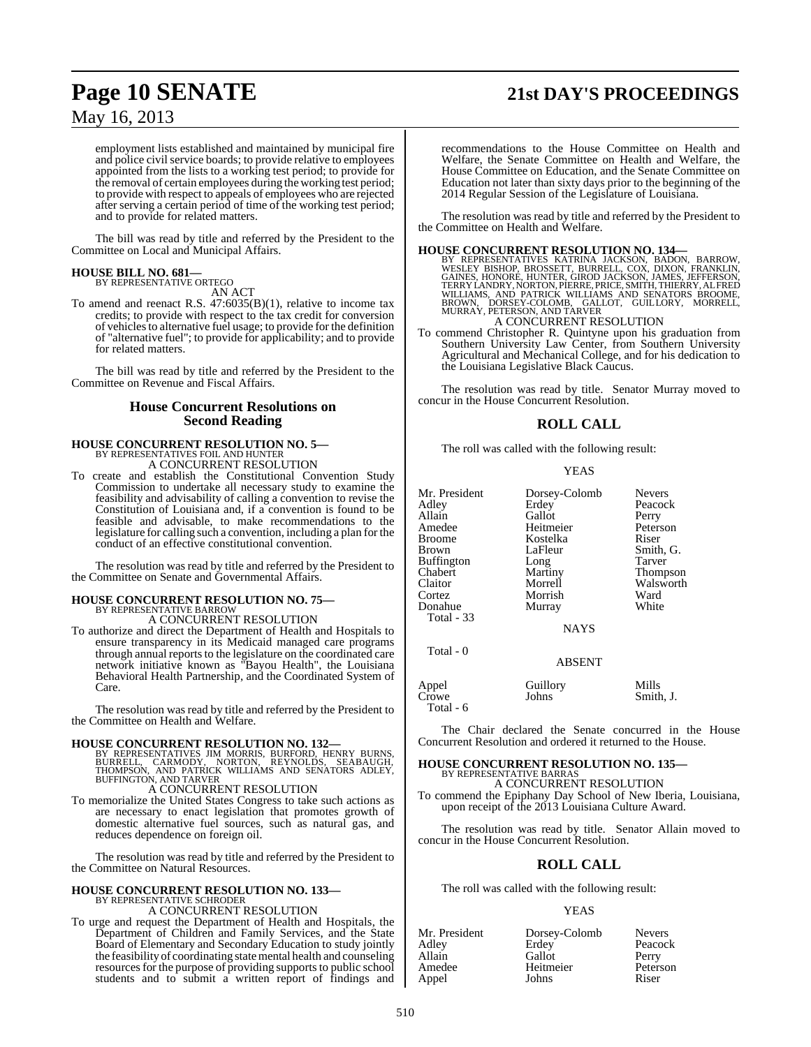# **Page 10 SENATE 21st DAY'S PROCEEDINGS**

## May 16, 2013

employment lists established and maintained by municipal fire and police civil service boards; to provide relative to employees appointed from the lists to a working test period; to provide for the removal of certain employees during theworking test period; to provide with respect to appeals of employees who are rejected after serving a certain period of time of the working test period; and to provide for related matters.

The bill was read by title and referred by the President to the Committee on Local and Municipal Affairs.

## **HOUSE BILL NO. 681—** BY REPRESENTATIVE ORTEGO

AN ACT

To amend and reenact R.S. 47:6035(B)(1), relative to income tax credits; to provide with respect to the tax credit for conversion of vehiclesto alternative fuel usage; to provide for the definition of "alternative fuel"; to provide for applicability; and to provide for related matters.

The bill was read by title and referred by the President to the Committee on Revenue and Fiscal Affairs.

#### **House Concurrent Resolutions on Second Reading**

# **HOUSE CONCURRENT RESOLUTION NO. 5—** BY REPRESENTATIVES FOIL AND HUNTER A CONCURRENT RESOLUTION

To create and establish the Constitutional Convention Study Commission to undertake all necessary study to examine the feasibility and advisability of calling a convention to revise the Constitution of Louisiana and, if a convention is found to be feasible and advisable, to make recommendations to the legislature for calling such a convention, including a plan for the conduct of an effective constitutional convention.

The resolution was read by title and referred by the President to the Committee on Senate and Governmental Affairs.

## **HOUSE CONCURRENT RESOLUTION NO. 75—** BY REPRESENTATIVE BARROW A CONCURRENT RESOLUTION

To authorize and direct the Department of Health and Hospitals to ensure transparency in its Medicaid managed care programs through annual reports to the legislature on the coordinated care network initiative known as "Bayou Health", the Louisiana Behavioral Health Partnership, and the Coordinated System of Care.

The resolution was read by title and referred by the President to the Committee on Health and Welfare.

#### **HOUSE CONCURRENT RESOLUTION NO. 132—**

- BY REPRESENTATIVES JIM MORRIS, BURFORD, HENRY BURNS,<br>BURRELL, CARMODY, NORTON, REYNOLDS, SEABAUGH,<br>THOMPSON, AND PATRICK WILLIAMS AND SENATORS ADLEY,<br>BUFFINGTON,AND TARVER A CONCURRENT RESOLUTION
- To memorialize the United States Congress to take such actions as are necessary to enact legislation that promotes growth of domestic alternative fuel sources, such as natural gas, and reduces dependence on foreign oil.

The resolution was read by title and referred by the President to the Committee on Natural Resources.

# **HOUSE CONCURRENT RESOLUTION NO. 133—** BY REPRESENTATIVE SCHRODER

A CONCURRENT RESOLUTION

To urge and request the Department of Health and Hospitals, the Department of Children and Family Services, and the State Board of Elementary and Secondary Education to study jointly the feasibility of coordinating state mental health and counseling resources for the purpose of providing supports to public school students and to submit a written report of findings and

recommendations to the House Committee on Health and Welfare, the Senate Committee on Health and Welfare, the House Committee on Education, and the Senate Committee on Education not later than sixty days prior to the beginning of the 2014 Regular Session of the Legislature of Louisiana.

The resolution was read by title and referred by the President to the Committee on Health and Welfare.

#### **HOUSE CONCURRENT RESOLUTION NO. 134—**

BY REPRESENTATIVES KATRINA JACKSON, BADON, BARROW,<br>WESLEY BISHOP, BROSSETT, BURRELL, COX, DIXON, FRANKLIN,<br>GAINES, HONORE, HUNTER, GIROD JACKSON, JAMES, JEFFERSON, TERRY LANDRY, NORTON, PIERRE, PRICE, SMITH, THIERRY, ALFRED<br>WILLIAMS, AND PATRICK WILLIAMS AND SENATORS BROOME,<br>BROWN, DORSEY-COLOMB, GALLOT, GUILLORY, MORRELL,<br>MURRAY, PETERSON, AND TARVER A CONCURRENT RESOLUTION

To commend Christopher R. Quintyne upon his graduation from Southern University Law Center, from Southern University Agricultural and Mechanical College, and for his dedication to the Louisiana Legislative Black Caucus.

The resolution was read by title. Senator Murray moved to concur in the House Concurrent Resolution.

## **ROLL CALL**

The roll was called with the following result:

YEAS

ABSENT

| Appel      | Guillory | Mills     |
|------------|----------|-----------|
| Crowe      | Johns    | Smith, J. |
| Total $-6$ |          |           |

The Chair declared the Senate concurred in the House Concurrent Resolution and ordered it returned to the House.

#### **HOUSE CONCURRENT RESOLUTION NO. 135—** BY REPRESENTATIVE BARRAS

A CONCURRENT RESOLUTION

To commend the Epiphany Day School of New Iberia, Louisiana, upon receipt of the 2013 Louisiana Culture Award.

The resolution was read by title. Senator Allain moved to concur in the House Concurrent Resolution.

## **ROLL CALL**

The roll was called with the following result:

## YEAS

| Mr. President | Dorsey-Colomb | <b>Nevers</b> |
|---------------|---------------|---------------|
| Adlev         | Erdey         | Peacock       |
| Allain        | Gallot        | Perry         |
| Amedee        | Heitmeier     | Peterson      |
| Appel         | Johns         | Riser         |

Total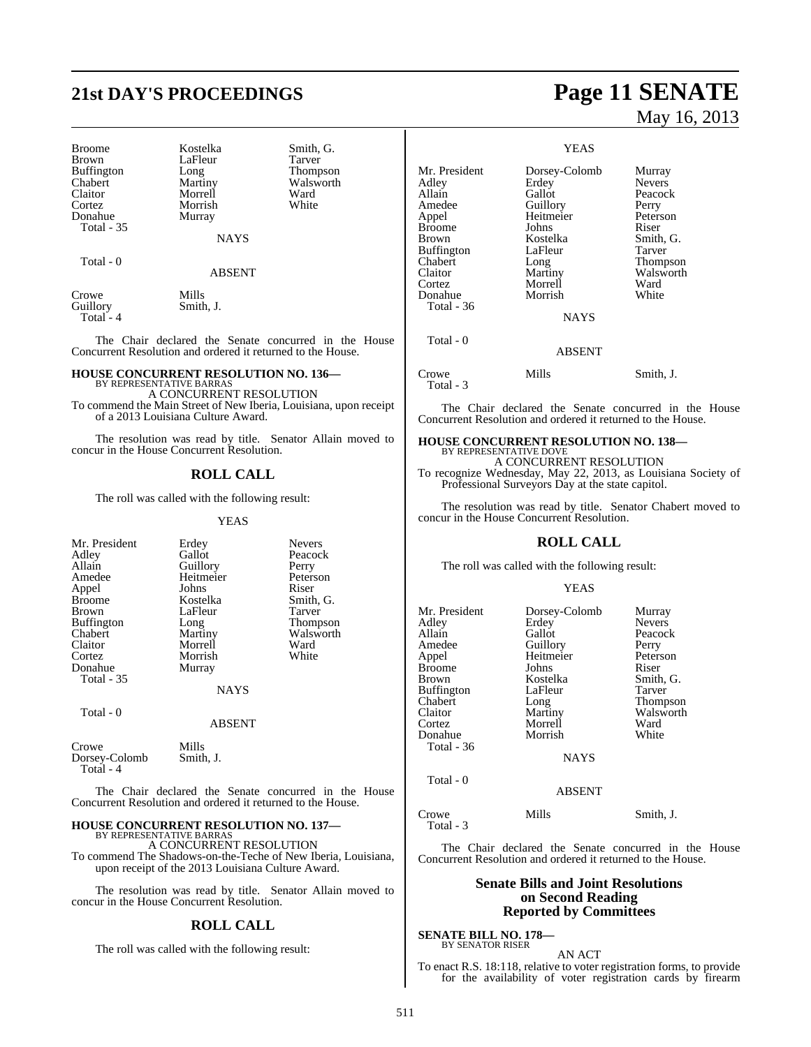# **21st DAY'S PROCEEDINGS Page 11 SENATE**

Broome Kostelka Smith, G.<br>Brown LaFleur Tarver Buffington Long<br>Chabert Martiny Chabert Martiny Walsworth Claitor Morrell Ward Donahue Total - 35

LaFleur Tarver<br>
Long Thompson Morrish<br>Murray

NAYS

Total - 0

ABSENT

Crowe Mills<br>Guillory Smith Total - 4

Smith, J.

The Chair declared the Senate concurred in the House Concurrent Resolution and ordered it returned to the House.

#### **HOUSE CONCURRENT RESOLUTION NO. 136—** BY REPRESENTATIVE BARRAS

A CONCURRENT RESOLUTION To commend the Main Street of New Iberia, Louisiana, upon receipt of a 2013 Louisiana Culture Award.

The resolution was read by title. Senator Allain moved to concur in the House Concurrent Resolution.

## **ROLL CALL**

The roll was called with the following result:

YEAS

| Mr. President     | Erdey         | <b>Nevers</b>   |
|-------------------|---------------|-----------------|
| Adley             | Gallot        | Peacock         |
| Allain            | Guillory      | Perry           |
| Amedee            | Heitmeier     | Peterson        |
| Appel             | Johns         | Riser           |
| <b>Broome</b>     | Kostelka      | Smith, G.       |
| <b>Brown</b>      | LaFleur       | Tarver          |
| <b>Buffington</b> | Long          | <b>Thompson</b> |
| Chabert           | Martiny       | Walsworth       |
| Claitor           | Morrell       | Ward            |
| Cortez            | Morrish       | White           |
| Donahue           | Murray        |                 |
| <b>Total</b> - 35 |               |                 |
|                   | <b>NAYS</b>   |                 |
| Total - 0         |               |                 |
|                   | <b>ABSENT</b> |                 |

Crowe Mills<br>Dorsey-Colomb Smith, J. Dorsey-Colomb Total - 4

The Chair declared the Senate concurred in the House Concurrent Resolution and ordered it returned to the House.

## **HOUSE CONCURRENT RESOLUTION NO. 137—** BY REPRESENTATIVE BARRAS

A CONCURRENT RESOLUTION To commend The Shadows-on-the-Teche of New Iberia, Louisiana, upon receipt of the 2013 Louisiana Culture Award.

The resolution was read by title. Senator Allain moved to concur in the House Concurrent Resolution.

#### **ROLL CALL**

The roll was called with the following result:

# May 16, 2013

#### YEAS

| Mr. President<br>Adley<br>Allain<br>Amedee<br>Appel<br><b>Broome</b><br>Brown<br><b>Buffington</b><br>Chabert<br>Claitor<br>Cortez<br>Donahue<br>Total - 36<br>Total - 0 | Dorsey-Colomb<br>Erdey<br>Gallot<br>Guillory<br>Heitmeier<br>Johns<br>Kostelka<br>LaFleur<br>Long<br>Martiny<br>Morrell<br>Morrish<br><b>NAYS</b> | Murray<br><b>Nevers</b><br>Peacock<br>Perry<br>Peterson<br>Riser<br>Smith, G.<br>Tarver<br>Thompson<br>Walsworth<br>Ward<br>White |
|--------------------------------------------------------------------------------------------------------------------------------------------------------------------------|---------------------------------------------------------------------------------------------------------------------------------------------------|-----------------------------------------------------------------------------------------------------------------------------------|
|                                                                                                                                                                          | <b>ABSENT</b>                                                                                                                                     |                                                                                                                                   |
|                                                                                                                                                                          |                                                                                                                                                   |                                                                                                                                   |
| Crowe<br>Total - 3                                                                                                                                                       | Mills                                                                                                                                             | Smith, J.                                                                                                                         |

The Chair declared the Senate concurred in the House Concurrent Resolution and ordered it returned to the House.

## **HOUSE CONCURRENT RESOLUTION NO. 138—** BY REPRESENTATIVE DOVE

A CONCURRENT RESOLUTION

To recognize Wednesday, May 22, 2013, as Louisiana Society of Professional Surveyors Day at the state capitol.

The resolution was read by title. Senator Chabert moved to concur in the House Concurrent Resolution.

#### **ROLL CALL**

The roll was called with the following result:

#### YEAS

| Mr. President | Dorsey-Colomb | Murray        |
|---------------|---------------|---------------|
| Adley         | Erdey         | <b>Nevers</b> |
| Allain        | Gallot        | Peacock       |
| Amedee        | Guillory      | Perry         |
| Appel         | Heitmeier     | Peterson      |
| Broome        | Johns         | Riser         |
| Brown         | Kostelka      | Smith, G.     |
| Buffington    | LaFleur       | Tarver        |
| Chabert       | Long          | Thompson      |
| Claitor       | Martiny       | Walsworth     |
| Cortez        | Morrell       | Ward          |
| Donahue       | Morrish       | White         |
| Total - 36    |               |               |
|               | <b>NAYS</b>   |               |
| Total - 0     |               |               |
|               | <b>ABSENT</b> |               |

Crowe Mills Smith, J.

The Chair declared the Senate concurred in the House Concurrent Resolution and ordered it returned to the House.

#### **Senate Bills and Joint Resolutions on Second Reading Reported by Committees**

**SENATE BILL NO. 178—** BY SENATOR RISER

Total - 3

AN ACT To enact R.S. 18:118, relative to voter registration forms, to provide for the availability of voter registration cards by firearm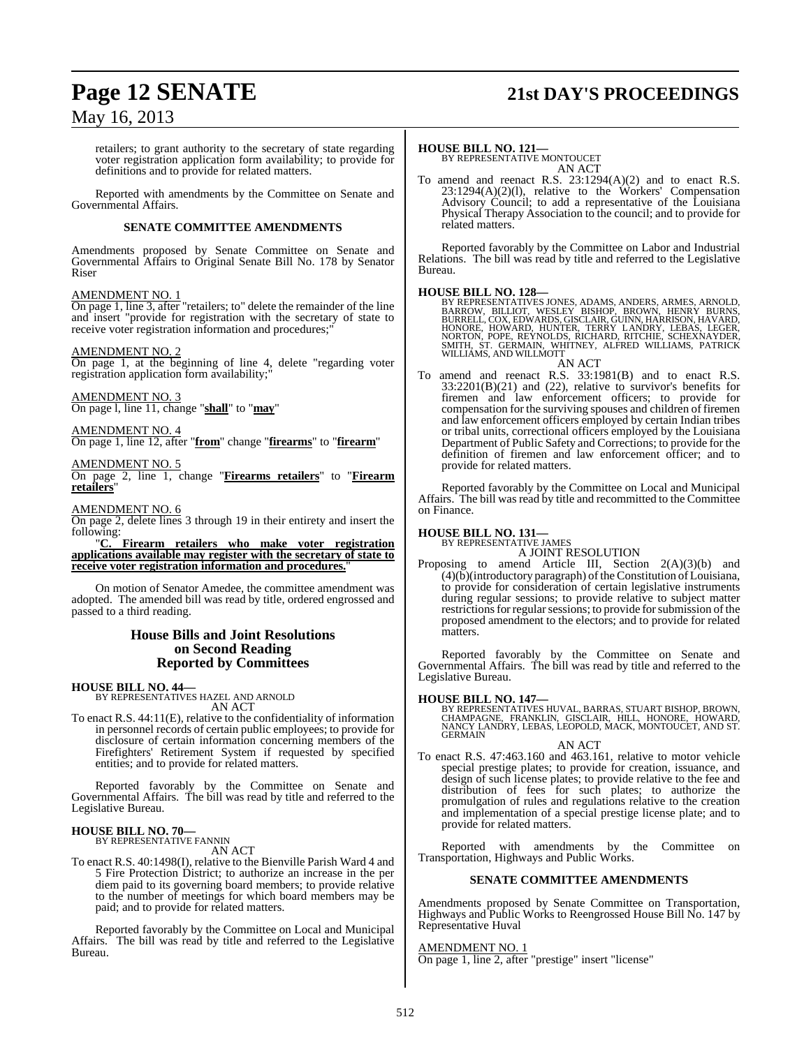# **Page 12 SENATE 21st DAY'S PROCEEDINGS**

## May 16, 2013

retailers; to grant authority to the secretary of state regarding voter registration application form availability; to provide for definitions and to provide for related matters.

Reported with amendments by the Committee on Senate and Governmental Affairs.

#### **SENATE COMMITTEE AMENDMENTS**

Amendments proposed by Senate Committee on Senate and Governmental Affairs to Original Senate Bill No. 178 by Senator Riser

#### AMENDMENT NO. 1

On page 1, line 3, after "retailers; to" delete the remainder of the line and insert "provide for registration with the secretary of state to receive voter registration information and procedures;

#### AMENDMENT NO. 2

On page 1, at the beginning of line 4, delete "regarding voter registration application form availability;

#### AMENDMENT NO. 3

On page l, line 11, change "**shall**" to "**may**"

## AMENDMENT NO. 4

On page 1, line 12, after "**from**" change "**firearms**" to "**firearm**"

#### AMENDMENT NO. 5

On page 2, line 1, change "**Firearms retailers**" to "**Firearm retailers**"

#### AMENDMENT NO. 6

On page 2, delete lines 3 through 19 in their entirety and insert the following:

"**C. Firearm retailers who make voter registration applications available may register with the secretary of state to receive voter registration information and procedures.**"

On motion of Senator Amedee, the committee amendment was adopted. The amended bill was read by title, ordered engrossed and passed to a third reading.

#### **House Bills and Joint Resolutions on Second Reading Reported by Committees**

#### **HOUSE BILL NO. 44—**

BY REPRESENTATIVES HAZEL AND ARNOLD AN ACT

To enact R.S. 44:11(E), relative to the confidentiality of information in personnel records of certain public employees; to provide for disclosure of certain information concerning members of the Firefighters' Retirement System if requested by specified entities; and to provide for related matters.

Reported favorably by the Committee on Senate and Governmental Affairs. The bill was read by title and referred to the Legislative Bureau.

#### **HOUSE BILL NO. 70—** BY REPRESENTATIVE FANNIN

AN ACT

To enact R.S. 40:1498(I), relative to the Bienville Parish Ward 4 and 5 Fire Protection District; to authorize an increase in the per diem paid to its governing board members; to provide relative to the number of meetings for which board members may be paid; and to provide for related matters.

Reported favorably by the Committee on Local and Municipal Affairs. The bill was read by title and referred to the Legislative Bureau.

#### **HOUSE BILL NO. 121—**

BY REPRESENTATIVE MONTOUCET AN ACT

To amend and reenact R.S. 23:1294(A)(2) and to enact R.S. 23:1294(A)(2)(l), relative to the Workers' Compensation Advisory Council; to add a representative of the Louisiana Physical Therapy Association to the council; and to provide for related matters.

Reported favorably by the Committee on Labor and Industrial Relations. The bill was read by title and referred to the Legislative Bureau.

**HOUSE BILL NO. 128—**<br>BY REPRESENTATIVES JONES, ADAMS, ANDERS, ARMES, ARNOLD, BILLIOT, WESLEY BISHOP, BROWN, HENRY BURNS,<br>BURRELL, COX, EDWARDS, GISCLAIR, GUINN, HARRISON, HAVARD,<br>HONORE, HOWARD, HUNTER, TERRY LANDRY, LEBA

#### AN ACT

To amend and reenact R.S. 33:1981(B) and to enact R.S.  $33:2201(B)(21)$  and  $(22)$ , relative to survivor's benefits for firemen and law enforcement officers; to provide for compensation for the surviving spouses and children of firemen and law enforcement officers employed by certain Indian tribes or tribal units, correctional officers employed by the Louisiana Department of Public Safety and Corrections; to provide for the definition of firemen and law enforcement officer; and to provide for related matters.

Reported favorably by the Committee on Local and Municipal Affairs. The bill was read by title and recommitted to the Committee on Finance.

## **HOUSE BILL NO. 131—** BY REPRESENTATIVE JAMES

A JOINT RESOLUTION

Proposing to amend Article III, Section 2(A)(3)(b) and  $(4)(\tilde{b})$ (introductory paragraph) of the Constitution of Louisiana, to provide for consideration of certain legislative instruments during regular sessions; to provide relative to subject matter restrictions for regular sessions; to provide for submission of the proposed amendment to the electors; and to provide for related matters.

Reported favorably by the Committee on Senate and Governmental Affairs. The bill was read by title and referred to the Legislative Bureau.

**HOUSE BILL NO. 147—** BY REPRESENTATIVES HUVAL, BARRAS, STUART BISHOP, BROWN, CHAMPAGNE, FRANKLIN, GISCLAIR, HILL, HONORE, HOWARD, NANCY LANDRY, LEBAS, LEOPOLD, MACK, MONTOUCET, AND ST. **GERMAIN** 

#### AN ACT

To enact R.S. 47:463.160 and 463.161, relative to motor vehicle special prestige plates; to provide for creation, issuance, and design of such license plates; to provide relative to the fee and distribution of fees for such plates; to authorize the promulgation of rules and regulations relative to the creation and implementation of a special prestige license plate; and to provide for related matters.

Reported with amendments by the Committee on Transportation, Highways and Public Works.

#### **SENATE COMMITTEE AMENDMENTS**

Amendments proposed by Senate Committee on Transportation, Highways and Public Works to Reengrossed House Bill No. 147 by Representative Huval

#### AMENDMENT NO. 1

On page 1, line 2, after "prestige" insert "license"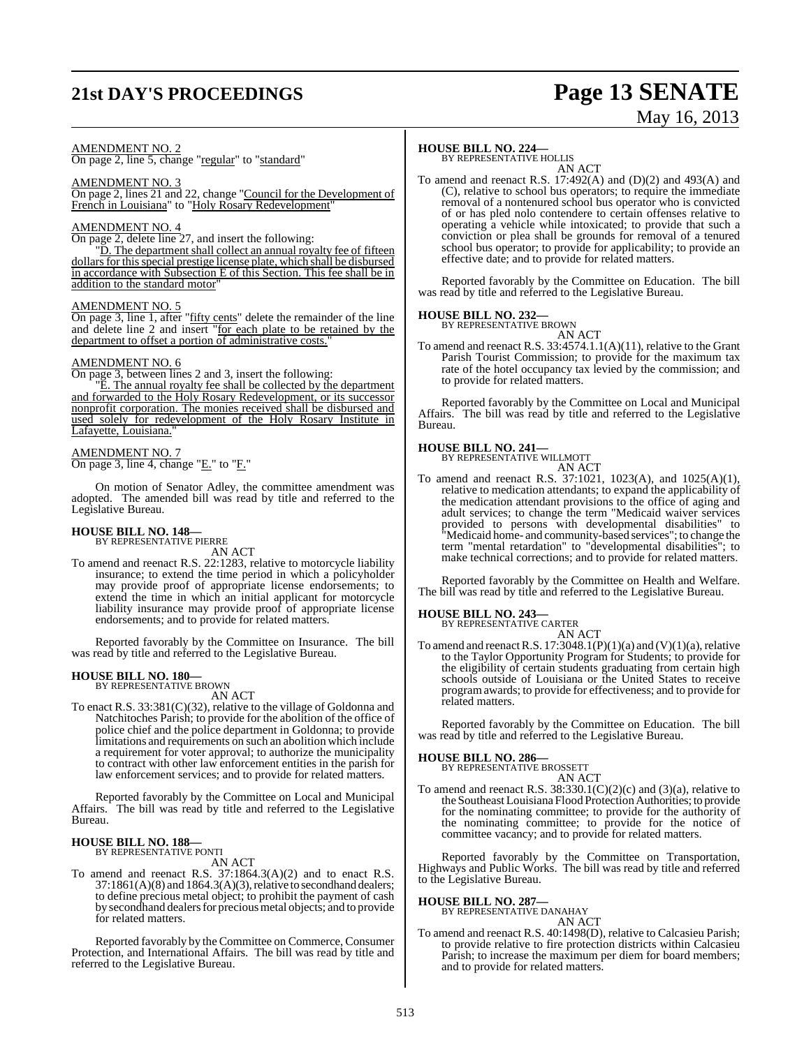# **21st DAY'S PROCEEDINGS Page 13 SENATE**

# May 16, 2013

#### AMENDMENT NO. 2

On page 2, line 5, change "regular" to "standard"

#### AMENDMENT NO. 3

On page 2, lines 21 and 22, change "Council for the Development of French in Louisiana" to "Holy Rosary Redevelopment"

#### AMENDMENT NO. 4

On page 2, delete line 27, and insert the following:

"D. The department shall collect an annual royalty fee of fifteen dollars for this special prestige license plate, which shall be disbursed in accordance with Subsection E of this Section. This fee shall be in addition to the standard motor"

#### AMENDMENT NO. 5

On page 3, line 1, after "fifty cents" delete the remainder of the line and delete line 2 and insert "for each plate to be retained by the department to offset a portion of administrative costs."

#### AMENDMENT NO. 6

On page 3, between lines 2 and 3, insert the following:

"E. The annual royalty fee shall be collected by the department and forwarded to the Holy Rosary Redevelopment, or its successor nonprofit corporation. The monies received shall be disbursed and used solely for redevelopment of the Holy Rosary Institute in Lafayette, Louisiana."

#### AMENDMENT NO. 7

On page 3, line 4, change "E." to "F."

On motion of Senator Adley, the committee amendment was adopted. The amended bill was read by title and referred to the Legislative Bureau.

## **HOUSE BILL NO. 148—** BY REPRESENTATIVE PIERRE

AN ACT

To amend and reenact R.S. 22:1283, relative to motorcycle liability insurance; to extend the time period in which a policyholder may provide proof of appropriate license endorsements; to extend the time in which an initial applicant for motorcycle liability insurance may provide proof of appropriate license endorsements; and to provide for related matters.

Reported favorably by the Committee on Insurance. The bill was read by title and referred to the Legislative Bureau.

#### **HOUSE BILL NO. 180—**

BY REPRESENTATIVE BROWN AN ACT

To enact R.S. 33:381(C)(32), relative to the village of Goldonna and Natchitoches Parish; to provide for the abolition of the office of police chief and the police department in Goldonna; to provide limitations and requirements on such an abolition which include a requirement for voter approval; to authorize the municipality to contract with other law enforcement entities in the parish for law enforcement services; and to provide for related matters.

Reported favorably by the Committee on Local and Municipal Affairs. The bill was read by title and referred to the Legislative Bureau.

## **HOUSE BILL NO. 188—** BY REPRESENTATIVE PONTI

AN ACT

To amend and reenact R.S. 37:1864.3(A)(2) and to enact R.S. 37:1861(A)(8) and 1864.3(A)(3), relative to secondhand dealers; to define precious metal object; to prohibit the payment of cash by secondhand dealers for precious metal objects; and to provide for related matters.

Reported favorably by the Committee on Commerce, Consumer Protection, and International Affairs. The bill was read by title and referred to the Legislative Bureau.

## **HOUSE BILL NO. 224—** BY REPRESENTATIVE HOLLIS

AN ACT

To amend and reenact R.S. 17:492(A) and (D)(2) and 493(A) and (C), relative to school bus operators; to require the immediate removal of a nontenured school bus operator who is convicted of or has pled nolo contendere to certain offenses relative to operating a vehicle while intoxicated; to provide that such a conviction or plea shall be grounds for removal of a tenured school bus operator; to provide for applicability; to provide an effective date; and to provide for related matters.

Reported favorably by the Committee on Education. The bill was read by title and referred to the Legislative Bureau.

#### **HOUSE BILL NO. 232—**

BY REPRESENTATIVE BROWN AN ACT

To amend and reenact R.S. 33:4574.1.1(A)(11), relative to the Grant Parish Tourist Commission; to provide for the maximum tax rate of the hotel occupancy tax levied by the commission; and to provide for related matters.

Reported favorably by the Committee on Local and Municipal Affairs. The bill was read by title and referred to the Legislative Bureau.

## **HOUSE BILL NO. 241—** BY REPRESENTATIVE WILLMOTT

AN ACT To amend and reenact R.S. 37:1021, 1023(A), and 1025(A)(1), relative to medication attendants; to expand the applicability of the medication attendant provisions to the office of aging and adult services; to change the term "Medicaid waiver services provided to persons with developmental disabilities" to "Medicaid home- and community-based services"; to change the term "mental retardation" to "developmental disabilities"; to make technical corrections; and to provide for related matters.

Reported favorably by the Committee on Health and Welfare. The bill was read by title and referred to the Legislative Bureau.

#### **HOUSE BILL NO. 243—**

BY REPRESENTATIVE CARTER

AN ACT To amend and reenact R.S.  $17:3048.1(P)(1)(a)$  and  $(V)(1)(a)$ , relative to the Taylor Opportunity Program for Students; to provide for the eligibility of certain students graduating from certain high schools outside of Louisiana or the United States to receive programawards; to provide for effectiveness; and to provide for related matters.

Reported favorably by the Committee on Education. The bill was read by title and referred to the Legislative Bureau.

## **HOUSE BILL NO. 286—** BY REPRESENTATIVE BROSSETT

AN ACT

To amend and reenact R.S. 38:330.1(C)(2)(c) and (3)(a), relative to the SoutheastLouisiana Flood Protection Authorities; to provide for the nominating committee; to provide for the authority of the nominating committee; to provide for the notice of committee vacancy; and to provide for related matters.

Reported favorably by the Committee on Transportation, Highways and Public Works. The bill was read by title and referred to the Legislative Bureau.

**HOUSE BILL NO. 287—** BY REPRESENTATIVE DANAHAY AN ACT

To amend and reenact R.S. 40:1498(D), relative to Calcasieu Parish; to provide relative to fire protection districts within Calcasieu Parish; to increase the maximum per diem for board members; and to provide for related matters.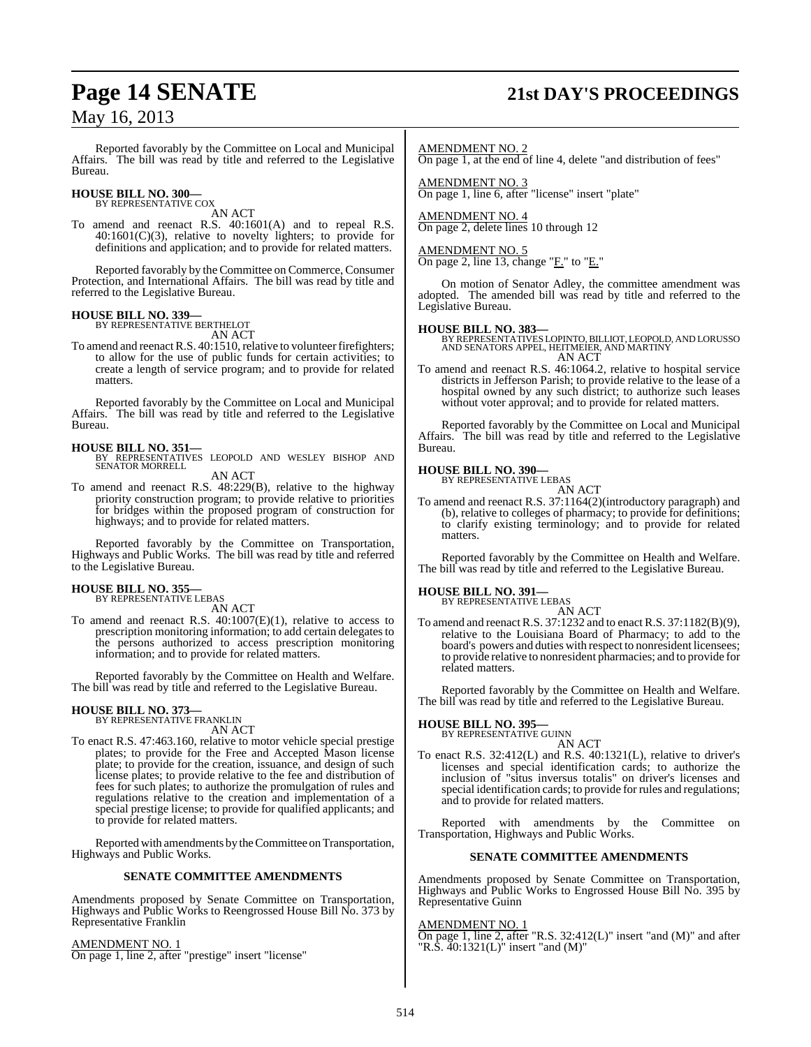## **Page 14 SENATE 21st DAY'S PROCEEDINGS**

## May 16, 2013

Reported favorably by the Committee on Local and Municipal Affairs. The bill was read by title and referred to the Legislative Bureau.

## **HOUSE BILL NO. 300—** BY REPRESENTATIVE COX

AN ACT

To amend and reenact R.S. 40:1601(A) and to repeal R.S.  $40:1601(C)(3)$ , relative to novelty lighters; to provide for definitions and application; and to provide for related matters.

Reported favorably by the Committee on Commerce, Consumer Protection, and International Affairs. The bill was read by title and referred to the Legislative Bureau.

#### **HOUSE BILL NO. 339—**

BY REPRESENTATIVE BERTHELOT AN ACT

To amend and reenact R.S. 40:1510, relative to volunteer firefighters; to allow for the use of public funds for certain activities; to create a length of service program; and to provide for related matters.

Reported favorably by the Committee on Local and Municipal Affairs. The bill was read by title and referred to the Legislative Bureau.

**HOUSE BILL NO. 351—** BY REPRESENTATIVES LEOPOLD AND WESLEY BISHOP AND SENATOR MORRELL

AN ACT

To amend and reenact R.S. 48:229(B), relative to the highway priority construction program; to provide relative to priorities for bridges within the proposed program of construction for highways; and to provide for related matters.

Reported favorably by the Committee on Transportation, Highways and Public Works. The bill was read by title and referred to the Legislative Bureau.

## **HOUSE BILL NO. 355—**

BY REPRESENTATIVE LEBAS

- AN ACT
- To amend and reenact R.S. 40:1007(E)(1), relative to access to prescription monitoring information; to add certain delegates to the persons authorized to access prescription monitoring information; and to provide for related matters.

Reported favorably by the Committee on Health and Welfare. The bill was read by title and referred to the Legislative Bureau.

## **HOUSE BILL NO. 373—** BY REPRESENTATIVE FRANKLIN

AN ACT

To enact R.S. 47:463.160, relative to motor vehicle special prestige plates; to provide for the Free and Accepted Mason license plate; to provide for the creation, issuance, and design of such license plates; to provide relative to the fee and distribution of fees for such plates; to authorize the promulgation of rules and regulations relative to the creation and implementation of a special prestige license; to provide for qualified applicants; and to provide for related matters.

Reported with amendments by the Committee on Transportation, Highways and Public Works.

#### **SENATE COMMITTEE AMENDMENTS**

Amendments proposed by Senate Committee on Transportation, Highways and Public Works to Reengrossed House Bill No. 373 by Representative Franklin

AMENDMENT NO. 1

On page 1, line 2, after "prestige" insert "license"

AMENDMENT NO. 2

On page 1, at the end of line 4, delete "and distribution of fees"

AMENDMENT NO. 3 On page 1, line 6, after "license" insert "plate"

AMENDMENT NO. 4 On page 2, delete lines 10 through 12

AMENDMENT NO. 5 On page 2, line 13, change "F." to "E."

On motion of Senator Adley, the committee amendment was adopted. The amended bill was read by title and referred to the

## **HOUSE BILL NO. 383—**

Legislative Bureau.

BY REPRESENTATIVES LOPINTO,BILLIOT, LEOPOLD, AND LORUSSO AND SENATORS APPEL, HEITMEIER, AND MARTINY AN ACT

To amend and reenact R.S. 46:1064.2, relative to hospital service districts in Jefferson Parish; to provide relative to the lease of a hospital owned by any such district; to authorize such leases without voter approval; and to provide for related matters.

Reported favorably by the Committee on Local and Municipal Affairs. The bill was read by title and referred to the Legislative Bureau.

#### **HOUSE BILL NO. 390—**

BY REPRESENTATIVE LEBAS AN ACT

To amend and reenact R.S. 37:1164(2)(introductory paragraph) and (b), relative to colleges of pharmacy; to provide for definitions; to clarify existing terminology; and to provide for related matters.

Reported favorably by the Committee on Health and Welfare. The bill was read by title and referred to the Legislative Bureau.

**HOUSE BILL NO. 391—** BY REPRESENTATIVE LEBAS

AN ACT

To amend and reenact R.S. 37:1232 and to enact R.S. 37:1182(B)(9), relative to the Louisiana Board of Pharmacy; to add to the board's powers and duties with respect to nonresident licensees; to provide relative to nonresident pharmacies; and to provide for related matters.

Reported favorably by the Committee on Health and Welfare. The bill was read by title and referred to the Legislative Bureau.

**HOUSE BILL NO. 395—**

BY REPRESENTATIVE GUINN

AN ACT To enact R.S. 32:412(L) and R.S. 40:1321(L), relative to driver's licenses and special identification cards; to authorize the inclusion of "situs inversus totalis" on driver's licenses and special identification cards; to provide for rules and regulations; and to provide for related matters.

Reported with amendments by the Committee on Transportation, Highways and Public Works.

#### **SENATE COMMITTEE AMENDMENTS**

Amendments proposed by Senate Committee on Transportation, Highways and Public Works to Engrossed House Bill No. 395 by Representative Guinn

#### AMENDMENT NO. 1

On page 1, line 2, after "R.S. 32:412(L)" insert "and (M)" and after "R.S. 40:1321(L)" insert "and (M)"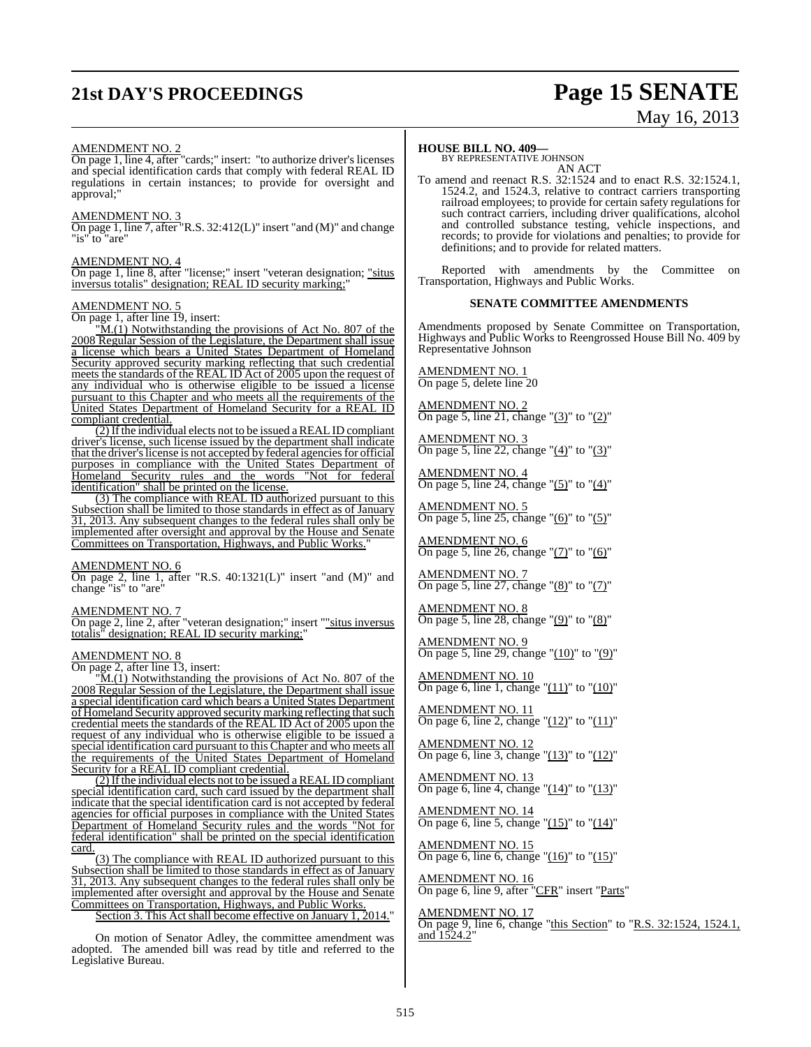# **21st DAY'S PROCEEDINGS Page 15 SENATE**

# May 16, 2013

#### AMENDMENT NO. 2

On page 1, line 4, after "cards;" insert: "to authorize driver's licenses and special identification cards that comply with federal REAL ID regulations in certain instances; to provide for oversight and approval;"

#### AMENDMENT NO. 3

On page 1, line 7, after "R.S. 32:412(L)" insert "and (M)" and change "is" to "are"

#### AMENDMENT NO. 4

On page 1, line 8, after "license;" insert "veteran designation; "situs inversus totalis" designation; REAL ID security marking;"

#### AMENDMENT NO. 5

On page 1, after line 19, insert:

"M.(1) Notwithstanding the provisions of Act No. 807 of the 2008 Regular Session of the Legislature, the Department shall issue a license which bears a United States Department of Homeland Security approved security marking reflecting that such credential meets the standards of the REAL ID Act of 2005 upon the request of any individual who is otherwise eligible to be issued a license pursuant to this Chapter and who meets all the requirements of the United States Department of Homeland Security for a REAL ID compliant credential.

 $(2)$  If the individual elects not to be issued a REAL ID compliant driver's license, such license issued by the department shall indicate that the driver's license is not accepted by federal agencies for official purposes in compliance with the United States Department of Homeland Security rules and the words "Not for federal identification" shall be printed on the license.

(3) The compliance with REAL ID authorized pursuant to this Subsection shall be limited to those standards in effect as of January 31, 2013. Any subsequent changes to the federal rules shall only be implemented after oversight and approval by the House and Senate Committees on Transportation, Highways, and Public Works."

#### AMENDMENT NO. 6

On page 2, line 1, after "R.S. 40:1321(L)" insert "and (M)" and change "is" to "are"

AMENDMENT NO. 7

On page 2, line 2, after "veteran designation;" insert ""situs inversus totalis" designation; REAL ID security marking;"

AMENDMENT NO. 8

On page 2, after line 13, insert:

"M.(1) Notwithstanding the provisions of Act No. 807 of the 2008 Regular Session of the Legislature, the Department shall issue a special identification card which bears a United States Department of Homeland Security approved security marking reflecting that such credential meets the standards of the REAL ID Act of 2005 upon the request of any individual who is otherwise eligible to be issued a special identification card pursuant to this Chapter and who meets all the requirements of the United States Department of Homeland Security for a REAL ID compliant credential.

 $(2)$  If the individual elects not to be issued a REAL ID compliant special identification card, such card issued by the department shall indicate that the special identification card is not accepted by federal agencies for official purposes in compliance with the United States Department of Homeland Security rules and the words "Not for federal identification" shall be printed on the special identification card.

(3) The compliance with REAL ID authorized pursuant to this Subsection shall be limited to those standards in effect as of January 31, 2013. Any subsequent changes to the federal rules shall only be implemented after oversight and approval by the House and Senate Committees on Transportation, Highways, and Public Works.

Section 3. This Act shall become effective on January 1, 2014."

On motion of Senator Adley, the committee amendment was adopted. The amended bill was read by title and referred to the Legislative Bureau.

#### **HOUSE BILL NO. 409—**

BY REPRESENTATIVE JOHNSON AN ACT

To amend and reenact R.S. 32:1524 and to enact R.S. 32:1524.1, 1524.2, and 1524.3, relative to contract carriers transporting railroad employees; to provide for certain safety regulations for such contract carriers, including driver qualifications, alcohol and controlled substance testing, vehicle inspections, and records; to provide for violations and penalties; to provide for definitions; and to provide for related matters.

Reported with amendments by the Committee on Transportation, Highways and Public Works.

#### **SENATE COMMITTEE AMENDMENTS**

Amendments proposed by Senate Committee on Transportation, Highways and Public Works to Reengrossed House Bill No. 409 by Representative Johnson

AMENDMENT NO. 1 On page 5, delete line 20

AMENDMENT NO. 2 On page 5, line 21, change " $(3)$ " to " $(2)$ "

AMENDMENT NO. 3 On page 5, line 22, change "(4)" to "(3)"

AMENDMENT NO. 4 On page 5, line 24, change "(5)" to "(4)"

AMENDMENT NO. 5 On page 5, line 25, change " $(6)$ " to " $(5)$ "

AMENDMENT NO. 6 On page 5, line 26, change "(7)" to "(6)"

AMENDMENT NO. 7 On page 5, line 27, change "(8)" to "(7)"

<u>AMENDMENT NO. 8</u> On page 5, line 28, change " $(9)$ " to " $(8)$ "

AMENDMENT NO. 9 On page 5, line 29, change "(10)" to "(9)"

AMENDMENT NO. 10 On page 6, line 1, change " $(11)$ " to " $(10)$ "

AMENDMENT NO. 11 On page 6, line 2, change " $(12)$ " to " $(11)$ "

AMENDMENT NO. 12 On page 6, line 3, change " $(13)$ " to " $(12)$ "

AMENDMENT NO. 13 On page 6, line 4, change "(14)" to "(13)"

AMENDMENT NO. 14 On page 6, line 5, change " $(15)$ " to " $(14)$ "

AMENDMENT NO. 15 On page 6, line 6, change " $(16)$ " to " $(15)$ "

AMENDMENT NO. 16 On page 6, line 9, after "CFR" insert "Parts"

AMENDMENT NO. 17 On page 9, line 6, change "this Section" to "R.S. 32:1524, 1524.1, and  $1524.2"$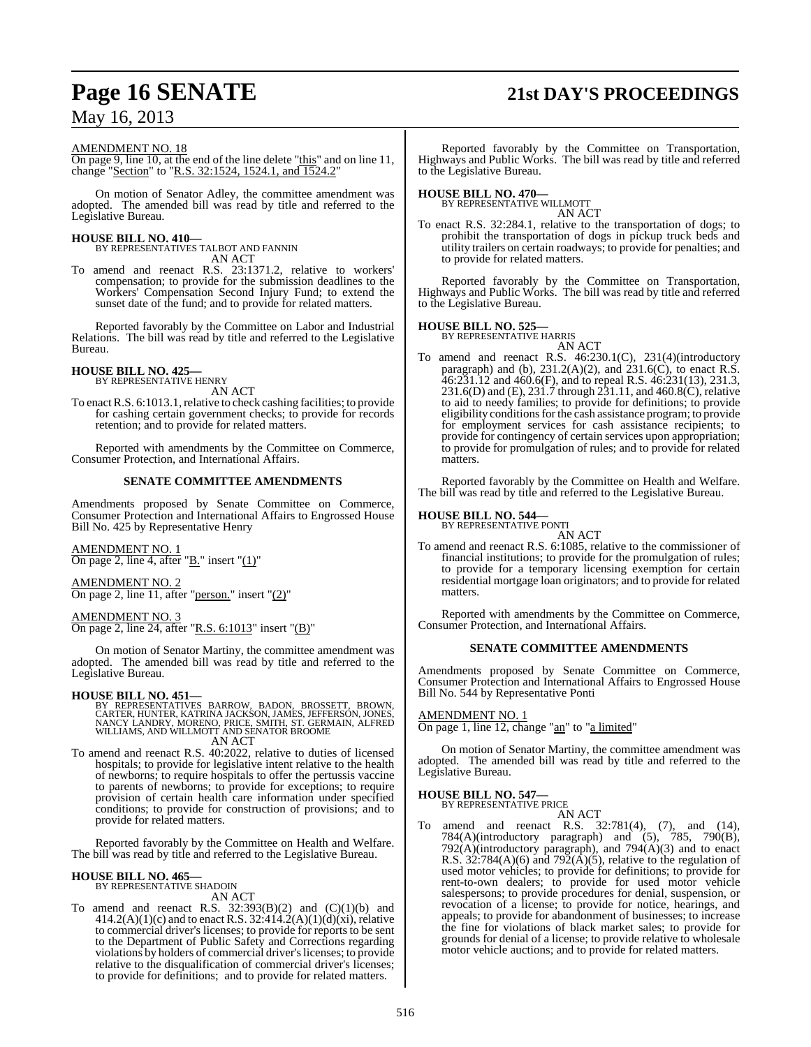# **Page 16 SENATE 21st DAY'S PROCEEDINGS**

## May 16, 2013

#### AMENDMENT NO. 18

On page 9, line 10, at the end of the line delete "this" and on line 11, change "Section" to "R.S. 32:1524, 1524.1, and 1524.2"

On motion of Senator Adley, the committee amendment was adopted. The amended bill was read by title and referred to the Legislative Bureau.

**HOUSE BILL NO. 410—** BY REPRESENTATIVES TALBOT AND FANNIN AN ACT

To amend and reenact R.S. 23:1371.2, relative to workers' compensation; to provide for the submission deadlines to the Workers' Compensation Second Injury Fund; to extend the sunset date of the fund; and to provide for related matters.

Reported favorably by the Committee on Labor and Industrial Relations. The bill was read by title and referred to the Legislative Bureau.

# **HOUSE BILL NO. 425—** BY REPRESENTATIVE HENRY

AN ACT

To enact R.S. 6:1013.1, relative to check cashing facilities; to provide for cashing certain government checks; to provide for records retention; and to provide for related matters.

Reported with amendments by the Committee on Commerce, Consumer Protection, and International Affairs.

#### **SENATE COMMITTEE AMENDMENTS**

Amendments proposed by Senate Committee on Commerce, Consumer Protection and International Affairs to Engrossed House Bill No. 425 by Representative Henry

AMENDMENT NO. 1 On page 2, line 4, after " $B$ ." insert " $(1)$ "

AMENDMENT NO. 2 On page 2, line 11, after "person." insert "(2)"

AMENDMENT NO. 3 On page 2, line 24, after "R.S. 6:1013" insert "(B)"

On motion of Senator Martiny, the committee amendment was adopted. The amended bill was read by title and referred to the Legislative Bureau.

#### **HOUSE BILL NO. 451—**

BY REPRESENTATIVES BARROW, BADON, BROSSETT, BROWN,<br>CARTER,HUNTER,KATRINA JACKSON,JAMES,JEFFERSON,JONES,<br>NANCY LANDRY,MORENO,PRICE,SMITH,ST.GERMAIN,ALFRED<br>WILLIAMS,AND WILLMOTT AND SENATOR BROOME AN ACT

To amend and reenact R.S. 40:2022, relative to duties of licensed hospitals; to provide for legislative intent relative to the health of newborns; to require hospitals to offer the pertussis vaccine to parents of newborns; to provide for exceptions; to require provision of certain health care information under specified conditions; to provide for construction of provisions; and to provide for related matters.

Reported favorably by the Committee on Health and Welfare. The bill was read by title and referred to the Legislative Bureau.

#### **HOUSE BILL NO. 465—**

BY REPRESENTATIVE SHADOIN AN ACT

To amend and reenact R.S.  $32:393(B)(2)$  and  $(C)(1)(b)$  and  $414.2(A)(1)(c)$  and to enact R.S. 32:414.2(A)(1)(d)(xi), relative to commercial driver's licenses; to provide for reports to be sent to the Department of Public Safety and Corrections regarding violations by holders of commercial driver'slicenses; to provide relative to the disqualification of commercial driver's licenses; to provide for definitions; and to provide for related matters.

Reported favorably by the Committee on Transportation, Highways and Public Works. The bill was read by title and referred to the Legislative Bureau.

**HOUSE BILL NO. 470—** BY REPRESENTATIVE WILLMOTT AN ACT

To enact R.S. 32:284.1, relative to the transportation of dogs; to prohibit the transportation of dogs in pickup truck beds and utility trailers on certain roadways; to provide for penalties; and to provide for related matters.

Reported favorably by the Committee on Transportation, Highways and Public Works. The bill was read by title and referred to the Legislative Bureau.

## **HOUSE BILL NO. 525—**

BY REPRESENTATIVE HARRIS AN ACT

To amend and reenact R.S. 46:230.1(C), 231(4)(introductory paragraph) and (b),  $231.2(A)(2)$ , and  $231.6(C)$ , to enact R.S. 46:231.12 and 460.6(F), and to repeal R.S. 46:231(13), 231.3, 231.6(D) and (E), 231.7 through 231.11, and 460.8(C), relative to aid to needy families; to provide for definitions; to provide eligibility conditionsforthe cash assistance program; to provide for employment services for cash assistance recipients; to provide for contingency of certain services upon appropriation; to provide for promulgation of rules; and to provide for related matters.

Reported favorably by the Committee on Health and Welfare. The bill was read by title and referred to the Legislative Bureau.

## **HOUSE BILL NO. 544—** BY REPRESENTATIVE PONTI

AN ACT

To amend and reenact R.S. 6:1085, relative to the commissioner of financial institutions; to provide for the promulgation of rules; to provide for a temporary licensing exemption for certain residential mortgage loan originators; and to provide for related matters.

Reported with amendments by the Committee on Commerce, Consumer Protection, and International Affairs.

#### **SENATE COMMITTEE AMENDMENTS**

Amendments proposed by Senate Committee on Commerce, Consumer Protection and International Affairs to Engrossed House Bill No. 544 by Representative Ponti

#### AMENDMENT NO. 1

On page 1, line 12, change "an" to "a limited"

On motion of Senator Martiny, the committee amendment was adopted. The amended bill was read by title and referred to the Legislative Bureau.

#### **HOUSE BILL NO. 547—**

BY REPRESENTATIVE PRICE AN ACT

To amend and reenact R.S. 32:781(4), (7), and (14), 784(A)(introductory paragraph) and (5), 785, 790(B),  $792(A)$ (introductory paragraph), and  $794(A)(3)$  and to enact R.S. 32:784(A)(6) and 792( $\hat{A}$ )(5), relative to the regulation of used motor vehicles; to provide for definitions; to provide for rent-to-own dealers; to provide for used motor vehicle salespersons; to provide procedures for denial, suspension, or revocation of a license; to provide for notice, hearings, and appeals; to provide for abandonment of businesses; to increase the fine for violations of black market sales; to provide for grounds for denial of a license; to provide relative to wholesale motor vehicle auctions; and to provide for related matters.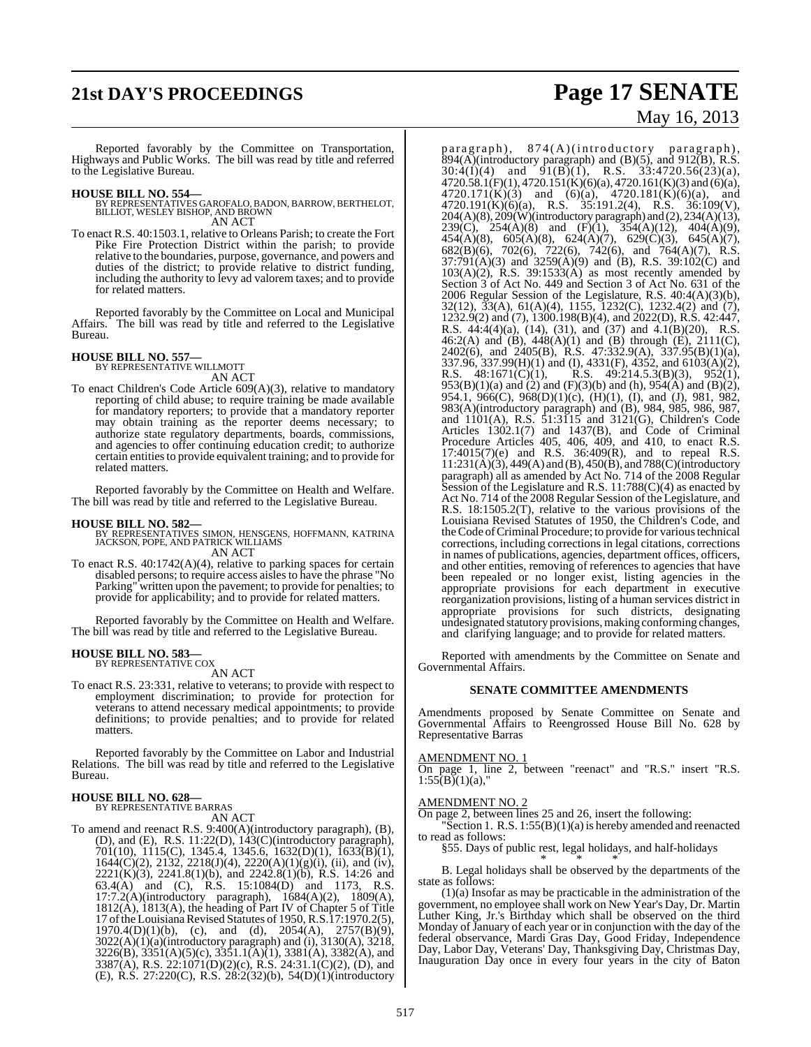# **21st DAY'S PROCEEDINGS Page 17 SENATE**

Reported favorably by the Committee on Transportation, Highways and Public Works. The bill was read by title and referred to the Legislative Bureau.

- **HOUSE BILL NO. 554—** BY REPRESENTATIVES GAROFALO, BADON, BARROW, BERTHELOT, BILLIOT, WESLEY BISHOP, AND BROWN AN ACT
- To enact R.S. 40:1503.1, relative to Orleans Parish; to create the Fort Pike Fire Protection District within the parish; to provide relative to the boundaries, purpose, governance, and powers and duties of the district; to provide relative to district funding, including the authority to levy ad valorem taxes; and to provide for related matters.

Reported favorably by the Committee on Local and Municipal Affairs. The bill was read by title and referred to the Legislative Bureau.

## **HOUSE BILL NO. 557—** BY REPRESENTATIVE WILLMOTT

AN ACT

To enact Children's Code Article 609(A)(3), relative to mandatory reporting of child abuse; to require training be made available for mandatory reporters; to provide that a mandatory reporter may obtain training as the reporter deems necessary; to authorize state regulatory departments, boards, commissions, and agencies to offer continuing education credit; to authorize certain entities to provide equivalent training; and to provide for related matters.

Reported favorably by the Committee on Health and Welfare. The bill was read by title and referred to the Legislative Bureau.

#### **HOUSE BILL NO. 582—**

BY REPRESENTATIVES SIMON, HENSGENS, HOFFMANN, KATRINA JACKSON, POPE, AND PATRICK WILLIAMS AN ACT

To enact R.S. 40:1742(A)(4), relative to parking spaces for certain disabled persons; to require access aislesto have the phrase "No Parking" written upon the pavement; to provide for penalties; to provide for applicability; and to provide for related matters.

Reported favorably by the Committee on Health and Welfare. The bill was read by title and referred to the Legislative Bureau.

## **HOUSE BILL NO. 583—** BY REPRESENTATIVE COX

AN ACT

To enact R.S. 23:331, relative to veterans; to provide with respect to employment discrimination; to provide for protection for veterans to attend necessary medical appointments; to provide definitions; to provide penalties; and to provide for related matters.

Reported favorably by the Committee on Labor and Industrial Relations. The bill was read by title and referred to the Legislative Bureau.

## **HOUSE BILL NO. 628—** BY REPRESENTATIVE BARRAS

AN ACT

To amend and reenact R.S. 9:400(A)(introductory paragraph), (B), (D), and (E), R.S. 11:22(D), 143(C)(introductory paragraph), 701(10), 1115(C), 1345.4, 1345.6, 1632(D)(1), 1633(B)(1),  $1644(C)(2)$ ,  $2132$ ,  $2218(J)(4)$ ,  $2220(A)(1)(g)(i)$ , (ii), and (iv),  $2221(K)(3)$ ,  $2241.8(1)(b)$ , and  $2242.8(1)(b)$ , R.S. 14:26 and 63.4(A) and (C), R.S. 15:1084(D) and 1173, R.S. 17:7.2(A)(introductory paragraph), 1684(A)(2), 1809(A), 1812(A), 1813(A), the heading of Part IV of Chapter 5 of Title 17 of the Louisiana Revised Statutes of 1950, R.S.17:1970.2(5),  $1970.4(D)(1)(b)$ , (c), and (d),  $2054(A)$ ,  $2757(B)(9)$ , 3022(A)(1)(a)(introductory paragraph) and (i), 3130(A), 3218,  $3226(B)$ ,  $3351(A)(5)(c)$ ,  $3351.1(A)(1)$ ,  $3381(A)$ ,  $3382(A)$ , and 3387(A), R.S. 22:1071(D)(2)(c), R.S. 24:31.1(C)(2), (D), and (E), R.S. 27:220(C), R.S. 28:2(32)(b), 54(D)(1)(introductory

# May 16, 2013

paragraph), 874(A)(introductory paragraph),  $894(A)$ (introductory paragraph) and (B)(5), and 912(B), R.S.  $30:4(I)(4)$  and  $9I(B)(1)$ , R.S.  $33:4720.56(23)(a)$ ,  $4720.58.1(F)(1)$ ,  $4720.151(K)(6)(a)$ ,  $4720.161(K)(3)$  and  $(6)(a)$ ,  $4720.171(K)(3)$  and  $(6)(a)$ ,  $4720.181(K)(6)(a)$ , and 4720.191(K)(6)(a), R.S. 35:191.2(4), R.S. 36:109(V),  $204(A)(8)$ ,  $209(W)$ (introductory paragraph) and  $(2)$ ,  $234(A)(13)$ , 239(C), 254(A)(8) and (F)(1), 354(A)(12), 404(A)(9),  $454(A)(8)$ ,  $605(A)(8)$ ,  $624(A)(7)$ ,  $629(C)(3)$ ,  $645(A)(7)$ , 682(B)(6), 702(6), 722(6), 742(6), and 764(A)(7), R.S.  $37:791(A)(3)$  and  $3259(A)(9)$  and (B), R.S. 39:102(C) and  $103(A)(2)$ , R.S.  $39:1533(A)$  as most recently amended by Section 3 of Act No. 449 and Section 3 of Act No. 631 of the 2006 Regular Session of the Legislature, R.S. 40:4(A)(3)(b), 32(12), 33(A), 61(A)(4), 1155, 1232(C), 1232.4(2) and (7), 1232.9(2) and (7), 1300.198(B)(4), and 2022(D), R.S. 42:447, R.S. 44:4(4)(a), (14), (31), and (37) and 4.1(B)(20), R.S. 46:2(A) and (B), 448(A)(1) and (B) through (E), 2111(C), 2402(6), and 2405(B), R.S. 47:332.9(A), 337.95(B)(1)(a), 337.96, 337.99(H)(1) and (I), 4331(F), 4352, and 6103(A)(2), R.S. 48:1671(C)(1), R.S. 49:214.5.3(B)(3), 952(1), 953(B)(1)(a) and (2) and (F)(3)(b) and (h), 954(A) and (B)(2), 954.1, 966(C), 968(D)(1)(c), (H)(1), (I), and (J), 981, 982, 983(A)(introductory paragraph) and (B), 984, 985, 986, 987, and 1101(A), R.S. 51:3115 and 3121(G), Children's Code Articles 1302.1(7) and 1437(B), and Code of Criminal Procedure Articles 405, 406, 409, and 410, to enact R.S. 17:4015(7)(e) and R.S. 36:409(R), and to repeal R.S. 11:231(A)(3), 449(A) and (B), 450(B), and 788(C)(introductory paragraph) all as amended by Act No. 714 of the 2008 Regular Session of the Legislature and R.S. 11:788(C)(4) as enacted by Act No. 714 of the 2008 Regular Session of the Legislature, and R.S. 18:1505.2(T), relative to the various provisions of the Louisiana Revised Statutes of 1950, the Children's Code, and the Code of Criminal Procedure; to provide for various technical corrections, including corrections in legal citations, corrections in names of publications, agencies, department offices, officers, and other entities, removing of references to agencies that have been repealed or no longer exist, listing agencies in the appropriate provisions for each department in executive reorganization provisions, listing of a human services district in appropriate provisions for such districts, designating undesignated statutory provisions,making conforming changes, and clarifying language; and to provide for related matters.

Reported with amendments by the Committee on Senate and Governmental Affairs.

#### **SENATE COMMITTEE AMENDMENTS**

Amendments proposed by Senate Committee on Senate and Governmental Affairs to Reengrossed House Bill No. 628 by Representative Barras

#### AMENDMENT NO. 1

On page 1, line 2, between "reenact" and "R.S." insert "R.S.  $1:55(B)(1)(a)$ ,

#### AMENDMENT NO. 2

On page 2, between lines 25 and 26, insert the following:

"Section 1. R.S. 1:55(B)(1)(a) is hereby amended and reenacted to read as follows:

§55. Days of public rest, legal holidays, and half-holidays

\* \* \* B. Legal holidays shall be observed by the departments of the state as follows:

(1)(a) Insofar as may be practicable in the administration of the government, no employee shall work on New Year's Day, Dr. Martin Luther King, Jr.'s Birthday which shall be observed on the third Monday of January of each year or in conjunction with the day of the federal observance, Mardi Gras Day, Good Friday, Independence Day, Labor Day, Veterans' Day, Thanksgiving Day, Christmas Day, Inauguration Day once in every four years in the city of Baton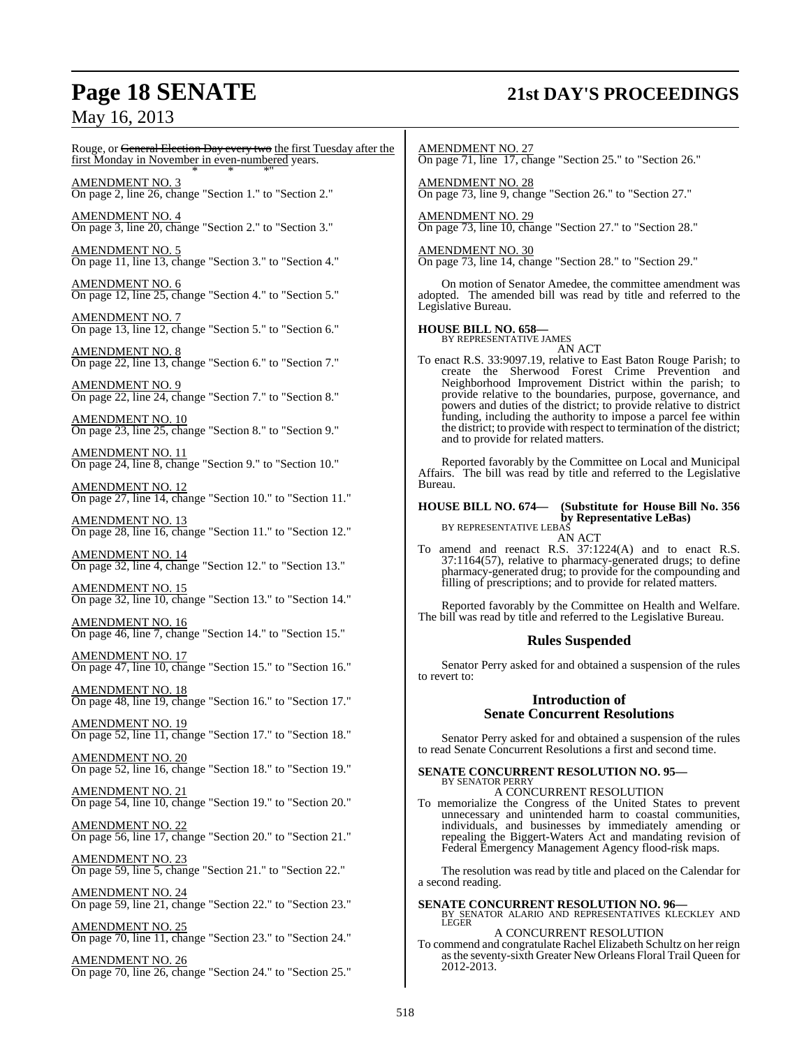## **Page 18 SENATE 21st DAY'S PROCEEDINGS**

## May 16, 2013

Rouge, or <del>General Election Day every two</del> the first Tuesday after the first Monday in November in even-numbered years. \* \* \*"

AMENDMENT NO. 3 On page 2, line 26, change "Section 1." to "Section 2."

AMENDMENT NO. 4 On page 3, line 20, change "Section 2." to "Section 3."

AMENDMENT NO. 5 On page 11, line 13, change "Section 3." to "Section 4."

AMENDMENT NO. 6 On page 12, line 25, change "Section 4." to "Section 5."

AMENDMENT NO. 7 On page 13, line 12, change "Section 5." to "Section 6."

AMENDMENT NO. 8 On page 22, line 13, change "Section 6." to "Section 7."

AMENDMENT NO. 9 On page 22, line 24, change "Section 7." to "Section 8."

AMENDMENT NO. 10 On page 23, line 25, change "Section 8." to "Section 9."

AMENDMENT NO. 11 On page 24, line 8, change "Section 9." to "Section 10."

AMENDMENT NO. 12 On page 27, line 14, change "Section 10." to "Section 11."

AMENDMENT NO. 13 On page 28, line 16, change "Section 11." to "Section 12."

AMENDMENT NO. 14 On page 32, line 4, change "Section 12." to "Section 13."

AMENDMENT NO. 15 On page 32, line 10, change "Section 13." to "Section 14."

AMENDMENT NO. 16 On page 46, line 7, change "Section 14." to "Section 15."

AMENDMENT NO. 17 On page 47, line 10, change "Section 15." to "Section 16."

AMENDMENT NO. 18 On page 48, line 19, change "Section 16." to "Section 17."

AMENDMENT NO. 19 On page 52, line 11, change "Section 17." to "Section 18."

AMENDMENT NO. 20 On page 52, line 16, change "Section 18." to "Section 19."

AMENDMENT NO. 21 On page 54, line 10, change "Section 19." to "Section 20."

<u>AMENDMENT NO. 22</u> On page 56, line 17, change "Section 20." to "Section 21."

AMENDMENT NO. 23 On page 59, line 5, change "Section 21." to "Section 22."

AMENDMENT NO. 24 On page 59, line 21, change "Section 22." to "Section 23."

AMENDMENT NO. 25 On page 70, line 11, change "Section 23." to "Section 24."

AMENDMENT NO. 26 On page 70, line 26, change "Section 24." to "Section 25." AMENDMENT NO. 27 On page 71, line 17, change "Section 25." to "Section 26."

AMENDMENT NO. 28 On page 73, line 9, change "Section 26." to "Section 27."

AMENDMENT NO. 29 On page 73, line 10, change "Section 27." to "Section 28."

AMENDMENT NO. 30 On page 73, line 14, change "Section 28." to "Section 29."

On motion of Senator Amedee, the committee amendment was adopted. The amended bill was read by title and referred to the Legislative Bureau.

**HOUSE BILL NO. 658—** BY REPRESENTATIVE JAMES

AN ACT

To enact R.S. 33:9097.19, relative to East Baton Rouge Parish; to create the Sherwood Forest Crime Prevention and Neighborhood Improvement District within the parish; to provide relative to the boundaries, purpose, governance, and powers and duties of the district; to provide relative to district funding, including the authority to impose a parcel fee within the district; to provide with respect to termination of the district; and to provide for related matters.

Reported favorably by the Committee on Local and Municipal Affairs. The bill was read by title and referred to the Legislative Bureau.

## **HOUSE BILL NO. 674— (Substitute for House Bill No. 356 by Representative LeBas)** BY REPRESENTATIVE LEBAS

AN ACT

To amend and reenact R.S. 37:1224(A) and to enact R.S. 37:1164(57), relative to pharmacy-generated drugs; to define pharmacy-generated drug; to provide for the compounding and filling of prescriptions; and to provide for related matters.

Reported favorably by the Committee on Health and Welfare. The bill was read by title and referred to the Legislative Bureau.

#### **Rules Suspended**

Senator Perry asked for and obtained a suspension of the rules to revert to:

#### **Introduction of Senate Concurrent Resolutions**

Senator Perry asked for and obtained a suspension of the rules to read Senate Concurrent Resolutions a first and second time.

# **SENATE CONCURRENT RESOLUTION NO. 95—** BY SENATOR PERRY

A CONCURRENT RESOLUTION To memorialize the Congress of the United States to prevent unnecessary and unintended harm to coastal communities, individuals, and businesses by immediately amending or repealing the Biggert-Waters Act and mandating revision of Federal Emergency Management Agency flood-risk maps.

The resolution was read by title and placed on the Calendar for a second reading.

**SENATE CONCURRENT RESOLUTION NO. 96—BY SENATOR ALARIO AND REPRESENTATIVES KLECKLEY AND LEGER** A CONCURRENT RESOLUTION To commend and congratulate Rachel Elizabeth Schultz on her reign asthe seventy-sixth Greater New Orleans Floral Trail Queen for 2012-2013.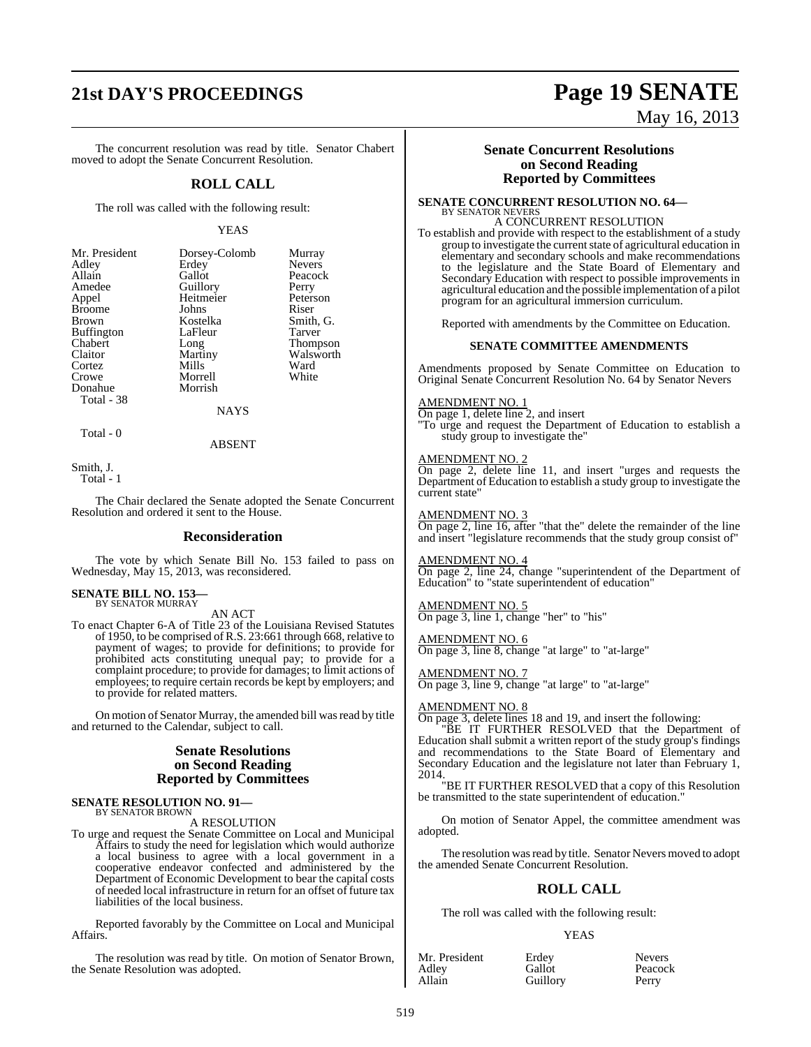# **21st DAY'S PROCEEDINGS Page 19 SENATE**

The concurrent resolution was read by title. Senator Chabert moved to adopt the Senate Concurrent Resolution.

#### **ROLL CALL**

The roll was called with the following result:

#### YEAS

Murray Nevers Peacock<br>Perry

Peterson<br>Riser

Smith, G. Tarver Thompson Walsworth Ward White

| Mr. President     | Dorsey-Colomb | Murra             |
|-------------------|---------------|-------------------|
| Adley             | Erdey         | Neve <sub>1</sub> |
| Allain            | Gallot        | Peaco             |
| Amedee            | Guillory      | Perry             |
| Appel             | Heitmeier     | Peter:            |
| <b>Broome</b>     | Johns         | Riser             |
| <b>Brown</b>      | Kostelka      | Smith             |
| <b>Buffington</b> | LaFleur       | Tarve             |
| Chabert           | Long          | Thom              |
| Claitor           | Martiny       | <b>Wals</b>       |
| Cortez            | Mills         | Ward              |
| Crowe             | Morrell       | White             |
| Donahue           | Morrish       |                   |
| Total - 38        |               |                   |
|                   | NAYS          |                   |

Total - 0

ABSENT

Smith, J.

Total - 1

The Chair declared the Senate adopted the Senate Concurrent Resolution and ordered it sent to the House.

#### **Reconsideration**

The vote by which Senate Bill No. 153 failed to pass on Wednesday, May 15, 2013, was reconsidered.

## **SENATE BILL NO. 153—** BY SENATOR MURRAY

AN ACT

To enact Chapter 6-A of Title 23 of the Louisiana Revised Statutes of 1950, to be comprised ofR.S. 23:661 through 668, relative to payment of wages; to provide for definitions; to provide for prohibited acts constituting unequal pay; to provide for a complaint procedure; to provide for damages; to limit actions of employees; to require certain records be kept by employers; and to provide for related matters.

On motion of Senator Murray, the amended bill was read by title and returned to the Calendar, subject to call.

#### **Senate Resolutions on Second Reading Reported by Committees**

#### **SENATE RESOLUTION NO. 91—** BY SENATOR BROWN

A RESOLUTION

To urge and request the Senate Committee on Local and Municipal Affairs to study the need for legislation which would authorize a local business to agree with a local government in a cooperative endeavor confected and administered by the Department of Economic Development to bear the capital costs of needed local infrastructure in return for an offset of future tax liabilities of the local business.

Reported favorably by the Committee on Local and Municipal Affairs.

The resolution was read by title. On motion of Senator Brown, the Senate Resolution was adopted.

#### **Senate Concurrent Resolutions on Second Reading Reported by Committees**

**SENATE CONCURRENT RESOLUTION NO. 64—** BY SENATOR NEVERS

## A CONCURRENT RESOLUTION

To establish and provide with respect to the establishment of a study group to investigate the currentstate of agricultural education in elementary and secondary schools and make recommendations to the legislature and the State Board of Elementary and Secondary Education with respect to possible improvements in agricultural education and the possible implementation of a pilot program for an agricultural immersion curriculum.

Reported with amendments by the Committee on Education.

#### **SENATE COMMITTEE AMENDMENTS**

Amendments proposed by Senate Committee on Education to Original Senate Concurrent Resolution No. 64 by Senator Nevers

#### AMENDMENT NO. 1

On page 1, delete line 2, and insert "To urge and request the Department of Education to establish a study group to investigate the"

#### AMENDMENT NO. 2

On page 2, delete line 11, and insert "urges and requests the Department of Education to establish a study group to investigate the current state"

#### AMENDMENT NO. 3

On page 2, line 16, after "that the" delete the remainder of the line and insert "legislature recommends that the study group consist of"

AMENDMENT NO. 4

On page 2, line 24, change "superintendent of the Department of Education" to "state superintendent of education"

#### AMENDMENT NO. 5

On page 3, line 1, change "her" to "his"

AMENDMENT NO. 6 On page 3, line 8, change "at large" to "at-large"

AMENDMENT NO. 7 On page 3, line 9, change "at large" to "at-large"

#### AMEND<u>MENT NO. 8</u>

On page 3, delete lines 18 and 19, and insert the following:

"BE IT FURTHER RESOLVED that the Department of Education shall submit a written report of the study group's findings and recommendations to the State Board of Elementary and Secondary Education and the legislature not later than February 1, 2014.

"BE IT FURTHER RESOLVED that a copy of this Resolution be transmitted to the state superintendent of education."

On motion of Senator Appel, the committee amendment was adopted.

The resolution was read by title. Senator Nevers moved to adopt the amended Senate Concurrent Resolution.

#### **ROLL CALL**

The roll was called with the following result:

**Guillory** 

#### **YEAS**

| NIT. President |  |
|----------------|--|
| Adley          |  |
|                |  |
| Allain         |  |
|                |  |

Mr. President Erdey Nevers Gallot Peacock<br>
Guillory Perry

May 16, 2013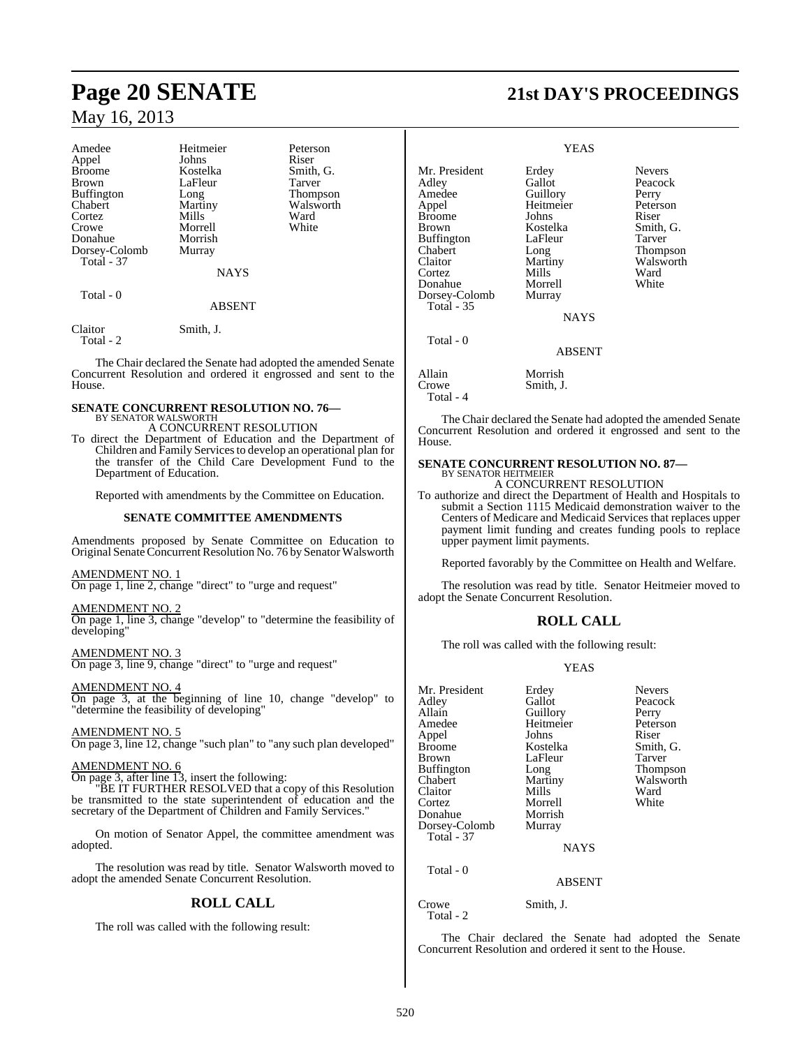| Heitmeier      | Peterson        |
|----------------|-----------------|
| Johns          | Riser           |
| Kostelka       | Smith, G.       |
| LaFleur        | Tarver          |
| Long           | <b>Thompson</b> |
| <b>Martiny</b> | Walsworth       |
| Mills          | Ward            |
| Morrell        | White           |
| Morrish        |                 |
| Murray         |                 |
|                |                 |
| <b>NAYS</b>    |                 |
|                |                 |
| <b>ABSENT</b>  |                 |
|                |                 |

Claitor Smith, J. Total - 2

The Chair declared the Senate had adopted the amended Senate Concurrent Resolution and ordered it engrossed and sent to the House.

#### **SENATE CONCURRENT RESOLUTION NO. 76—** BY SENATOR WALSWORTH

A CONCURRENT RESOLUTION

To direct the Department of Education and the Department of Children and Family Servicesto develop an operational plan for the transfer of the Child Care Development Fund to the Department of Education.

Reported with amendments by the Committee on Education.

#### **SENATE COMMITTEE AMENDMENTS**

Amendments proposed by Senate Committee on Education to Original SenateConcurrentResolution No. 76 by Senator Walsworth

#### AMENDMENT NO. 1

On page 1, line 2, change "direct" to "urge and request"

AMENDMENT NO. 2

On page 1, line 3, change "develop" to "determine the feasibility of developing"

AMENDMENT NO. 3 On page 3, line 9, change "direct" to "urge and request"

AMENDMENT NO. 4

On page 3, at the beginning of line 10, change "develop" to "determine the feasibility of developing"

AMENDMENT NO. 5 On page 3, line 12, change "such plan" to "any such plan developed"

#### AMENDMENT NO. 6

On page 3, after line 13, insert the following:

"BE IT FURTHER RESOLVED that a copy of this Resolution be transmitted to the state superintendent of education and the secretary of the Department of Children and Family Services."

On motion of Senator Appel, the committee amendment was adopted.

The resolution was read by title. Senator Walsworth moved to adopt the amended Senate Concurrent Resolution.

#### **ROLL CALL**

The roll was called with the following result:

# **Page 20 SENATE 21st DAY'S PROCEEDINGS**

#### YEAS

Mr. President Erdey Nevers<br>Adley Gallot Peacocl Gallot Peacock<br>Guillory Perry Amedee Appel Heitmeier Peterson Broome Johns<br>Brown Kostelka Kostelka Smith, G.<br>LaFleur Tarver Buffington LaFleur Tarver<br>
Chabert Long Thomp Chabert Long Thompson<br>Claitor Martiny Walsworth Claitor Martiny Walsworth<br>
Cortez Mills Ward Cortez Mills Ward Donahue Morrell White<br>Dorsey-Colomb Murray Dorsey-Colomb Total - 35 NAYS Total - 0 ABSENT Allain Morrish<br>Crowe Smith J Smith, J. Total - 4

The Chair declared the Senate had adopted the amended Senate Concurrent Resolution and ordered it engrossed and sent to the House.

#### **SENATE CONCURRENT RESOLUTION NO. 87—** BY SENATOR HEITMEIER

A CONCURRENT RESOLUTION

To authorize and direct the Department of Health and Hospitals to submit a Section 1115 Medicaid demonstration waiver to the Centers of Medicare and Medicaid Services that replaces upper payment limit funding and creates funding pools to replace upper payment limit payments.

Reported favorably by the Committee on Health and Welfare.

The resolution was read by title. Senator Heitmeier moved to adopt the Senate Concurrent Resolution.

### **ROLL CALL**

The roll was called with the following result:

#### YEAS

| Mr. President<br>Adley<br>Allain<br>Amedee<br>Appel<br><b>Broome</b><br><b>Brown</b><br><b>Buffington</b><br>Chabert<br>Claitor<br>Cortez<br>Donahue<br>Dorsey-Colomb<br><b>Total - 37</b> | Erdey<br>Gallot<br>Guillory<br>Heitmeier<br>Johns<br>Kostelka<br>LaFleur<br>Long<br>Martiny<br>Mills<br>Morrell<br>Morrish<br>Murray | <b>Nevers</b><br>Peacock<br>Perry<br>Peterson<br>Riser<br>Smith, G.<br>Tarver<br>Thompson<br>Walsworth<br>Ward<br>White |
|--------------------------------------------------------------------------------------------------------------------------------------------------------------------------------------------|--------------------------------------------------------------------------------------------------------------------------------------|-------------------------------------------------------------------------------------------------------------------------|
|                                                                                                                                                                                            | <b>NAYS</b>                                                                                                                          |                                                                                                                         |
| Total - 0                                                                                                                                                                                  | ABSENT                                                                                                                               |                                                                                                                         |

Crowe Smith, J.

Total - 2

The Chair declared the Senate had adopted the Senate Concurrent Resolution and ordered it sent to the House.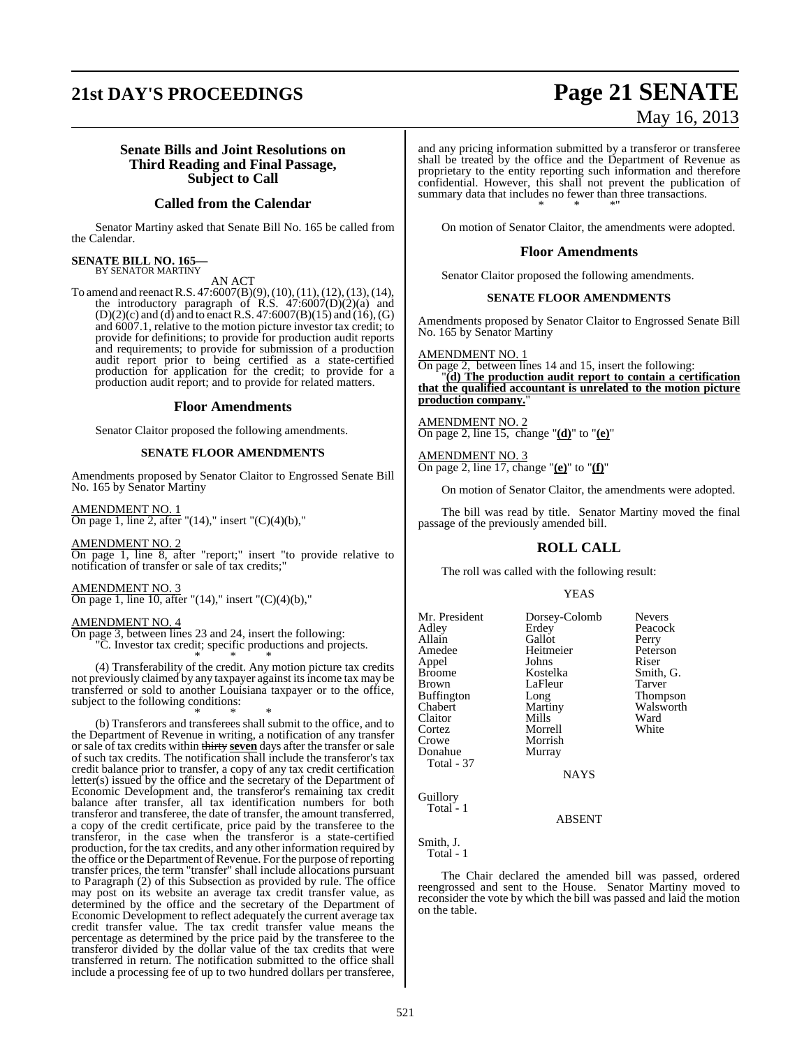## **21st DAY'S PROCEEDINGS Page 21 SENATE**

# May 16, 2013

#### **Senate Bills and Joint Resolutions on Third Reading and Final Passage, Subject to Call**

#### **Called from the Calendar**

Senator Martiny asked that Senate Bill No. 165 be called from the Calendar.

#### **SENATE BILL NO. 165—** BY SENATOR MARTINY

AN ACT

To amend and reenactR.S. 47:6007(B)(9),(10),(11),(12),(13),(14), the introductory paragraph of R.S. 47:6007(D)(2)(a) and  $(D)(2)(c)$  and (d) and to enact R.S. 47:6007(B)(15) and (16), (G) and 6007.1, relative to the motion picture investor tax credit; to provide for definitions; to provide for production audit reports and requirements; to provide for submission of a production audit report prior to being certified as a state-certified production for application for the credit; to provide for a production audit report; and to provide for related matters.

#### **Floor Amendments**

Senator Claitor proposed the following amendments.

#### **SENATE FLOOR AMENDMENTS**

Amendments proposed by Senator Claitor to Engrossed Senate Bill No. 165 by Senator Martiny

AMENDMENT NO. 1 On page 1, line 2, after "(14)," insert "(C)(4)(b),"

AMENDMENT NO. 2 On page 1, line 8, after "report;" insert "to provide relative to notification of transfer or sale of tax credits;"

AMENDMENT NO. 3 On page 1, line 10, after " $(14)$ ," insert " $(C)(4)(b)$ ,"

#### AMENDMENT NO. 4

On page 3, between lines 23 and 24, insert the following:

"C. Investor tax credit; specific productions and projects. \* \* \*

(4) Transferability of the credit. Any motion picture tax credits not previously claimed by any taxpayer against itsincome tax may be transferred or sold to another Louisiana taxpayer or to the office, subject to the following conditions: \* \* \*

(b) Transferors and transferees shall submit to the office, and to the Department of Revenue in writing, a notification of any transfer or sale of tax credits within thirty **seven** days after the transfer or sale of such tax credits. The notification shall include the transferor's tax credit balance prior to transfer, a copy of any tax credit certification letter(s) issued by the office and the secretary of the Department of Economic Development and, the transferor's remaining tax credit balance after transfer, all tax identification numbers for both transferor and transferee, the date of transfer, the amount transferred, a copy of the credit certificate, price paid by the transferee to the transferor, in the case when the transferor is a state-certified production, for the tax credits, and any other information required by the office or the Department of Revenue. For the purpose of reporting transfer prices, the term "transfer" shall include allocations pursuant to Paragraph (2) of this Subsection as provided by rule. The office may post on its website an average tax credit transfer value, as determined by the office and the secretary of the Department of Economic Development to reflect adequately the current average tax credit transfer value. The tax credit transfer value means the percentage as determined by the price paid by the transferee to the transferor divided by the dollar value of the tax credits that were transferred in return. The notification submitted to the office shall include a processing fee of up to two hundred dollars per transferee,

and any pricing information submitted by a transferor or transferee shall be treated by the office and the Department of Revenue as proprietary to the entity reporting such information and therefore confidential. However, this shall not prevent the publication of summary data that includes no fewer than three transactions. \* \* \*"

On motion of Senator Claitor, the amendments were adopted.

#### **Floor Amendments**

Senator Claitor proposed the following amendments.

#### **SENATE FLOOR AMENDMENTS**

Amendments proposed by Senator Claitor to Engrossed Senate Bill No. 165 by Senator Martiny

AMENDMENT NO. 1

On page 2, between lines 14 and 15, insert the following: "**(d) The production audit report to contain a certification that the qualified accountant is unrelated to the motion picture production company.**"

AMENDMENT NO. 2 On page 2, line 15, change "**(d)**" to "**(e)**"

AMENDMENT NO. 3 On page 2, line 17, change "**(e)**" to "**(f)**"

On motion of Senator Claitor, the amendments were adopted.

The bill was read by title. Senator Martiny moved the final passage of the previously amended bill.

### **ROLL CALL**

The roll was called with the following result:

#### YEAS

| Mr. President<br>Adley<br>Allain<br>Amedee<br>Appel<br><b>Broome</b><br><b>Brown</b><br><b>Buffington</b><br>Chabert<br>Claitor<br>Cortez<br>Crowe<br>Donahue<br>Total - 37 | Dorsey-Colomb<br>Erdey<br>Gallot<br>Heitmeier<br>Johns<br>Kostelka<br>LaFleur<br>Long<br>Martiny<br>Mills<br>Morrell<br>Morrish<br>Murray<br><b>NAYS</b> | <b>Nevers</b><br>Peacock<br>Perry<br>Peterson<br>Riser<br>Smith, G.<br>Tarver<br>Thompson<br>Walsworth<br>Ward<br>White |
|-----------------------------------------------------------------------------------------------------------------------------------------------------------------------------|----------------------------------------------------------------------------------------------------------------------------------------------------------|-------------------------------------------------------------------------------------------------------------------------|
| Guillory                                                                                                                                                                    |                                                                                                                                                          |                                                                                                                         |

ABSENT

Smith, J. Total - 1

Total<sup>-1</sup>

The Chair declared the amended bill was passed, ordered reengrossed and sent to the House. Senator Martiny moved to reconsider the vote by which the bill was passed and laid the motion on the table.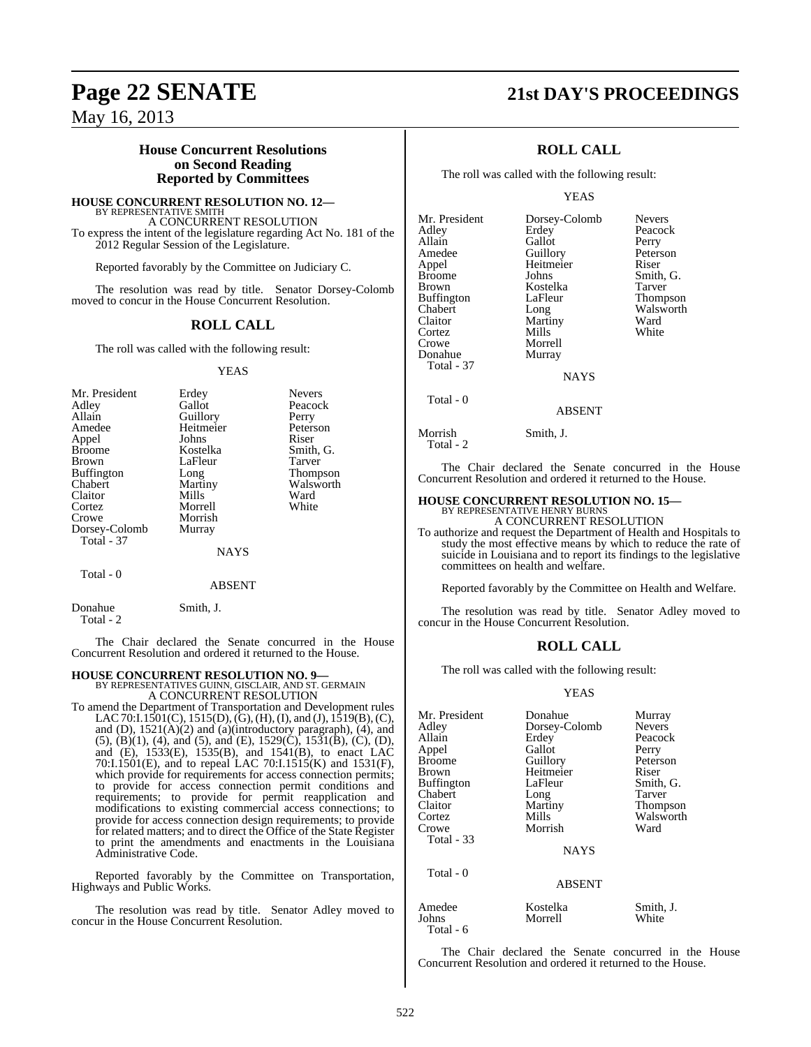## **Page 22 SENATE 21st DAY'S PROCEEDINGS**

Peacock

May 16, 2013

#### **House Concurrent Resolutions on Second Reading Reported by Committees**

**HOUSE CONCURRENT RESOLUTION NO. 12—** BY REPRESENTATIVE SMITH A CONCURRENT RESOLUTION

To express the intent of the legislature regarding Act No. 181 of the 2012 Regular Session of the Legislature.

Reported favorably by the Committee on Judiciary C.

The resolution was read by title. Senator Dorsey-Colomb moved to concur in the House Concurrent Resolution.

#### **ROLL CALL**

The roll was called with the following result:

#### YEAS

| Erdey     | <b>Nevers</b>   |
|-----------|-----------------|
| Gallot    | Peacock         |
|           | Perry           |
| Heitmeier | Peterson        |
| Johns     | Riser           |
| Kostelka  | Smith, G.       |
| LaFleur   | Tarver          |
| Long      | <b>Thompson</b> |
| Martiny   | Walsworth       |
| Mills     | Ward            |
| Morrell   | White           |
| Morrish   |                 |
| Murray    |                 |
|           |                 |
| NAYS      |                 |
|           | Guillory        |

#### Total - 0

ABSENT

Total - 2

Donahue Smith, J.

The Chair declared the Senate concurred in the House Concurrent Resolution and ordered it returned to the House.

**HOUSE CONCURRENT RESOLUTION NO. 9—**<br>BY REPRESENTATIVES GUINN, GISCLAIR, AND ST. GERMAIN<br>A CONCURRENT RESOLUTION

To amend the Department of Transportation and Development rules LAC 70:I.1501(C), 1515(D), (G), (H), (I), and (J), 1519(B), (C), and (D), 1521(A)(2) and (a)(introductory paragraph), (4), and  $(5)$ ,  $(B)(1)$ ,  $(4)$ , and  $(5)$ , and  $(E)$ ,  $1529(\dot{C})$ ,  $1531(\dot{B})$ ,  $(C)$ ,  $(D)$ , and (E), 1533(E), 1535(B), and 1541(B), to enact LAC 70:I.1501(E), and to repeal LAC 70:I.1515(K) and 1531(F), which provide for requirements for access connection permits; to provide for access connection permit conditions and requirements; to provide for permit reapplication and modifications to existing commercial access connections; to provide for access connection design requirements; to provide for related matters; and to direct the Office of the State Register to print the amendments and enactments in the Louisiana Administrative Code.

Reported favorably by the Committee on Transportation, Highways and Public Works.

The resolution was read by title. Senator Adley moved to concur in the House Concurrent Resolution.

## **ROLL CALL**

The roll was called with the following result:

#### YEAS

Mr. President Dorsey-Colomb Nevers<br>Adley Erdey Peacoc Allain Gallot Perry<br>Amedee Guillory Peterson Amedee Guillory Peters<br>
Appel Heitmeier Riser Appel Heitmeier<br>Broome Johns Broome Johns Smith, G.<br>Brown Kostelka Tarver Buffington LaFle<br>Chabert Long Chabert Long Walsworth<br>Claitor Martiny Ward Cortez<br>Crowe Crowe Morrell<br>
Donahue Murray Total - 37

Kostelka Tarver<br>LaFleur Thompson Martiny Ward<br>
Mills White Murray

**NAYS** 

ABSENT

Total - 0

Morrish Smith, J. Total - 2

The Chair declared the Senate concurred in the House Concurrent Resolution and ordered it returned to the House.

## **HOUSE CONCURRENT RESOLUTION NO. 15—**

BY REPRESENTATIVE HENRY BURNS A CONCURRENT RESOLUTION

To authorize and request the Department of Health and Hospitals to study the most effective means by which to reduce the rate of suicide in Louisiana and to report its findings to the legislative committees on health and welfare.

Reported favorably by the Committee on Health and Welfare.

The resolution was read by title. Senator Adley moved to concur in the House Concurrent Resolution.

#### **ROLL CALL**

The roll was called with the following result:

#### YEAS

| Mr. President<br>Adley<br>Allain<br>Appel<br>Broome<br>Brown<br>Buffington<br>Chabert<br>Claitor<br>Cortez<br>Crowe | Donahue<br>Dorsey-Colomb<br>Erdey<br>Gallot<br>Guillory<br>Heitmeier<br>LaFleur<br>Long<br>Martiny<br>Mills<br>Morrish | Murray<br><b>Nevers</b><br>Peacock<br>Perry<br>Peterson<br>Riser<br>Smith, G.<br>Tarver<br><b>Thompson</b><br>Walsworth<br>Ward |
|---------------------------------------------------------------------------------------------------------------------|------------------------------------------------------------------------------------------------------------------------|---------------------------------------------------------------------------------------------------------------------------------|
| Total - 33                                                                                                          | <b>NAYS</b>                                                                                                            |                                                                                                                                 |
| Total - 0                                                                                                           | <b>ABSENT</b>                                                                                                          |                                                                                                                                 |
| Amedee                                                                                                              | Kostelka                                                                                                               | Smith, J.                                                                                                                       |

Johns Morrell White

The Chair declared the Senate concurred in the House Concurrent Resolution and ordered it returned to the House.

Total - 6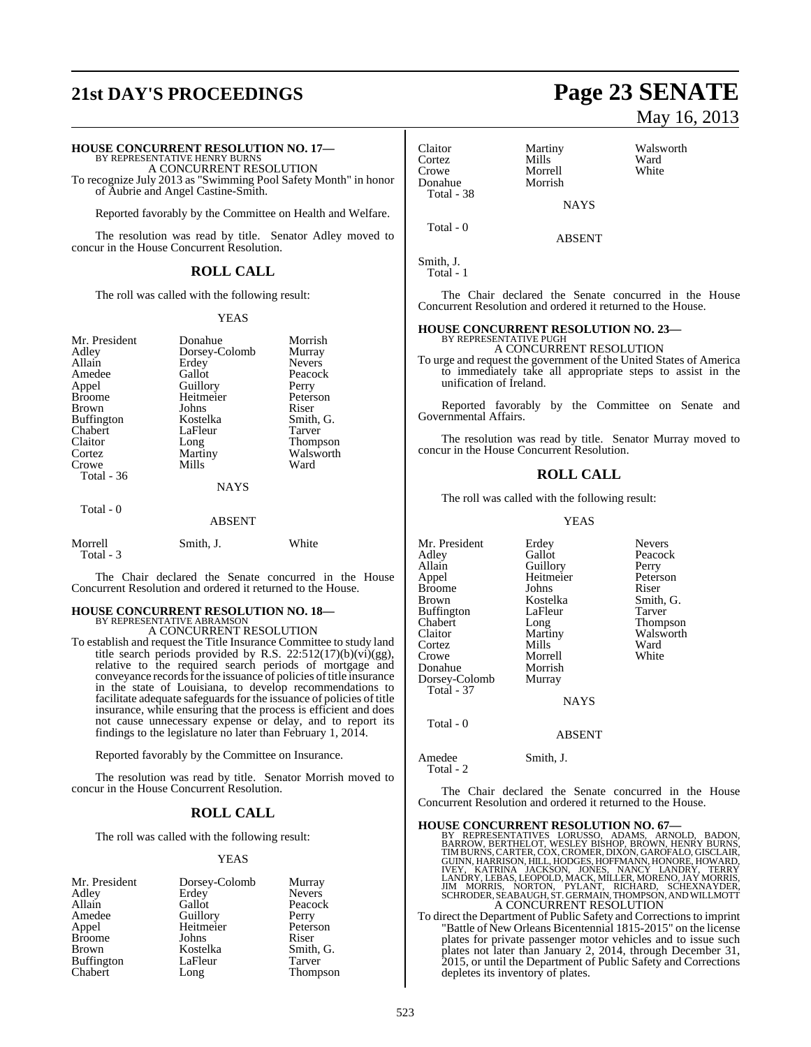# **21st DAY'S PROCEEDINGS Page 23 SENATE**

## **HOUSE CONCURRENT RESOLUTION NO. 17—** BY REPRESENTATIVE HENRY BURNS

A CONCURRENT RESOLUTION

To recognize July 2013 as "Swimming Pool Safety Month" in honor of Aubrie and Angel Castine-Smith.

Reported favorably by the Committee on Health and Welfare.

The resolution was read by title. Senator Adley moved to concur in the House Concurrent Resolution.

#### **ROLL CALL**

The roll was called with the following result:

#### YEAS

| Mr. President<br>Adley<br>Allain<br>Amedee<br>Appel<br><b>Broome</b><br>Brown<br><b>Buffington</b><br>Chabert<br>Claitor<br>Cortez<br>Crowe<br>Total $-36$ | Donahue<br>Dorsey-Colomb<br>Erdey<br>Gallot<br>Guillory<br>Heitmeier<br>Johns<br>Kostelka<br>LaFleur<br>Long<br>Martiny<br>Mills<br><b>NAYS</b> | Morrish<br>Murray<br><b>Nevers</b><br>Peacock<br>Perry<br>Peterson<br>Riser<br>Smith, G.<br>Tarver<br><b>Thompson</b><br>Walsworth<br>Ward |
|------------------------------------------------------------------------------------------------------------------------------------------------------------|-------------------------------------------------------------------------------------------------------------------------------------------------|--------------------------------------------------------------------------------------------------------------------------------------------|
| Total - 0                                                                                                                                                  | ABSENT                                                                                                                                          |                                                                                                                                            |
| Morrell<br>Total - 3                                                                                                                                       | Smith, J.                                                                                                                                       | White                                                                                                                                      |

The Chair declared the Senate concurred in the House Concurrent Resolution and ordered it returned to the House.

#### **HOUSE CONCURRENT RESOLUTION NO. 18—** BY REPRESENTATIVE ABRAMSON

A CONCURRENT RESOLUTION

To establish and request the Title Insurance Committee to study land title search periods provided by R.S. 22:512(17)(b)(vi)(gg), relative to the required search periods of mortgage and conveyance records for the issuance of policies of title insurance in the state of Louisiana, to develop recommendations to facilitate adequate safeguards for the issuance of policies of title insurance, while ensuring that the process is efficient and does not cause unnecessary expense or delay, and to report its findings to the legislature no later than February 1, 2014.

Reported favorably by the Committee on Insurance.

The resolution was read by title. Senator Morrish moved to concur in the House Concurrent Resolution.

#### **ROLL CALL**

The roll was called with the following result:

#### YEAS

| Mr. President     | Dorsey-Colomb | Murray        |
|-------------------|---------------|---------------|
| Adley             | Erdey         | <b>Nevers</b> |
| Allain            | Gallot        | Peacock       |
| Amedee            | Guillory      | Perry         |
| Appel             | Heitmeier     | Peterson      |
| <b>Broome</b>     | Johns         | Riser         |
| <b>Brown</b>      | Kostelka      | Smith, G.     |
| <b>Buffington</b> | LaFleur       | Tarver        |
| Chabert           | Long          | Thompson      |

# May 16, 2013

Claitor Martiny Walsworth<br>
Cortez Mills Ward Cortez Mills Ward<br>Crowe Morrell White Crowe Morrell<br>
Donahue Morrish Morrish Total - 38 **NAYS**  Total - 0 ABSENT

```
Smith, J.
  Total - 1
```
The Chair declared the Senate concurred in the House Concurrent Resolution and ordered it returned to the House.

## **HOUSE CONCURRENT RESOLUTION NO. 23—** BY REPRESENTATIVE PUGH

A CONCURRENT RESOLUTION

To urge and request the government of the United States of America to immediately take all appropriate steps to assist in the unification of Ireland.

Reported favorably by the Committee on Senate and Governmental Affairs.

The resolution was read by title. Senator Murray moved to concur in the House Concurrent Resolution.

#### **ROLL CALL**

The roll was called with the following result:

**Guillory** 

Morrell

YEAS

Mr. President Erdey Nevers<br>Adley Gallot Peacoc Adley Gallot Peacock Appel Heitmeier Peterson<br>Broome Johns Riser Broome Johns<br>Brown Kostelka Buffington Chabert Long Thompson<br>Claitor Martiny Walsworth Cortez Mills Ward Donahue Morrish Dorsey-Colomb Total - 37 Total - 0

Kostelka Smith, G.<br>LaFleur Tarver Martiny Walsworth<br>
Mills Ward

NAYS

#### ABSENT

Amedee Smith, J. Total - 2

The Chair declared the Senate concurred in the House Concurrent Resolution and ordered it returned to the House.

#### **HOUSE CONCURRENT RESOLUTION NO. 67—**

BY REPRESENTATIVES LORUSSO, ADAMS, ARNOLD, BADON,<br>BARROW, BERTHELOT, WESLEY BISHOP, BROWN, HENRY BURNS,<br>TIMBURNS, CARTER, COX, CROMER, DIXON, GAROFALO, GISCLAIR,<br>GUINN, HARRISON, HILL, HODGES, HOFFMANN, HONORE, HOWARD,<br>IVE A CONCURRENT RESOLUTION

To direct the Department of Public Safety and Corrections to imprint "Battle of New Orleans Bicentennial 1815-2015" on the license plates for private passenger motor vehicles and to issue such plates not later than January 2, 2014, through December 31, 2015, or until the Department of Public Safety and Corrections depletes its inventory of plates.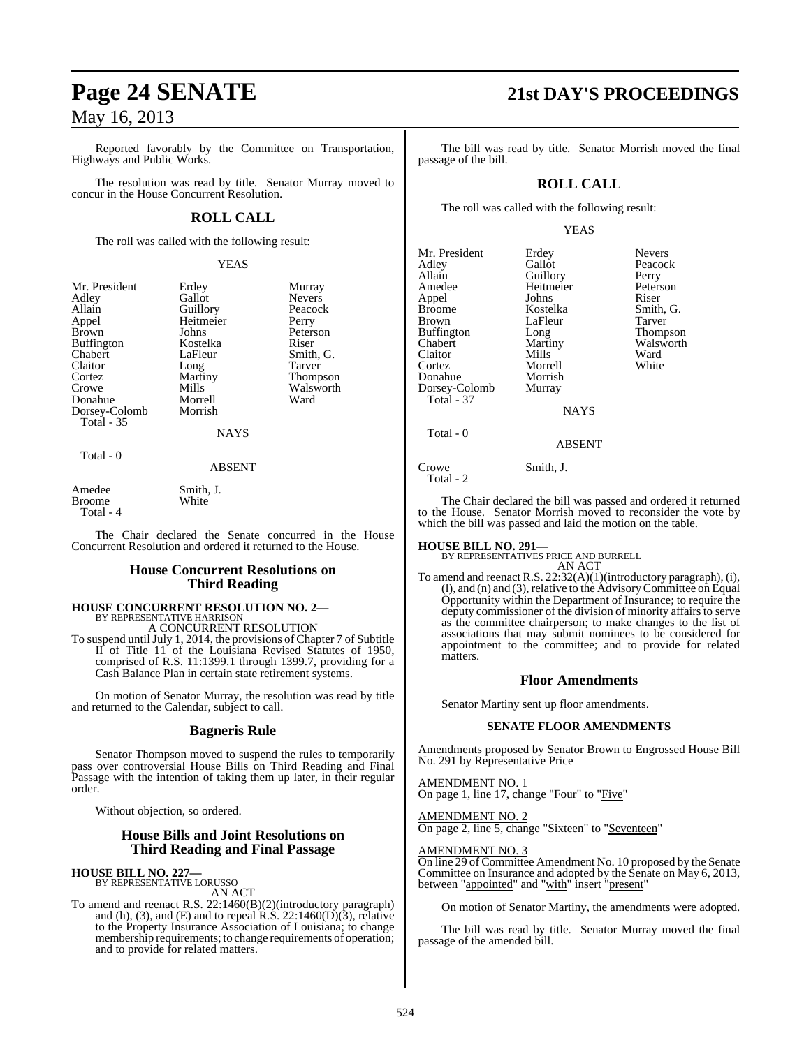Reported favorably by the Committee on Transportation, Highways and Public Works.

The resolution was read by title. Senator Murray moved to concur in the House Concurrent Resolution.

## **ROLL CALL**

The roll was called with the following result:

YEAS

Erdey Murray<br>Gallot Nevers

Peterson

Walsworth

| Mr. President |
|---------------|
| Adley         |
| Allain        |
| Appel         |
| <b>Brown</b>  |
| Buffington    |
| Chabert       |
| Claitor       |
| Cortez        |
| Crowe         |
| Donahue       |
| Dorsey-Colomb |
| Total - 35    |
|               |

Gallot Nevers<br>Guillory Peacock Guillory Peaco<br>
Heitmeier Perry Heitmeier<br>Johns Kostelka Riser<br>LaFleur Smith LaFleur Smith, G.<br>Long Tarver Long Tarver<br>Martiny Thomp Martiny Thompson<br>
Mills Walsworth Morrell Ward Morrish

NAYS

#### Total - 0

#### ABSENT

Amedee Smith, J.<br>Broome White **Broome** Total - 4

The Chair declared the Senate concurred in the House Concurrent Resolution and ordered it returned to the House.

### **House Concurrent Resolutions on Third Reading**

#### **HOUSE CONCURRENT RESOLUTION NO. 2—** BY REPRESENTATIVE HARRISON

A CONCURRENT RESOLUTION

To suspend until July 1, 2014, the provisions of Chapter 7 of Subtitle II of Title 11 of the Louisiana Revised Statutes of 1950, comprised of R.S. 11:1399.1 through 1399.7, providing for a Cash Balance Plan in certain state retirement systems.

On motion of Senator Murray, the resolution was read by title and returned to the Calendar, subject to call.

#### **Bagneris Rule**

Senator Thompson moved to suspend the rules to temporarily pass over controversial House Bills on Third Reading and Final Passage with the intention of taking them up later, in their regular order.

Without objection, so ordered.

#### **House Bills and Joint Resolutions on Third Reading and Final Passage**

**HOUSE BILL NO. 227—** BY REPRESENTATIVE LORUSSO

AN ACT To amend and reenact R.S. 22:1460(B)(2)(introductory paragraph) and (h), (3), and (E) and to repeal R.S.  $22:1460(D)(3)$ , relative to the Property Insurance Association of Louisiana; to change membership requirements; to change requirements of operation; and to provide for related matters.

## **Page 24 SENATE 21st DAY'S PROCEEDINGS**

The bill was read by title. Senator Morrish moved the final passage of the bill.

### **ROLL CALL**

The roll was called with the following result:

#### YEAS

| Mr. President     | Erdey       | <b>Nevers</b>  |
|-------------------|-------------|----------------|
| Adley             | Gallot      | Peacock        |
| Allain            | Guillory    | Perry          |
| Amedee            | Heitmeier   | Peterson       |
| Appel             | Johns       | Riser          |
| <b>Broome</b>     | Kostelka    | Smith, G       |
| <b>Brown</b>      | LaFleur     | Tarver         |
| <b>Buffington</b> | Long        | <b>Thompso</b> |
| Chabert           | Martiny     | Walswor        |
| Claitor           | Mills       | Ward           |
| Cortez            | Morrell     | White          |
| Donahue           | Morrish     |                |
| Dorsey-Colomb     | Murray      |                |
| Total - 37        |             |                |
|                   | <b>NAYS</b> |                |
| Total - 0         |             |                |
|                   | $\sqrt{2}$  |                |

Peacock<br>Perry Kostelka Smith, G.<br>LaFleur Tarver Long Thompson<br>Martiny Walsworth Walsworth<br>Ward

ABSENT

Crowe Smith, J. Total - 2

The Chair declared the bill was passed and ordered it returned to the House. Senator Morrish moved to reconsider the vote by which the bill was passed and laid the motion on the table.

**HOUSE BILL NO. 291—** BY REPRESENTATIVES PRICE AND BURRELL AN ACT

To amend and reenact R.S. 22:32(A)(1)(introductory paragraph), (i), (l), and (n) and (3), relative to the AdvisoryCommittee on Equal Opportunity within the Department of Insurance; to require the deputy commissioner of the division of minority affairs to serve as the committee chairperson; to make changes to the list of associations that may submit nominees to be considered for appointment to the committee; and to provide for related matters.

#### **Floor Amendments**

Senator Martiny sent up floor amendments.

#### **SENATE FLOOR AMENDMENTS**

Amendments proposed by Senator Brown to Engrossed House Bill No. 291 by Representative Price

AMENDMENT NO. 1 On page 1, line 17, change "Four" to "Five"

AMENDMENT NO. 2 On page 2, line 5, change "Sixteen" to "Seventeen"

#### AMENDMENT NO. 3

On line 29 of Committee Amendment No. 10 proposed by the Senate Committee on Insurance and adopted by the Senate on May 6, 2013, between "appointed" and "with" insert "present"

On motion of Senator Martiny, the amendments were adopted.

The bill was read by title. Senator Murray moved the final passage of the amended bill.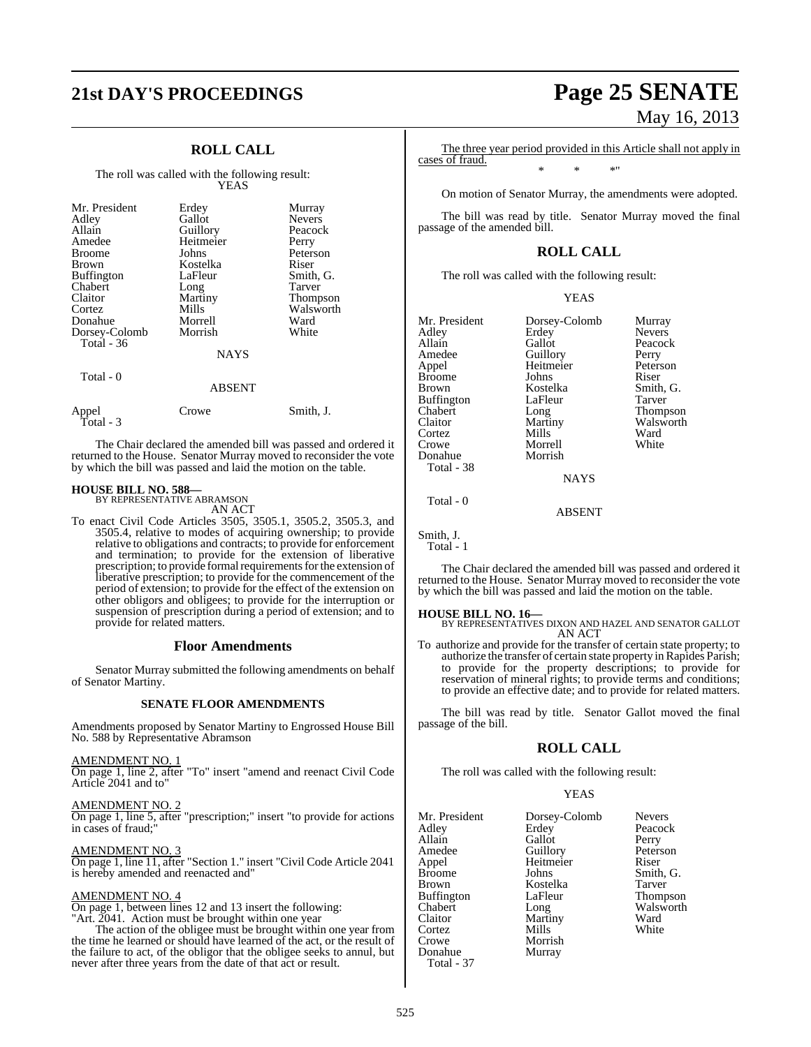# **21st DAY'S PROCEEDINGS Page 25 SENATE**

## **ROLL CALL**

The roll was called with the following result: YEAS

| Mr. President<br>Adley<br>Allain<br>Amedee<br><b>Broome</b><br><b>Brown</b><br><b>Buffington</b><br>Chabert<br>Claitor<br>Cortez<br>Donahue<br>Dorsey-Colomb<br>Total - 36<br>Total - 0 | Erdey<br>Gallot<br>Guillory<br>Heitmeier<br>Johns<br>Kostelka<br>LaFleur<br>Long<br>Martiny<br>Mills<br>Morrell<br>Morrish<br><b>NAYS</b><br><b>ABSENT</b> | Murray<br><b>Nevers</b><br>Peacock<br>Perry<br>Peterson<br>Riser<br>Smith, G.<br>Tarver<br>Thompson<br>Walsworth<br>Ward<br>White |
|-----------------------------------------------------------------------------------------------------------------------------------------------------------------------------------------|------------------------------------------------------------------------------------------------------------------------------------------------------------|-----------------------------------------------------------------------------------------------------------------------------------|
|                                                                                                                                                                                         |                                                                                                                                                            |                                                                                                                                   |
| Appel<br>Total - 3                                                                                                                                                                      | Crowe                                                                                                                                                      | Smith, J.                                                                                                                         |

The Chair declared the amended bill was passed and ordered it returned to the House. Senator Murray moved to reconsider the vote by which the bill was passed and laid the motion on the table.

## **HOUSE BILL NO. 588—** BY REPRESENTATIVE ABRAMSON

AN ACT

To enact Civil Code Articles 3505, 3505.1, 3505.2, 3505.3, and 3505.4, relative to modes of acquiring ownership; to provide relative to obligations and contracts; to provide for enforcement and termination; to provide for the extension of liberative prescription; to provide formal requirements for the extension of liberative prescription; to provide for the commencement of the period of extension; to provide for the effect of the extension on other obligors and obligees; to provide for the interruption or suspension of prescription during a period of extension; and to provide for related matters.

#### **Floor Amendments**

Senator Murray submitted the following amendments on behalf of Senator Martiny.

#### **SENATE FLOOR AMENDMENTS**

Amendments proposed by Senator Martiny to Engrossed House Bill No. 588 by Representative Abramson

AMENDMENT NO. 1 On page 1, line 2, after "To" insert "amend and reenact Civil Code Article 2041 and to"

AMENDMENT NO. 2 On page 1, line 5, after "prescription;" insert "to provide for actions in cases of fraud;"

AMENDMENT NO. 3 On page 1, line 11, after "Section 1." insert "Civil Code Article 2041 is hereby amended and reenacted and"

#### AMENDMENT NO. 4

On page 1, between lines 12 and 13 insert the following: "Art. 2041. Action must be brought within one year

The action of the obligee must be brought within one year from the time he learned or should have learned of the act, or the result of the failure to act, of the obligor that the obligee seeks to annul, but never after three years from the date of that act or result.

# May 16, 2013

The three year period provided in this Article shall not apply in cases of fraud. \* \* \*"

On motion of Senator Murray, the amendments were adopted.

The bill was read by title. Senator Murray moved the final passage of the amended bill.

### **ROLL CALL**

The roll was called with the following result:

YEAS

| Mr. President | Dorsey-Colomb | Murray        |
|---------------|---------------|---------------|
| Adley         | Erdey         | <b>Nevers</b> |
| Allain        | Gallot        | Peacock       |
| Amedee        | Guillory      | Perry         |
| Appel         | Heitmeier     | Peterson      |
| Broome        | Johns         | Riser         |
| Brown         | Kostelka      | Smith, G.     |
| Buffington    | LaFleur       | Tarver        |
| Chabert       | Long          | Thompson      |
| Claitor       | Martiny       | Walsworth     |
| Cortez        | Mills         | Ward          |
| Crowe         | Morrell       | White         |
| Donahue       | Morrish       |               |
| Total - 38    |               |               |
|               | <b>NAYS</b>   |               |
|               |               |               |

Total - 0

Smith, J. Total - 1

The Chair declared the amended bill was passed and ordered it returned to the House. Senator Murray moved to reconsider the vote by which the bill was passed and laid the motion on the table.

ABSENT

#### **HOUSE BILL NO. 16—**

BY REPRESENTATIVES DIXON AND HAZEL AND SENATOR GALLOT AN ACT

To authorize and provide for the transfer of certain state property; to authorize the transfer of certain state property in Rapides Parish; to provide for the property descriptions; to provide for reservation of mineral rights; to provide terms and conditions; to provide an effective date; and to provide for related matters.

The bill was read by title. Senator Gallot moved the final passage of the bill.

#### **ROLL CALL**

The roll was called with the following result:

#### YEAS

Peacock

Peterson

Smith, G.<br>Tarver

Thompson Walsworth<br>Ward

| Mr. President | Dorsey-Colomb | <b>Nevers</b> |
|---------------|---------------|---------------|
| Adley         | Erdey         | Peacoc.       |
| Allain        | Gallot        | Perry         |
| Amedee        | Guillory      | Peterso       |
| Appel         | Heitmeier     | Riser         |
| Broome        | Johns         | Smith,        |
| Brown         | Kostelka      | Tarver        |
| Buffington    | LaFleur       | Thomp         |
| Chabert       | Long          | <b>Walswo</b> |
| Claitor       | Martiny       | Ward          |
| Cortez        | Mills         | White         |
| Crowe         | Morrish       |               |
| Donahue       | Murray        |               |
| Total - 37    |               |               |

525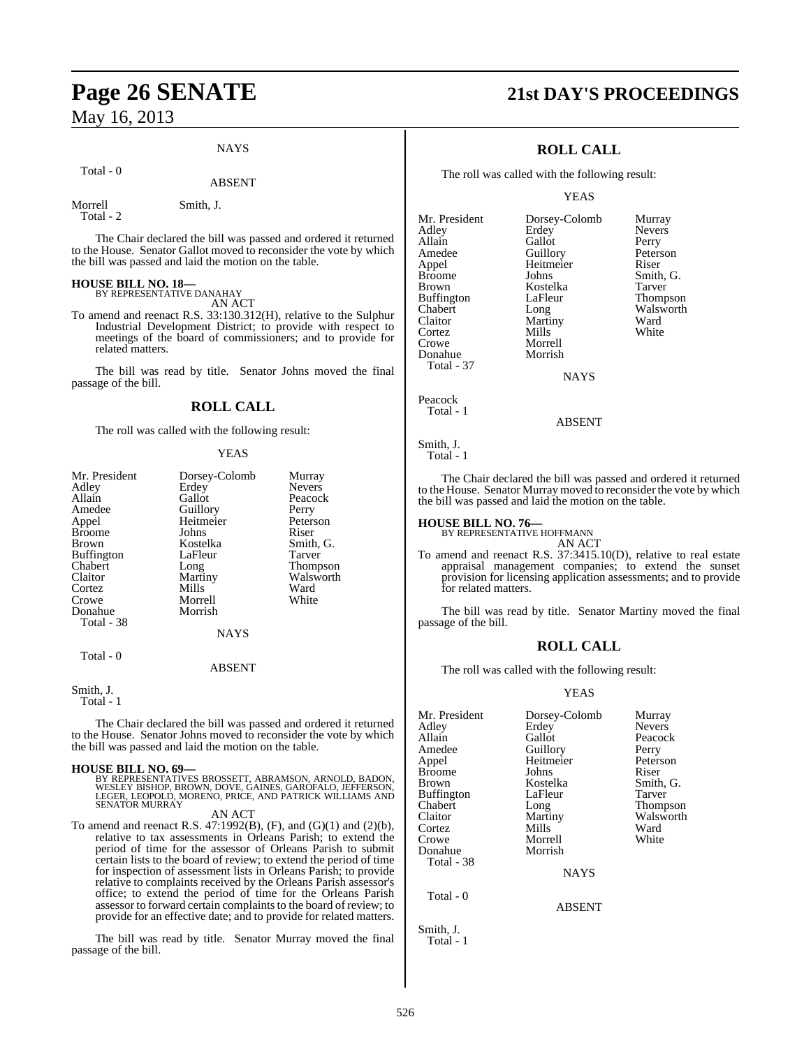#### **NAYS**

Total - 0

#### ABSENT

Morrell Smith, J.

Total - 2

The Chair declared the bill was passed and ordered it returned to the House. Senator Gallot moved to reconsider the vote by which the bill was passed and laid the motion on the table.

## **HOUSE BILL NO. 18—** BY REPRESENTATIVE DANAHAY

AN ACT

To amend and reenact R.S. 33:130.312(H), relative to the Sulphur Industrial Development District; to provide with respect to meetings of the board of commissioners; and to provide for related matters.

The bill was read by title. Senator Johns moved the final passage of the bill.

#### **ROLL CALL**

The roll was called with the following result:

#### YEAS

| Mr. President     | Dorsey-Colomb | Murray        |
|-------------------|---------------|---------------|
| Adley             | Erdey         | <b>Nevers</b> |
| Allain            | Gallot        | Peacock       |
| Amedee            | Guillory      | Perry         |
| Appel             | Heitmeier     | Peterson      |
| <b>Broome</b>     | Johns         | Riser         |
| Brown             | Kostelka      | Smith, G.     |
| <b>Buffington</b> | LaFleur       | Tarver        |
| Chabert           | Long          | Thompson      |
| Claitor           | Martiny       | Walsworth     |
| Cortez            | Mills         | Ward          |
| Crowe             | Morrell       | White         |
| Donahue           | Morrish       |               |
| Total - 38        |               |               |
|                   | NAYS          |               |
| Total - 0         |               |               |

#### ABSENT

Smith, J.

Total - 1

The Chair declared the bill was passed and ordered it returned to the House. Senator Johns moved to reconsider the vote by which the bill was passed and laid the motion on the table.

**HOUSE BILL NO. 69—**<br>BY REPRESENTATIVES BROSSETT, ABRAMSON, ARNOLD, BADON, WESLEY BISHOP, BROWN, DOVE, GAINES, GAROFALO, JEFFERSON,<br>LEGER, LEOPOLD, MORENO, PRICE, AND PATRICK WILLIAMS AND<br>SENATOR MURRAY

AN ACT

To amend and reenact R.S. 47:1992(B), (F), and (G)(1) and (2)(b), relative to tax assessments in Orleans Parish; to extend the period of time for the assessor of Orleans Parish to submit certain lists to the board of review; to extend the period of time for inspection of assessment lists in Orleans Parish; to provide relative to complaints received by the Orleans Parish assessor's office; to extend the period of time for the Orleans Parish assessor to forward certain complaints to the board of review; to provide for an effective date; and to provide for related matters.

The bill was read by title. Senator Murray moved the final passage of the bill.

## **Page 26 SENATE 21st DAY'S PROCEEDINGS**

### **ROLL CALL**

The roll was called with the following result:

Morrell<br>Morrish

#### YEAS

Mr. President Dorsey-Colomb Murray<br>Adley Erdey Nevers Adley Erdey Nevers Allain Gallot Perry<br>
Amedee Guillory Peterson Amedee Guillory Peters<br>
Appel Heitmeier Riser Appel Heitmeier<br>Broome Johns Broome Johns Smith, G.<br>Brown Kostelka Tarver Buffington LaFle<br>Chabert Long Chabert Long Walsworth<br>Claitor Martiny Ward Cortez<br>Crowe Donahue Total - 37

**NAYS** 

Kostelka Tarver<br>LaFleur Thompson

Martiny Ward<br>
Mills White

Peacock Total - 1

ABSENT

Smith, J. Total - 1

The Chair declared the bill was passed and ordered it returned to the House. Senator Murray moved to reconsider the vote by which the bill was passed and laid the motion on the table.

## **HOUSE BILL NO. 76—** BY REPRESENTATIVE HOFFMANN

AN ACT

To amend and reenact R.S. 37:3415.10(D), relative to real estate appraisal management companies; to extend the sunset provision for licensing application assessments; and to provide for related matters.

The bill was read by title. Senator Martiny moved the final passage of the bill.

#### **ROLL CALL**

The roll was called with the following result:

#### YEAS

| Mr. President | Dorsey-Colomb | Murray        |
|---------------|---------------|---------------|
| Adley         | Erdey         | <b>Nevers</b> |
| Allain        | Gallot        | Peacock       |
| Amedee        | Guillory      | Perry         |
| Appel         | Heitmeier     | Peterson      |
| <b>Broome</b> | Johns         | Riser         |
| Brown         | Kostelka      | Smith, G.     |
| Buffington    | LaFleur       | Tarver        |
| Chabert       | Long          | Thompson      |
| Claitor       | Martiny       | Walsworth     |
| Cortez        | Mills         | Ward          |
| Crowe         | Morrell       | White         |
| Donahue       | Morrish       |               |
| Total - 38    |               |               |
|               | <b>NAYS</b>   |               |
| Total - 0     |               |               |
|               | <b>ABSENT</b> |               |

Smith, J. Total - 1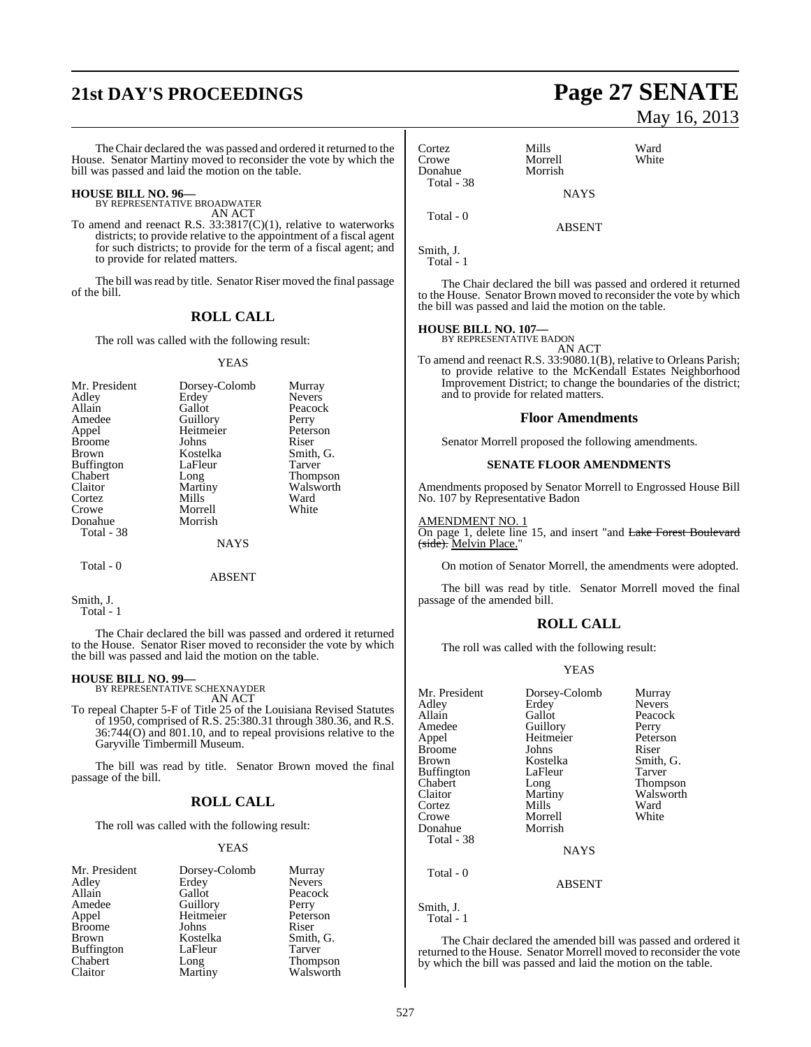# **21st DAY'S PROCEEDINGS Page 27 SENATE**

TheChair declared the was passed and ordered it returned to the House. Senator Martiny moved to reconsider the vote by which the bill was passed and laid the motion on the table.

## **HOUSE BILL NO. 96—** BY REPRESENTATIVE BROADWATER

AN ACT

To amend and reenact R.S. 33:3817(C)(1), relative to waterworks districts; to provide relative to the appointment of a fiscal agent for such districts; to provide for the term of a fiscal agent; and to provide for related matters.

The bill was read by title. Senator Riser moved the final passage of the bill.

#### **ROLL CALL**

The roll was called with the following result:

#### YEAS

| Mr. President     | Dorsey-Colomb | Murray        |
|-------------------|---------------|---------------|
| Adley             | Erdey         | <b>Nevers</b> |
| Allain            | Gallot        | Peacock       |
| Amedee            | Guillory      | Perry         |
| Appel             | Heitmeier     | Peterson      |
| <b>Broome</b>     | Johns         | Riser         |
| <b>Brown</b>      | Kostelka      | Smith, G.     |
| <b>Buffington</b> | LaFleur       | Tarver        |
| Chabert           | Long          | Thompson      |
| Claitor           | Martiny       | Walsworth     |
| Cortez            | Mills         | Ward          |
| Crowe             | Morrell       | White         |
| Donahue           | Morrish       |               |
| Total - 38        |               |               |
|                   | NAYS          |               |
|                   |               |               |

#### Total - 0

ABSENT

Smith, J.

Total - 1

The Chair declared the bill was passed and ordered it returned to the House. Senator Riser moved to reconsider the vote by which the bill was passed and laid the motion on the table.

**HOUSE BILL NO. 99—** BY REPRESENTATIVE SCHEXNAYDER

AN ACT

To repeal Chapter 5-F of Title 25 of the Louisiana Revised Statutes of 1950, comprised of R.S. 25:380.31 through 380.36, and R.S. 36:744(O) and 801.10, and to repeal provisions relative to the Garyville Timbermill Museum.

The bill was read by title. Senator Brown moved the final passage of the bill.

#### **ROLL CALL**

The roll was called with the following result:

#### YEAS

| Mr. President     | Dorsey-Colomb | Murray        |
|-------------------|---------------|---------------|
| Adley             | Erdey         | <b>Nevers</b> |
| Allain            | Gallot        | Peacock       |
| Amedee            | Guillory      | Perry         |
| Appel             | Heitmeier     | Peterson      |
| <b>Broome</b>     | Johns         | Riser         |
| <b>Brown</b>      | Kostelka      | Smith, G.     |
| <b>Buffington</b> | LaFleur       | Tarver        |
| Chabert           | Long          | Thompson      |
| Claitor           | Martiny       | Walsworth     |

# May 16, 2013

| Cortez<br>Crowe<br>Donahue<br>Total - 38 | Mills<br>Morrell<br>Morrish | Ward<br>White |
|------------------------------------------|-----------------------------|---------------|
|                                          | <b>NAYS</b>                 |               |
| Total $-0$                               | <b>ABSENT</b>               |               |
|                                          |                             |               |

Smith, J. Total - 1

The Chair declared the bill was passed and ordered it returned to the House. Senator Brown moved to reconsider the vote by which the bill was passed and laid the motion on the table.

## **HOUSE BILL NO. 107—** BY REPRESENTATIVE BADON

AN ACT

To amend and reenact R.S. 33:9080.1(B), relative to Orleans Parish; to provide relative to the McKendall Estates Neighborhood Improvement District; to change the boundaries of the district; and to provide for related matters.

#### **Floor Amendments**

Senator Morrell proposed the following amendments.

#### **SENATE FLOOR AMENDMENTS**

Amendments proposed by Senator Morrell to Engrossed House Bill No. 107 by Representative Badon

AMENDMENT NO. 1

On page 1, delete line 15, and insert "and Lake Forest Boulevard (side). Melvin Place.

On motion of Senator Morrell, the amendments were adopted.

The bill was read by title. Senator Morrell moved the final passage of the amended bill.

### **ROLL CALL**

The roll was called with the following result:

#### YEAS

| Mr. President<br>Adley<br>Allain<br>Amedee<br>Appel<br><b>Broome</b><br>Brown<br><b>Buffington</b> | Dorsey-Colomb<br>Erdey<br>Gallot<br>Guillory<br>Heitmeier<br>Johns<br>Kostelka<br>LaFleur | Murray<br><b>Nevers</b><br>Peacock<br>Perry<br>Peterson<br>Riser<br>Smith, G.<br>Tarver |
|----------------------------------------------------------------------------------------------------|-------------------------------------------------------------------------------------------|-----------------------------------------------------------------------------------------|
| Chabert                                                                                            | Long                                                                                      | <b>Thompson</b>                                                                         |
| Claitor                                                                                            | Martiny                                                                                   | Walsworth                                                                               |
| Cortez                                                                                             | Mills                                                                                     | Ward                                                                                    |
| Crowe                                                                                              | Morrell                                                                                   | White                                                                                   |
| Donahue                                                                                            | Morrish                                                                                   |                                                                                         |
| Total - 38                                                                                         |                                                                                           |                                                                                         |
|                                                                                                    | <b>NAYS</b>                                                                               |                                                                                         |
| Total - 0                                                                                          | <b>ABSENT</b>                                                                             |                                                                                         |
| Smith, J.                                                                                          |                                                                                           |                                                                                         |

Total - 1

The Chair declared the amended bill was passed and ordered it returned to the House. Senator Morrell moved to reconsider the vote by which the bill was passed and laid the motion on the table.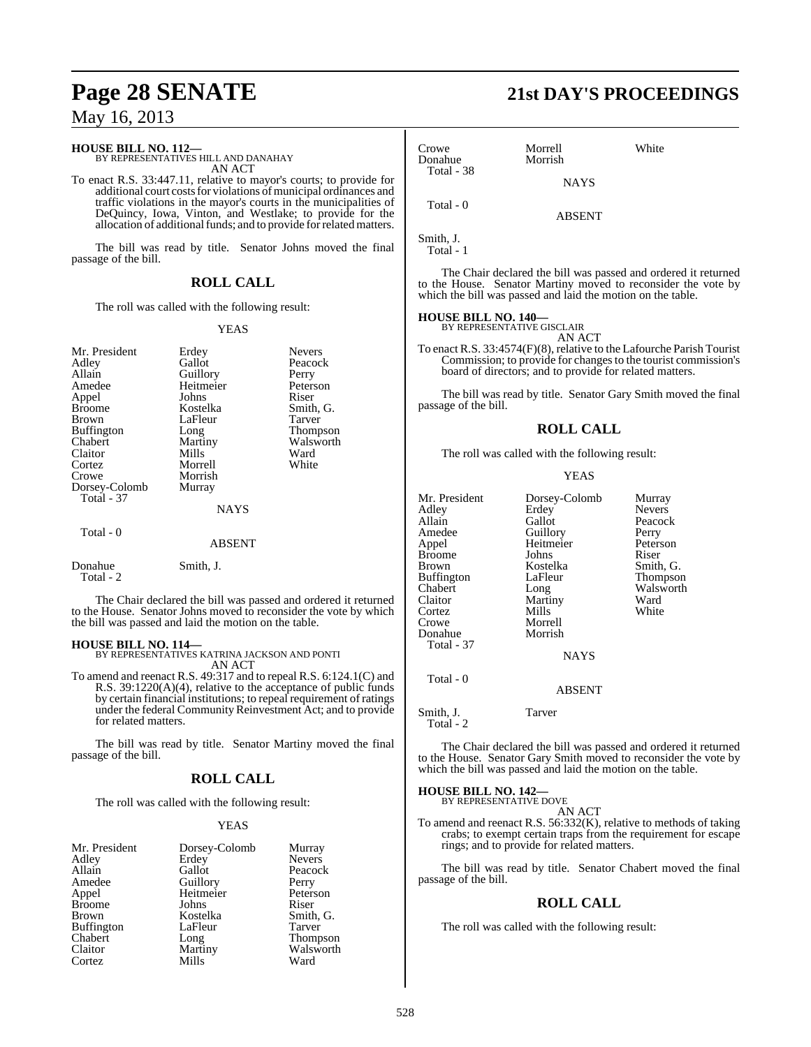#### **HOUSE BILL NO. 112—**

BY REPRESENTATIVES HILL AND DANAHAY AN ACT

To enact R.S. 33:447.11, relative to mayor's courts; to provide for additional court costs for violations of municipal ordinances and traffic violations in the mayor's courts in the municipalities of DeQuincy, Iowa, Vinton, and Westlake; to provide for the allocation of additional funds; and to provide for related matters.

The bill was read by title. Senator Johns moved the final passage of the bill.

#### **ROLL CALL**

The roll was called with the following result:

#### YEAS

| Mr. President<br>Adley<br>Allain<br>Amedee<br>Appel<br><b>Broome</b><br><b>Brown</b><br><b>Buffington</b> | Erdey<br>Gallot<br>Guillory<br>Heitmeier<br>Johns<br>Kostelka<br>LaFleur<br>Long | <b>Nevers</b><br>Peacock<br>Perry<br>Peterson<br>Riser<br>Smith, G.<br>Tarver<br>Thompson |
|-----------------------------------------------------------------------------------------------------------|----------------------------------------------------------------------------------|-------------------------------------------------------------------------------------------|
| Chabert<br>Claitor<br>Cortez<br>Crowe<br>Dorsey-Colomb<br>Total - 37                                      | Martiny<br>Mills<br>Morrell<br>Morrish<br>Murray<br><b>NAYS</b>                  | Walsworth<br>Ward<br>White                                                                |
| Total - 0                                                                                                 | ABSENT                                                                           |                                                                                           |
| Donahue<br>Total - 2                                                                                      | Smith, J.                                                                        |                                                                                           |

The Chair declared the bill was passed and ordered it returned to the House. Senator Johns moved to reconsider the vote by which the bill was passed and laid the motion on the table.

#### **HOUSE BILL NO. 114—**

BY REPRESENTATIVES KATRINA JACKSON AND PONTI AN ACT

To amend and reenact R.S. 49:317 and to repeal R.S. 6:124.1(C) and R.S. 39:1220(A)(4), relative to the acceptance of public funds by certain financial institutions; to repeal requirement of ratings under the federal Community Reinvestment Act; and to provide for related matters.

The bill was read by title. Senator Martiny moved the final passage of the bill.

#### **ROLL CALL**

The roll was called with the following result:

#### YEAS

| Mr. President     | Dorsey-Colomb | Murray                |
|-------------------|---------------|-----------------------|
| Adley             | Erdey         | <b>Nevers</b>         |
| Allain            | Gallot        | Peacock               |
| Amedee            | Guillory      | Perry                 |
| Appel             | Heitmeier     | Peterson              |
| <b>Broome</b>     | Johns         | Riser                 |
| <b>Brown</b>      | Kostelka      | Smith, G.             |
| <b>Buffington</b> | LaFleur       | Tarver                |
| Chabert           | Long          | Thompson<br>Walsworth |
| Claitor           | Martiny       |                       |
| Cortez            | Mills         | Ward                  |

# **Page 28 SENATE 21st DAY'S PROCEEDINGS**

| Crowe<br>Donahue<br>Total - 38 | Morrell<br>Morrish | White |  |
|--------------------------------|--------------------|-------|--|
|                                | <b>NAYS</b>        |       |  |
| Total - 0                      | <b>ABSENT</b>      |       |  |
| Smith, J.                      |                    |       |  |

Total - 1

The Chair declared the bill was passed and ordered it returned to the House. Senator Martiny moved to reconsider the vote by which the bill was passed and laid the motion on the table.

#### **HOUSE BILL NO. 140—**

BY REPRESENTATIVE GISCLAIR AN ACT

To enact R.S. 33:4574(F)(8), relative to the Lafourche Parish Tourist Commission; to provide for changesto the tourist commission's board of directors; and to provide for related matters.

The bill was read by title. Senator Gary Smith moved the final passage of the bill.

#### **ROLL CALL**

The roll was called with the following result:

#### YEAS

| Mr. President | Dorsey-Colomb | Murray        |
|---------------|---------------|---------------|
| Adlev         | Erdey         | <b>Nevers</b> |
| Allain        | Gallot        | Peacock       |
| Amedee        | Guillory      | Perry         |
| Appel         | Heitmeier     | Peterson      |
| Broome        | Johns         | Riser         |
| Brown         | Kostelka      | Smith, G.     |
| Buffington    | LaFleur       | Thompson      |
| Chabert       | Long          | Walsworth     |
| Claitor       | Martiny       | Ward          |
| Cortez        | Mills         | White         |
| Crowe         | Morrell       |               |
| Donahue       | Morrish       |               |
| Total - 37    |               |               |
|               | <b>NAYS</b>   |               |
| Total - 0     | <b>ABSENT</b> |               |

Smith, J. Tarver Total - 2

The Chair declared the bill was passed and ordered it returned to the House. Senator Gary Smith moved to reconsider the vote by which the bill was passed and laid the motion on the table.

**HOUSE BILL NO. 142—**

BY REPRESENTATIVE DOVE AN ACT

To amend and reenact R.S. 56:332(K), relative to methods of taking crabs; to exempt certain traps from the requirement for escape rings; and to provide for related matters.

The bill was read by title. Senator Chabert moved the final passage of the bill.

## **ROLL CALL**

The roll was called with the following result: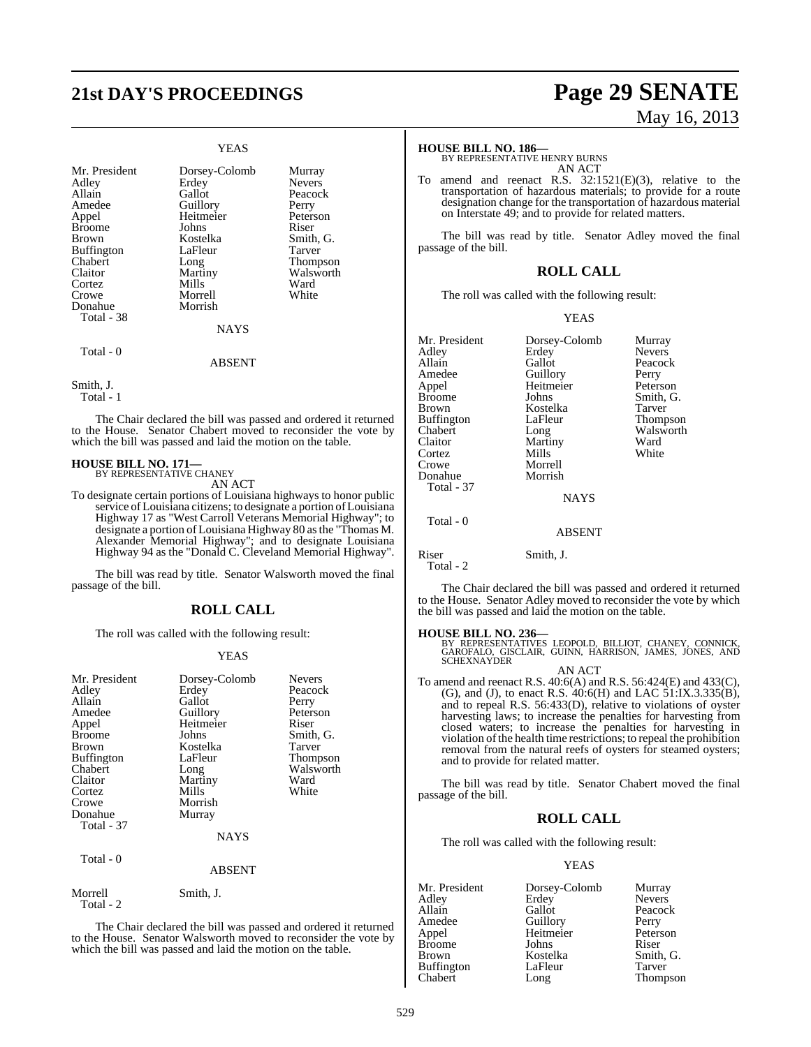## **21st DAY'S PROCEEDINGS Page 29 SENATE**

## YEAS

| Mr. President<br>Adley<br>Allain<br>Amedee<br>Appel<br>Broome<br>Brown<br>Buffington<br>Chabert<br>Claitor<br>Cortez | Dorsey-Colomb<br>Erdey<br>Gallot<br>Guillory<br>Heitmeier<br>Johns<br>Kostelka<br>LaFleur<br>Long<br>Martiny<br>Mills | Murray<br><b>Nevers</b><br>Peacock<br>Perry<br>Peterson<br>Riser<br>Smith, G.<br>Tarver<br>Thompson<br>Walsworth<br>Ward |
|----------------------------------------------------------------------------------------------------------------------|-----------------------------------------------------------------------------------------------------------------------|--------------------------------------------------------------------------------------------------------------------------|
| Crowe<br>Donahue                                                                                                     | Morrell<br>Morrish                                                                                                    | White                                                                                                                    |
| Total - 38                                                                                                           | <b>NAYS</b>                                                                                                           |                                                                                                                          |
| Total - 0                                                                                                            | <b>ABSENT</b>                                                                                                         |                                                                                                                          |

Smith, J.

Total - 1

The Chair declared the bill was passed and ordered it returned to the House. Senator Chabert moved to reconsider the vote by which the bill was passed and laid the motion on the table.

# **HOUSE BILL NO. 171—** BY REPRESENTATIVE CHANEY

AN ACT

To designate certain portions of Louisiana highways to honor public service of Louisiana citizens; to designate a portion of Louisiana Highway 17 as "West Carroll Veterans Memorial Highway"; to designate a portion of Louisiana Highway 80 asthe "Thomas M. Alexander Memorial Highway"; and to designate Louisiana Highway 94 as the "Donald C. Cleveland Memorial Highway".

The bill was read by title. Senator Walsworth moved the final passage of the bill.

## **ROLL CALL**

The roll was called with the following result:

#### YEAS

| Mr. President<br>Adley<br>Allain<br>Amedee<br>Appel<br><b>Broome</b><br>Brown<br><b>Buffington</b><br>Chabert<br>Claitor<br>Cortez<br>Crowe<br>Donahue<br><b>Total</b> - 37<br>Total - 0 | Dorsey-Colomb<br>Erdey<br>Gallot<br>Guillory<br>Heitmeier<br>Johns<br>Kostelka<br>LaFleur<br>Long<br>Martiny<br>Mills<br>Morrish<br>Murray<br><b>NAYS</b> | <b>Nevers</b><br>Peacock<br>Perry<br>Peterson<br>Riser<br>Smith, G.<br>Tarver<br><b>Thompson</b><br>Walsworth<br>Ward<br>White |
|------------------------------------------------------------------------------------------------------------------------------------------------------------------------------------------|-----------------------------------------------------------------------------------------------------------------------------------------------------------|--------------------------------------------------------------------------------------------------------------------------------|
|                                                                                                                                                                                          | <b>ABSENT</b>                                                                                                                                             |                                                                                                                                |
| Morrell<br>Total - 2                                                                                                                                                                     | Smith, J.                                                                                                                                                 |                                                                                                                                |

The Chair declared the bill was passed and ordered it returned to the House. Senator Walsworth moved to reconsider the vote by which the bill was passed and laid the motion on the table.

# May 16, 2013

#### **HOUSE BILL NO. 186—**

BY REPRESENTATIVE HENRY BURNS AN ACT

To amend and reenact R.S. 32:1521(E)(3), relative to the transportation of hazardous materials; to provide for a route designation change for the transportation of hazardous material on Interstate 49; and to provide for related matters.

The bill was read by title. Senator Adley moved the final passage of the bill.

#### **ROLL CALL**

The roll was called with the following result:

#### YEAS

| Mr. President<br>Adley<br>Allain<br>Amedee<br>Appel | Dorsey-Colomb<br>Erdey<br>Gallot<br>Guillory<br>Heitmeier | Murray<br><b>Nevers</b><br>Peacock<br>Perry<br>Peterson |
|-----------------------------------------------------|-----------------------------------------------------------|---------------------------------------------------------|
| Brown<br>Buffington                                 | Kostelka<br>LaFleur                                       | Tarver<br>Thompson                                      |
| Chabert                                             | Long                                                      | Walsworth                                               |
| Claitor                                             | Martiny                                                   | Ward                                                    |
| Cortez                                              | Mills                                                     | White                                                   |
| Crowe                                               | Morrell                                                   |                                                         |
| Donahue                                             | Morrish                                                   |                                                         |
| <b>Total - 37</b>                                   |                                                           |                                                         |
|                                                     | <b>NAYS</b>                                               |                                                         |
| Total - 0                                           |                                                           |                                                         |
|                                                     | <b>ABSENT</b>                                             |                                                         |
| Riser                                               | Smith, J.                                                 |                                                         |

 $Total - 2$ 

The Chair declared the bill was passed and ordered it returned to the House. Senator Adley moved to reconsider the vote by which the bill was passed and laid the motion on the table.

**HOUSE BILL NO. 236—** BY REPRESENTATIVES LEOPOLD, BILLIOT, CHANEY, CONNICK, GAROFALO, GISCLAIR, GUINN, HARRISON, JAMES, JONES, AND SCHEXNAYDER

AN ACT To amend and reenact R.S. 40:6(A) and R.S. 56:424(E) and 433(C), (G), and (J), to enact R.S. 40:6(H) and LAC 51:IX.3.335(B), and to repeal R.S. 56:433(D), relative to violations of oyster harvesting laws; to increase the penalties for harvesting from closed waters; to increase the penalties for harvesting in violation of the health time restrictions; to repeal the prohibition removal from the natural reefs of oysters for steamed oysters; and to provide for related matter.

The bill was read by title. Senator Chabert moved the final passage of the bill.

#### **ROLL CALL**

The roll was called with the following result:

#### YEAS

| Mr. President     | Dorsey-Colomb | Murray        |
|-------------------|---------------|---------------|
| Adley             | Erdey         | <b>Nevers</b> |
| Allain            | Gallot        | Peacock       |
| Amedee            | Guillory      | Perry         |
| Appel             | Heitmeier     | Peterson      |
| <b>Broome</b>     | Johns         | Riser         |
| Brown             | Kostelka      | Smith, G.     |
| <b>Buffington</b> | LaFleur       | Tarver        |
| Chabert           | Long          | Thompson      |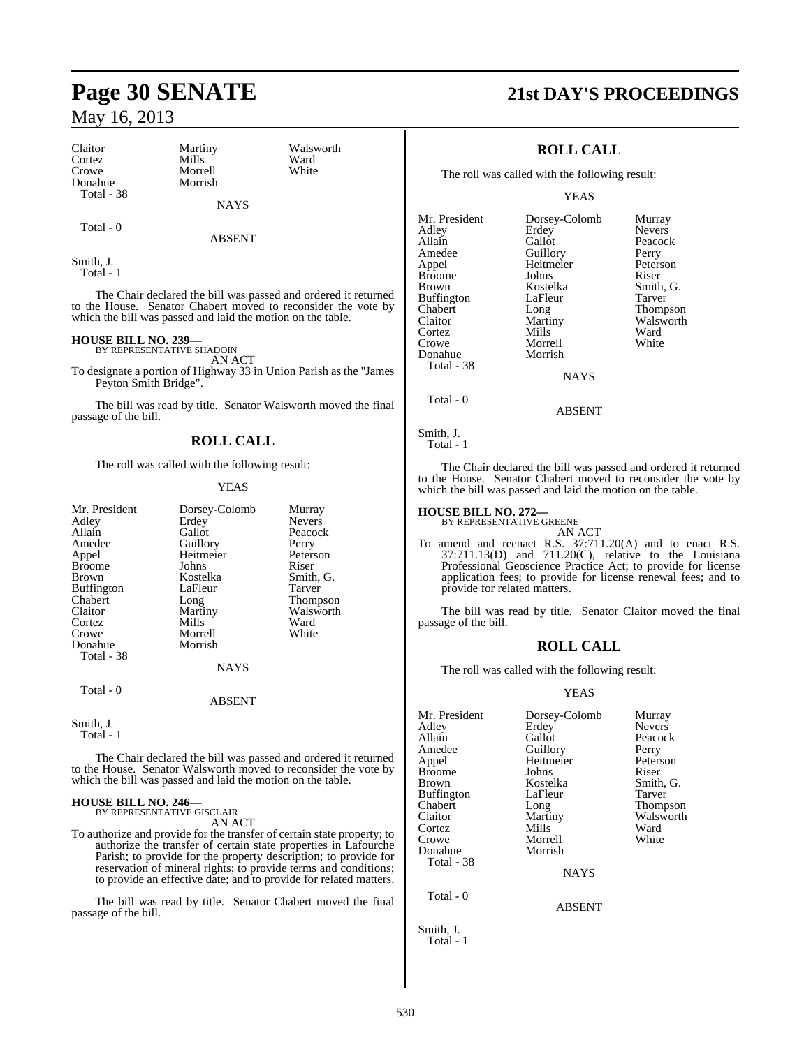| Claitor    | Martiny     | Walsworth |
|------------|-------------|-----------|
| Cortez     | Mills       | Ward      |
| Crowe      | Morrell     | White     |
| Donahue    | Morrish     |           |
| Total - 38 |             |           |
|            | <b>NAYS</b> |           |

ABSENT

Smith, J. Total - 1

Total - 0

The Chair declared the bill was passed and ordered it returned to the House. Senator Chabert moved to reconsider the vote by which the bill was passed and laid the motion on the table.

## **HOUSE BILL NO. 239—** BY REPRESENTATIVE SHADOIN

passage of the bill.

AN ACT To designate a portion of Highway 33 in Union Parish as the "James

Peyton Smith Bridge". The bill was read by title. Senator Walsworth moved the final

## **ROLL CALL**

The roll was called with the following result:

#### YEAS

| Mr. President<br>Adley<br>Allain<br>Amedee                            | Dorsey-Colomb<br>Erdey<br>Gallot<br>Guillory   | Murray<br><b>Nevers</b><br>Peacock<br>Perry |
|-----------------------------------------------------------------------|------------------------------------------------|---------------------------------------------|
| Appel<br><b>Broome</b><br>Brown                                       | Heitmeier<br>Johns<br>Kostelka<br>LaFleur      | Peterson<br>Riser<br>Smith, G.<br>Tarver    |
| <b>Buffington</b><br>Chabert<br>Claitor<br>Cortez<br>Crowe<br>Donahue | Long<br>Martiny<br>Mills<br>Morrell<br>Morrish | Thompson<br>Walsworth<br>Ward<br>White      |
| Total - 38                                                            | <b>NAYS</b>                                    |                                             |
| Total - 0                                                             | <b>ABSENT</b>                                  |                                             |
| Smith, J.                                                             |                                                |                                             |

Total - 1

The Chair declared the bill was passed and ordered it returned to the House. Senator Walsworth moved to reconsider the vote by which the bill was passed and laid the motion on the table.

## **HOUSE BILL NO. 246—** BY REPRESENTATIVE GISCLAIR

AN ACT

To authorize and provide for the transfer of certain state property; to authorize the transfer of certain state properties in Lafourche Parish; to provide for the property description; to provide for reservation of mineral rights; to provide terms and conditions; to provide an effective date; and to provide for related matters.

The bill was read by title. Senator Chabert moved the final passage of the bill.

## **Page 30 SENATE 21st DAY'S PROCEEDINGS**

### **ROLL CALL**

The roll was called with the following result:

YEAS

Mr. President Dorsey-Colomb Murray<br>Adley Erdey Nevers Adley Erdey Nevers<br>
Allain Gallot Peacoc Allain Gallot Peacock<br>Amedee Guillory Perry Amedee Guillory Perry<br>
Appel Heitmeier Peterson Heitmeier Peters<br>Johns Riser Broome Johns<br>Brown Kostelka Kostelka Smith, G.<br>LaFleur Tarver Buffington LaFle<br>Chabert Long Chabert Long Thompson<br>Claitor Martiny Walsworth Martiny Walsworth<br>
Mills Ward Cortez Mills Ward<br>Crowe Morrell White Morrell<br>Morrish Donahue Total - 38

Total - 0

Smith, J. Total - 1

The Chair declared the bill was passed and ordered it returned to the House. Senator Chabert moved to reconsider the vote by which the bill was passed and laid the motion on the table.

**NAYS** 

ABSENT

## **HOUSE BILL NO. 272—** BY REPRESENTATIVE GREENE

AN ACT

To amend and reenact R.S. 37:711.20(A) and to enact R.S. 37:711.13(D) and 711.20(C), relative to the Louisiana Professional Geoscience Practice Act; to provide for license application fees; to provide for license renewal fees; and to provide for related matters.

The bill was read by title. Senator Claitor moved the final passage of the bill.

#### **ROLL CALL**

The roll was called with the following result:

#### YEAS

| Dorsey-Colomb | Murray        |
|---------------|---------------|
| Erdey         | <b>Nevers</b> |
| Gallot        | Peacock       |
|               | Perry         |
| Heitmeier     | Peterson      |
| Johns         | Riser         |
| Kostelka      | Smith, G.     |
| LaFleur       | Tarver        |
| Long          | Thompson      |
| Martiny       | Walsworth     |
| Mills         | Ward          |
| Morrell       | White         |
| Morrish       |               |
|               |               |
| <b>NAYS</b>   |               |
|               |               |
| ABSENT        |               |
|               | Guillory      |

Smith, J. Total - 1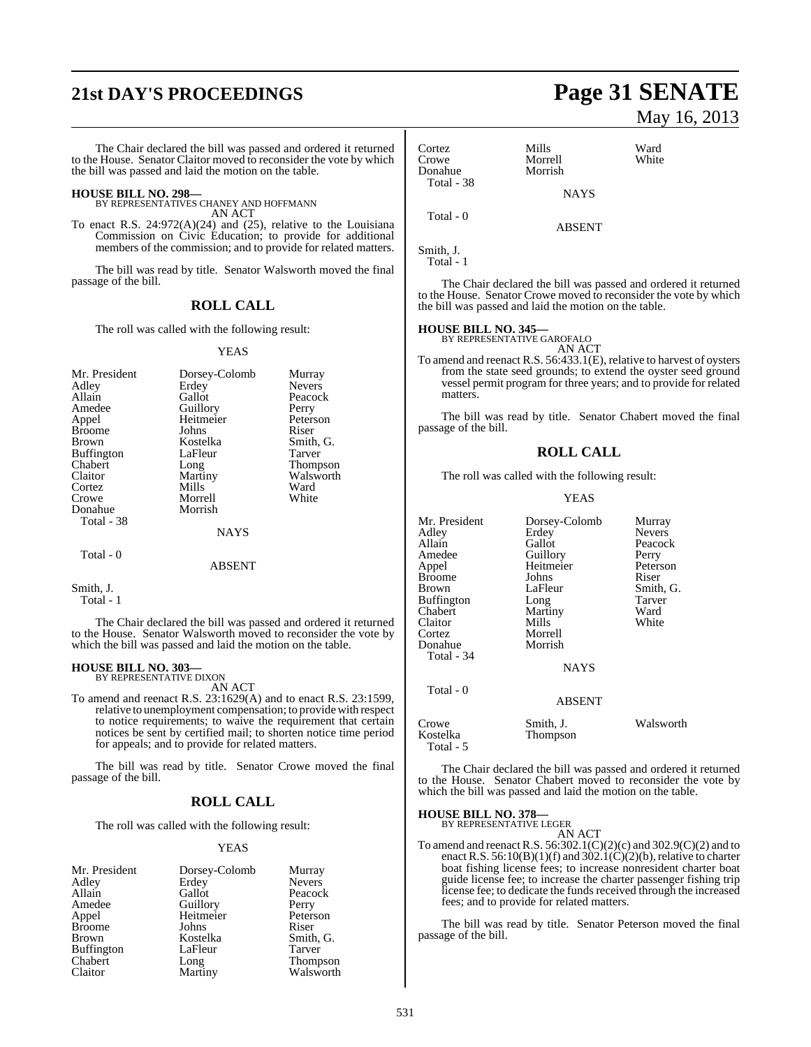# **21st DAY'S PROCEEDINGS Page 31 SENATE**

The Chair declared the bill was passed and ordered it returned to the House. Senator Claitor moved to reconsider the vote by which the bill was passed and laid the motion on the table.

- **HOUSE BILL NO. 298—** BY REPRESENTATIVES CHANEY AND HOFFMANN AN ACT
- To enact R.S. 24:972(A)(24) and (25), relative to the Louisiana Commission on Civic Education; to provide for additional members of the commission; and to provide for related matters.

The bill was read by title. Senator Walsworth moved the final passage of the bill.

#### **ROLL CALL**

The roll was called with the following result:

#### YEAS

| Mr. President<br>Adley<br>Allain<br>Amedee<br>Appel<br><b>Broome</b><br><b>Brown</b><br>Buffington<br>Chabert<br>Claitor<br>Cortez<br>Crowe<br>Donahue | Dorsey-Colomb<br>Erdey<br>Gallot<br>Guillory<br>Heitmeier<br>Johns<br>Kostelka<br>LaFleur<br>Long<br>Martiny<br>Mills<br>Morrell<br>Morrish | Murray<br><b>Nevers</b><br>Peacock<br>Perry<br>Peterson<br>Riser<br>Smith, G.<br><b>Tarver</b><br>Thompson<br>Walsworth<br>Ward<br>White |
|--------------------------------------------------------------------------------------------------------------------------------------------------------|---------------------------------------------------------------------------------------------------------------------------------------------|------------------------------------------------------------------------------------------------------------------------------------------|
| Total - 38                                                                                                                                             |                                                                                                                                             |                                                                                                                                          |
|                                                                                                                                                        | <b>NAYS</b>                                                                                                                                 |                                                                                                                                          |
| Total - 0                                                                                                                                              | ABSENT                                                                                                                                      |                                                                                                                                          |

Smith, J. Total - 1

The Chair declared the bill was passed and ordered it returned to the House. Senator Walsworth moved to reconsider the vote by which the bill was passed and laid the motion on the table.

## **HOUSE BILL NO. 303—** BY REPRESENTATIVE DIXON

AN ACT

To amend and reenact R.S. 23:1629(A) and to enact R.S. 23:1599, relative to unemployment compensation; to providewith respect to notice requirements; to waive the requirement that certain notices be sent by certified mail; to shorten notice time period for appeals; and to provide for related matters.

The bill was read by title. Senator Crowe moved the final passage of the bill.

#### **ROLL CALL**

The roll was called with the following result:

#### YEAS

| Mr. President     | Dorsey-Colomb | Murray        |
|-------------------|---------------|---------------|
| Adley             | Erdey         | <b>Nevers</b> |
| Allain            | Gallot        | Peacock       |
| Amedee            | Guillory      | Perry         |
| Appel             | Heitmeier     | Peterson      |
| <b>Broome</b>     | Johns         | Riser         |
| <b>Brown</b>      | Kostelka      | Smith, G.     |
| <b>Buffington</b> | LaFleur       | Tarver        |
| Chabert           | Long          | Thompson      |
| Claitor           | Martiny       | Walsworth     |

# May 16, 2013

| Cortez<br>Crowe<br>Donahue<br>Total - 38 | Mills<br>Morrell<br>Morrish | Ward<br>White |
|------------------------------------------|-----------------------------|---------------|
|                                          | <b>NAYS</b>                 |               |
| Total - 0                                | <b>ABSENT</b>               |               |

Smith, J. Total - 1

The Chair declared the bill was passed and ordered it returned to the House. Senator Crowe moved to reconsider the vote by which the bill was passed and laid the motion on the table.

## **HOUSE BILL NO. 345—** BY REPRESENTATIVE GAROFALO

AN ACT

To amend and reenact R.S. 56:433.1(E), relative to harvest of oysters from the state seed grounds; to extend the oyster seed ground vessel permit program for three years; and to provide for related matters.

The bill was read by title. Senator Chabert moved the final passage of the bill.

### **ROLL CALL**

The roll was called with the following result:

#### YEAS

| Mr. President<br>Adley<br>Allain | Dorsey-Colomb<br>Erdey<br>Gallot | Murray<br><b>Nevers</b><br>Peacock |
|----------------------------------|----------------------------------|------------------------------------|
| Amedee                           | Guillory                         | Perry                              |
| Appel                            | Heitmeier                        | Peterson                           |
| Broome                           | Johns                            | Riser                              |
| Brown                            | LaFleur                          | Smith, G.                          |
| Buffington                       | Long                             | Tarver                             |
| Chabert                          | Martiny                          | Ward                               |
| Claitor                          | Mills                            | White                              |
| Cortez                           | Morrell                          |                                    |
| Donahue                          | Morrish                          |                                    |
| Total - 34                       |                                  |                                    |
|                                  | <b>NAYS</b>                      |                                    |
| Total - 0                        |                                  |                                    |
|                                  | <b>ABSENT</b>                    |                                    |
| Crowe<br>Kostelka<br>Total - 5   | Smith, J.<br>Thompson            | Walsworth                          |

The Chair declared the bill was passed and ordered it returned to the House. Senator Chabert moved to reconsider the vote by which the bill was passed and laid the motion on the table.

**HOUSE BILL NO. 378—** BY REPRESENTATIVE LEGER

AN ACT

To amend and reenact R.S. 56:302.1(C)(2)(c) and 302.9(C)(2) and to enact R.S.  $56:10(B)(1)(f)$  and  $302.1(C)(2)(b)$ , relative to charter boat fishing license fees; to increase nonresident charter boat guide license fee; to increase the charter passenger fishing trip license fee; to dedicate the funds received through the increased fees; and to provide for related matters.

The bill was read by title. Senator Peterson moved the final passage of the bill.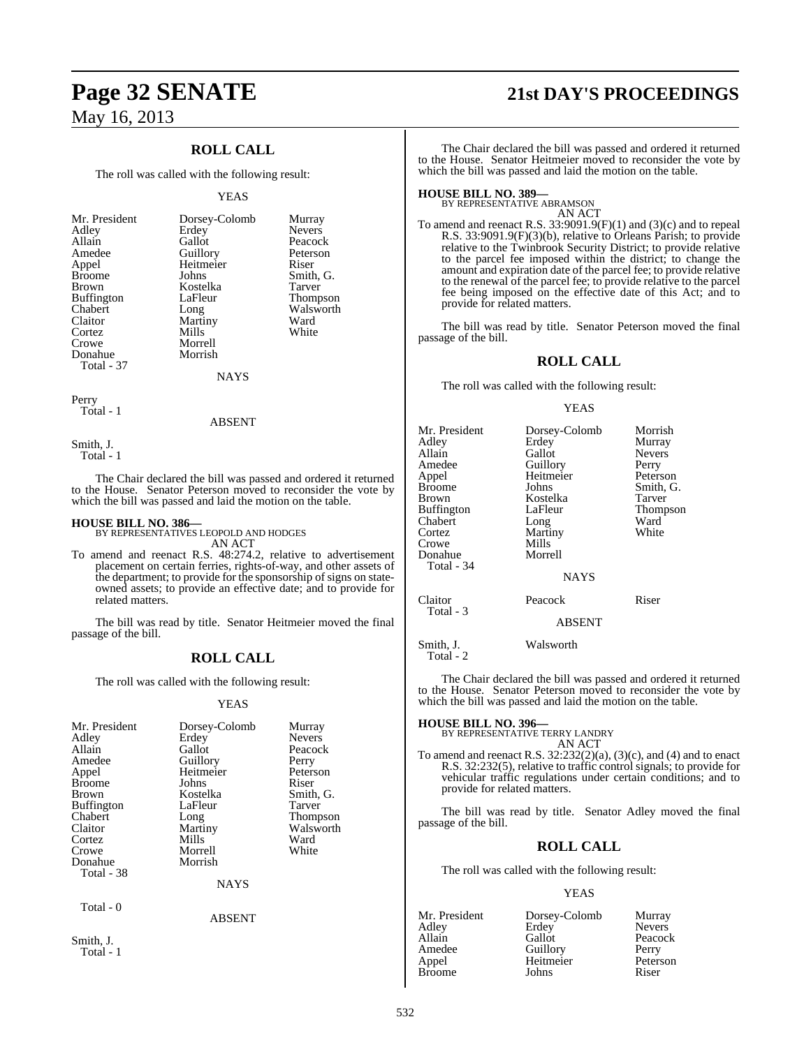## **ROLL CALL**

The roll was called with the following result:

#### YEAS

| Mr. President     | Dorsey-Colomb | Murray        |
|-------------------|---------------|---------------|
| Adley             | Erdey         | <b>Nevers</b> |
| Allain            | Gallot        | Peacock       |
| Amedee            | Guillory      | Peterson      |
| Appel             | Heitmeier     | Riser         |
| <b>Broome</b>     | Johns         | Smith, G.     |
| <b>Brown</b>      | Kostelka      | Tarver        |
| <b>Buffington</b> | LaFleur       | Thompson      |
| Chabert           | Long          | Walsworth     |
| Claitor           | Martiny       | Ward          |
| Cortez            | Mills         | White         |
| Crowe             | Morrell       |               |
| Donahue           | Morrish       |               |
| Total - 37        |               |               |

**NAYS** 

Perry Total - 1

#### ABSENT

Smith, J. Total - 1

Smith, J. Total - 1

The Chair declared the bill was passed and ordered it returned to the House. Senator Peterson moved to reconsider the vote by which the bill was passed and laid the motion on the table.

**HOUSE BILL NO. 386—** BY REPRESENTATIVES LEOPOLD AND HODGES AN ACT

To amend and reenact R.S. 48:274.2, relative to advertisement placement on certain ferries, rights-of-way, and other assets of the department; to provide for the sponsorship of signs on stateowned assets; to provide an effective date; and to provide for related matters.

The bill was read by title. Senator Heitmeier moved the final passage of the bill.

#### **ROLL CALL**

The roll was called with the following result:

#### YEAS

| Mr. President<br>Adley | Dorsey-Colomb<br>Erdey | Murray<br><b>Nevers</b> |
|------------------------|------------------------|-------------------------|
| Allain                 | Gallot                 | Peacock                 |
| Amedee                 | Guillory               | Perry                   |
| Appel                  | Heitmeier              | Peterson                |
| <b>Broome</b>          | Johns                  | Riser                   |
| <b>Brown</b>           | Kostelka               | Smith, G.               |
| <b>Buffington</b>      | LaFleur                | Tarver                  |
| Chabert                | Long                   | Thompson                |
| Claitor                | Martiny                | Walsworth               |
| Cortez                 | Mills                  | Ward                    |
| Crowe                  | Morrell                | White                   |
| Donahue                | Morrish                |                         |
| Total - 38             |                        |                         |
|                        | <b>NAYS</b>            |                         |
| Total - 0              |                        |                         |
|                        | ABSENT                 |                         |

**Page 32 SENATE 21st DAY'S PROCEEDINGS**

The Chair declared the bill was passed and ordered it returned to the House. Senator Heitmeier moved to reconsider the vote by which the bill was passed and laid the motion on the table.

**HOUSE BILL NO. 389—** BY REPRESENTATIVE ABRAMSON AN ACT

To amend and reenact R.S. 33:9091.9(F)(1) and (3)(c) and to repeal R.S. 33:9091.9(F)(3)(b), relative to Orleans Parish; to provide relative to the Twinbrook Security District; to provide relative to the parcel fee imposed within the district; to change the amount and expiration date of the parcel fee; to provide relative to the renewal of the parcel fee; to provide relative to the parcel fee being imposed on the effective date of this Act; and to provide for related matters.

The bill was read by title. Senator Peterson moved the final passage of the bill.

## **ROLL CALL**

The roll was called with the following result:

#### YEAS

| Mr. President<br>Adley<br>Allain<br>Amedee<br>Appel                        | Dorsey-Colomb<br>Erdey<br>Gallot<br>Guillory<br>Heitmeier                 | Morrish<br>Murray<br><b>Nevers</b><br>Perry<br>Peterson |
|----------------------------------------------------------------------------|---------------------------------------------------------------------------|---------------------------------------------------------|
| Brown<br>Buffington<br>Chabert<br>Cortez<br>Crowe<br>Donahue<br>Total - 34 | Kostelka<br>LaFleur<br>Long<br>Martiny<br>Mills<br>Morrell<br><b>NAYS</b> | Tarver<br>Thompson<br>Ward<br>White                     |
| Claitor<br>Total - 3                                                       | Peacock<br><b>ABSENT</b>                                                  | Riser                                                   |
| Smith. J.                                                                  | Walsworth                                                                 |                                                         |

Total - 2

The Chair declared the bill was passed and ordered it returned to the House. Senator Peterson moved to reconsider the vote by which the bill was passed and laid the motion on the table.

#### **HOUSE BILL NO. 396—**

BY REPRESENTATIVE TERRY LANDRY

AN ACT

To amend and reenact R.S.  $32:232(2)(a)$ ,  $(3)(c)$ , and  $(4)$  and to enact R.S. 32:232(5), relative to traffic control signals; to provide for vehicular traffic regulations under certain conditions; and to provide for related matters.

The bill was read by title. Senator Adley moved the final passage of the bill.

#### **ROLL CALL**

The roll was called with the following result:

#### YEAS

| Dorsey-Colomb | Murray        |
|---------------|---------------|
| Erdey         | <b>Nevers</b> |
| Gallot        | Peacock       |
| Guillory      | Perry         |
| Heitmeier     | Peterson      |
| Johns         | Riser         |
|               |               |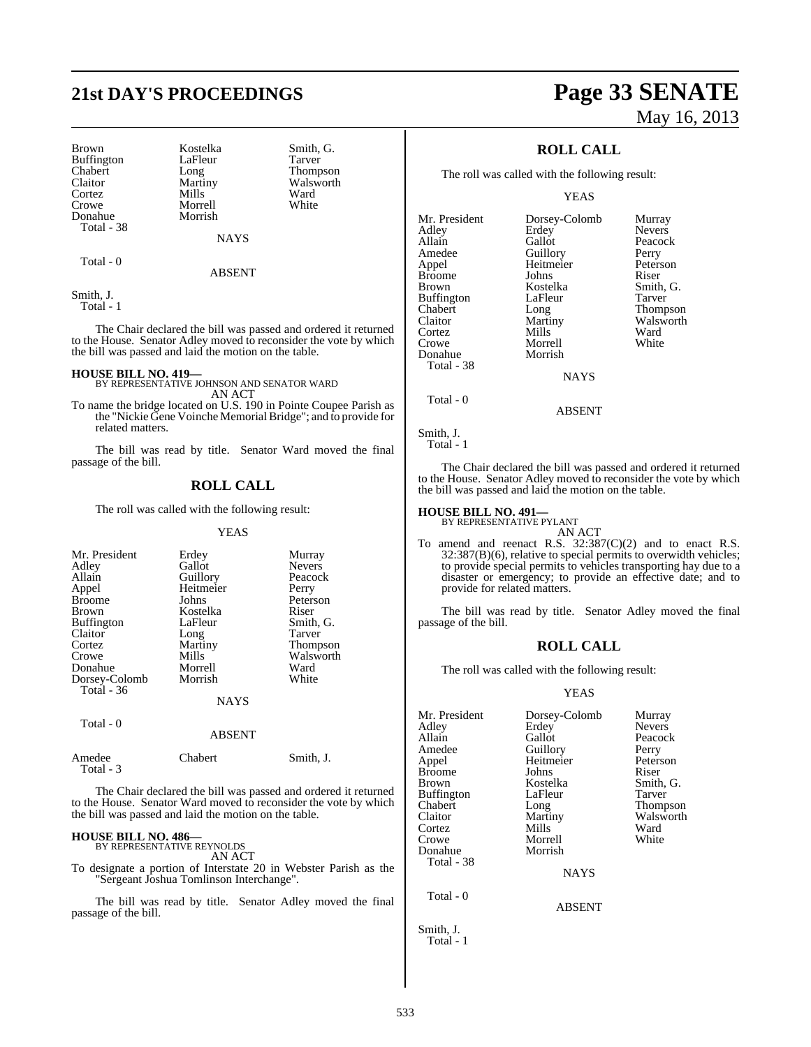Brown Kostelka Smith, G.<br>Buffington LaFleur Tarver Buffington LaFle<br>Chabert Long Chabert Long Thompson<br>Claitor Martiny Walsworth Cortez Mills Ward<br>Crowe Morrell White Crowe Morrell<br>
Donahue Morrish Donahue Total - 38

**NAYS** 

Martiny Walsworth<br>
Mills Ward

#### ABSENT

Smith, J.

Total - 1

Total - 0

The Chair declared the bill was passed and ordered it returned to the House. Senator Adley moved to reconsider the vote by which the bill was passed and laid the motion on the table.

**HOUSE BILL NO. 419—** BY REPRESENTATIVE JOHNSON AND SENATOR WARD AN ACT

To name the bridge located on U.S. 190 in Pointe Coupee Parish as the "Nickie Gene Voinche Memorial Bridge"; and to provide for related matters.

The bill was read by title. Senator Ward moved the final passage of the bill.

## **ROLL CALL**

The roll was called with the following result:

#### YEAS

| Mr. President<br>Adley<br>Allain<br>Appel<br><b>Broome</b><br><b>Brown</b><br><b>Buffington</b><br>Claitor<br>Cortez<br>Crowe<br>Donahue<br>Dorsey-Colomb<br>Total $-36$ | Erdey<br>Gallot<br>Guillory<br>Heitmeier<br>Johns<br>Kostelka<br>LaFleur<br>Long<br>Martiny<br>Mills<br>Morrell<br>Morrish | Murray<br><b>Nevers</b><br>Peacock<br>Perry<br>Peterson<br>Riser<br>Smith, G.<br>Tarver<br>Thompson<br>Walsworth<br>Ward<br>White |
|--------------------------------------------------------------------------------------------------------------------------------------------------------------------------|----------------------------------------------------------------------------------------------------------------------------|-----------------------------------------------------------------------------------------------------------------------------------|
|                                                                                                                                                                          | <b>NAYS</b>                                                                                                                |                                                                                                                                   |
| Total - 0                                                                                                                                                                | <b>ABSENT</b>                                                                                                              |                                                                                                                                   |

| Amedee    | <b>Chabert</b> | Smith, J. |
|-----------|----------------|-----------|
| Total - 3 |                |           |

The Chair declared the bill was passed and ordered it returned to the House. Senator Ward moved to reconsider the vote by which the bill was passed and laid the motion on the table.

## **HOUSE BILL NO. 486—** BY REPRESENTATIVE REYNOLDS

AN ACT

To designate a portion of Interstate 20 in Webster Parish as the "Sergeant Joshua Tomlinson Interchange".

The bill was read by title. Senator Adley moved the final passage of the bill.

# **21st DAY'S PROCEEDINGS Page 33 SENATE** May 16, 2013

## **ROLL CALL**

The roll was called with the following result:

YEAS

Mr. President Dorsey-Colomb Murray<br>Adley Erdey Nevers Adley Erdey Nevers<br>
Allain Gallot Peacock Allain Gallot Peaco<br>
Amedee Guillory Perry Amedee Guillory Perry<br>
Appel Heitmeier Peterson Heitmeier Peters<br>Johns Riser Broome Johns<br>Brown Kostelka Buffington LaFle<br>Chabert Long Chabert Long Thompson<br>Claitor Martiny Walsworth Cortez Mills Ward<br>Crowe Morrell White Morrell<br>Morrish Donahue Total - 38 **NAYS**  Total - 0 ABSENT

Kostelka Smith, G.<br>LaFleur Tarver Martiny Walsworth<br>
Mills Ward

Smith, J.

Total - 1

The Chair declared the bill was passed and ordered it returned to the House. Senator Adley moved to reconsider the vote by which the bill was passed and laid the motion on the table.

## **HOUSE BILL NO. 491—** BY REPRESENTATIVE PYLANT

AN ACT

To amend and reenact R.S. 32:387(C)(2) and to enact R.S. 32:387(B)(6), relative to special permits to overwidth vehicles; to provide special permits to vehicles transporting hay due to a disaster or emergency; to provide an effective date; and to provide for related matters.

The bill was read by title. Senator Adley moved the final passage of the bill.

#### **ROLL CALL**

The roll was called with the following result:

#### YEAS

| Mr. President<br>Adley<br>Allain<br>Amedee<br>Appel<br>Broome<br>Brown<br>Buffington<br>Chabert<br>Claitor<br>Cortez | Dorsey-Colomb<br>Erdey<br>Gallot<br>Guillory<br>Heitmeier<br>Johns<br>Kostelka<br>LaFleur<br>Long<br>Martiny<br>Mills | Murray<br><b>Nevers</b><br>Peacock<br>Perry<br>Peterson<br>Riser<br>Smith, G.<br>Tarver<br>Thompson<br>Walsworth<br>Ward |
|----------------------------------------------------------------------------------------------------------------------|-----------------------------------------------------------------------------------------------------------------------|--------------------------------------------------------------------------------------------------------------------------|
| Crowe<br>Donahue                                                                                                     | Morrell<br>Morrish                                                                                                    | White                                                                                                                    |
| Total - 38                                                                                                           | <b>NAYS</b>                                                                                                           |                                                                                                                          |
| Total - 0                                                                                                            | <b>ABSENT</b>                                                                                                         |                                                                                                                          |

Smith, J. Total - 1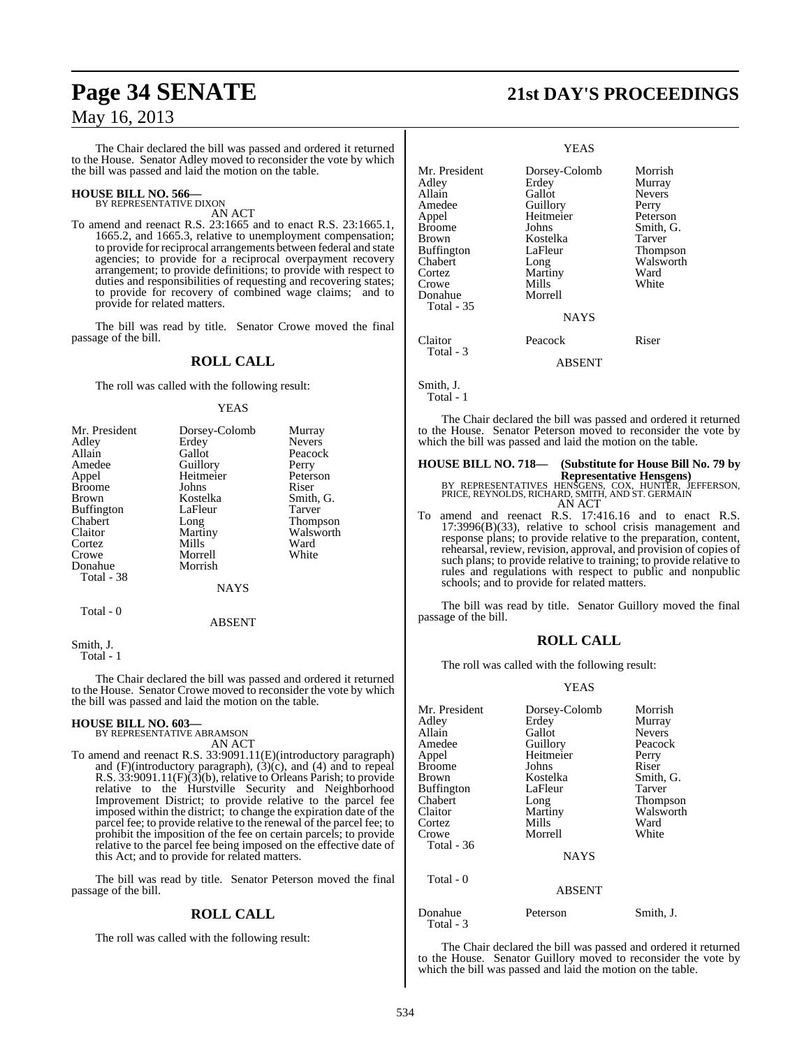The Chair declared the bill was passed and ordered it returned to the House. Senator Adley moved to reconsider the vote by which the bill was passed and laid the motion on the table.

## **HOUSE BILL NO. 566—** BY REPRESENTATIVE DIXON

AN ACT

To amend and reenact R.S. 23:1665 and to enact R.S. 23:1665.1, 1665.2, and 1665.3, relative to unemployment compensation; to provide for reciprocal arrangements between federal and state agencies; to provide for a reciprocal overpayment recovery arrangement; to provide definitions; to provide with respect to duties and responsibilities of requesting and recovering states; to provide for recovery of combined wage claims; and to provide for related matters.

The bill was read by title. Senator Crowe moved the final passage of the bill.

## **ROLL CALL**

The roll was called with the following result:

#### **YEAS**

| Mr. President     | Dorsey-Colomb | Murray        |
|-------------------|---------------|---------------|
| Adley             | Erdey         | <b>Nevers</b> |
| Allain            | Gallot        | Peacock       |
| Amedee            | Guillory      | Perry         |
| Appel             | Heitmeier     | Peterson      |
| <b>Broome</b>     | Johns         | Riser         |
| <b>Brown</b>      | Kostelka      | Smith, G.     |
| <b>Buffington</b> | LaFleur       | Tarver        |
| Chabert           | Long          | Thompson      |
| Claitor           | Martiny       | Walsworth     |
| Cortez            | Mills         | Ward          |
| Crowe             | Morrell       | White         |
| Donahue           | Morrish       |               |
| Total - 38        |               |               |
|                   | <b>NAYS</b>   |               |
| Total - 0         |               |               |
|                   | <b>ABSENT</b> |               |

Smith, J. Total - 1

The Chair declared the bill was passed and ordered it returned to the House. Senator Crowe moved to reconsider the vote by which the bill was passed and laid the motion on the table.

#### **HOUSE BILL NO. 603—**

BY REPRESENTATIVE ABRAMSON AN ACT

To amend and reenact R.S. 33:9091.11(E)(introductory paragraph) and (F)(introductory paragraph), (3)(c), and (4) and to repeal R.S. 33:9091.11(F)(3)(b), relative to Orleans Parish; to provide relative to the Hurstville Security and Neighborhood Improvement District; to provide relative to the parcel fee imposed within the district; to change the expiration date of the parcel fee; to provide relative to the renewal of the parcel fee; to prohibit the imposition of the fee on certain parcels; to provide relative to the parcel fee being imposed on the effective date of this Act; and to provide for related matters.

The bill was read by title. Senator Peterson moved the final passage of the bill.

## **ROLL CALL**

The roll was called with the following result:

# **Page 34 SENATE 21st DAY'S PROCEEDINGS**

#### YEAS

Smith, J.

Total - 1

The Chair declared the bill was passed and ordered it returned to the House. Senator Peterson moved to reconsider the vote by which the bill was passed and laid the motion on the table.

## **HOUSE BILL NO. 718— (Substitute for House Bill No. 79 by Representative Hensgens)**<br>BY REPRESENTATIVES HENSGENS, COX, HUNTER, JEFFERSON,<br>PRICE, REYNOLDS, RICHARD, SMITH, AND ST. GERMAIN AN ACT

To amend and reenact R.S. 17:416.16 and to enact R.S. 17:3996(B)(33), relative to school crisis management and response plans; to provide relative to the preparation, content, rehearsal, review, revision, approval, and provision of copies of such plans; to provide relative to training; to provide relative to rules and regulations with respect to public and nonpublic schools; and to provide for related matters.

The bill was read by title. Senator Guillory moved the final passage of the bill.

## **ROLL CALL**

The roll was called with the following result:

#### YEAS

| Mr. President<br>Adley<br>Allain<br>Amedee<br>Appel<br><b>Broome</b><br>Brown<br>Buffington<br>Chabert<br>Claitor<br>Cortez<br>Crowe<br>Total - 36<br>Total $-0$ | Dorsey-Colomb<br>Erdey<br>Gallot<br>Guillory<br>Heitmeier<br>Johns<br>Kostelka<br>LaFleur<br>Long<br>Martiny<br>Mills<br>Morrell<br><b>NAYS</b><br><b>ABSENT</b> | Morrish<br>Murray<br><b>Nevers</b><br>Peacock<br>Perry<br>Riser<br>Smith, G.<br>Tarver<br>Thompson<br>Walsworth<br>Ward<br>White |
|------------------------------------------------------------------------------------------------------------------------------------------------------------------|------------------------------------------------------------------------------------------------------------------------------------------------------------------|----------------------------------------------------------------------------------------------------------------------------------|
|                                                                                                                                                                  |                                                                                                                                                                  |                                                                                                                                  |
| Donahue<br>Total - 3                                                                                                                                             | Peterson                                                                                                                                                         | Smith, J.                                                                                                                        |

The Chair declared the bill was passed and ordered it returned to the House. Senator Guillory moved to reconsider the vote by which the bill was passed and laid the motion on the table.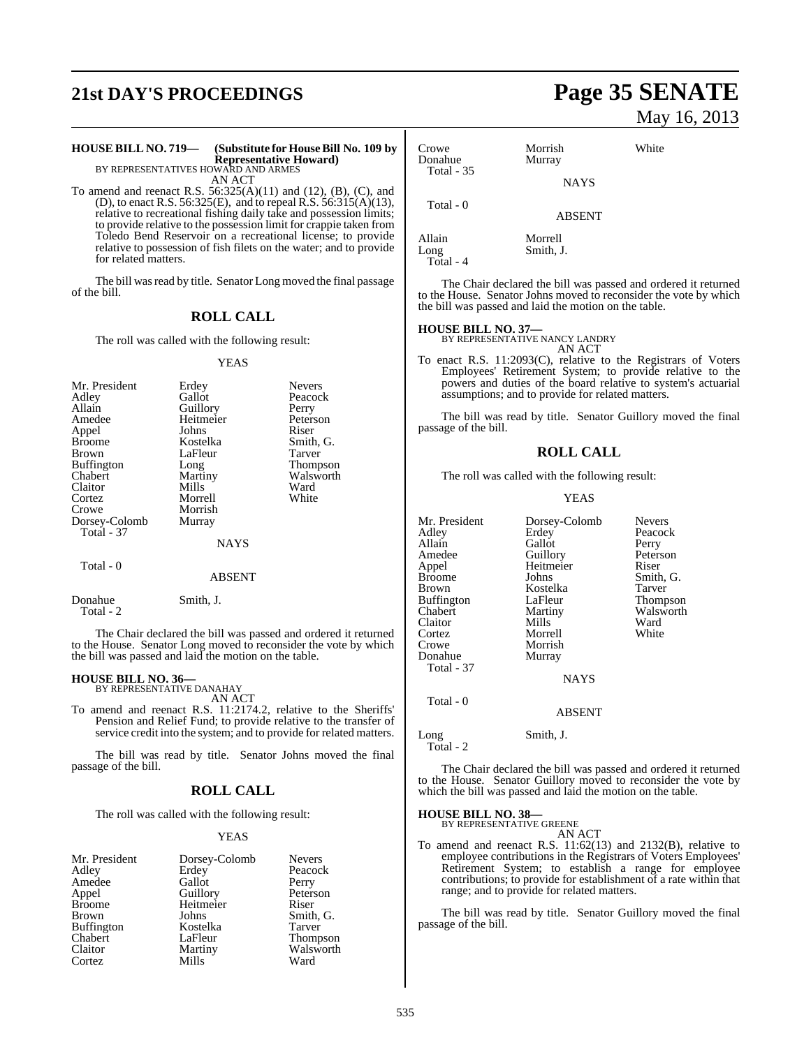# **21st DAY'S PROCEEDINGS Page 35 SENATE**

# **HOUSE BILL NO. 719— (Substitute for HouseBill No. 109 by Representative Howard)**<br>BY REPRESENTATIVES HOWARD AND ARMES<br>AN ACT

To amend and reenact R.S. 56:325(A)(11) and (12), (B), (C), and (D), to enact R.S. 56:325(E), and to repeal R.S. 56:315(A)(13), relative to recreational fishing daily take and possession limits; to provide relative to the possession limit for crappie taken from Toledo Bend Reservoir on a recreational license; to provide relative to possession of fish filets on the water; and to provide for related matters.

The bill was read by title. Senator Long moved the final passage of the bill.

### **ROLL CALL**

The roll was called with the following result:

#### YEAS

| Mr. President     | Erdey       | <b>Nevers</b> |
|-------------------|-------------|---------------|
| Adley             | Gallot      | Peacock       |
| Allain            | Guillory    | Perry         |
| Amedee            | Heitmeier   | Peterson      |
| Appel             | Johns       | Riser         |
| <b>Broome</b>     | Kostelka    | Smith, G.     |
| Brown             | LaFleur     | Tarver        |
| <b>Buffington</b> | Long        | Thompson      |
| Chabert           | Martiny     | Walsworth     |
| Claitor           | Mills       | Ward          |
| Cortez            | Morrell     | White         |
| Crowe             | Morrish     |               |
| Dorsey-Colomb     | Murray      |               |
| <b>Total - 37</b> |             |               |
|                   | <b>NAYS</b> |               |
| Total - 0         |             |               |
|                   | ABSENT      |               |

Donahue Smith, J.

Total - 2

The Chair declared the bill was passed and ordered it returned to the House. Senator Long moved to reconsider the vote by which the bill was passed and laid the motion on the table.

## **HOUSE BILL NO. 36—** BY REPRESENTATIVE DANAHAY

AN ACT

To amend and reenact R.S. 11:2174.2, relative to the Sheriffs' Pension and Relief Fund; to provide relative to the transfer of service credit into the system; and to provide for related matters.

The bill was read by title. Senator Johns moved the final passage of the bill.

### **ROLL CALL**

The roll was called with the following result:

#### YEAS

| Mr. President     | Dorsey-Colomb | <b>Nevers</b> |
|-------------------|---------------|---------------|
| Adley             | Erdey         | Peacock       |
| Amedee            | Gallot        | Perry         |
| Appel             | Guillory      | Peterson      |
| <b>Broome</b>     | Heitmeier     | Riser         |
| <b>Brown</b>      | Johns         | Smith, G.     |
| <b>Buffington</b> | Kostelka      | Tarver        |
| Chabert           | LaFleur       | Thompson      |
| Claitor           | Martiny       | Walsworth     |
| Cortez            | Mills         | Ward          |

# May 16, 2013

| Crowe<br>Donahue       | Morrish<br>Murray   | White |  |
|------------------------|---------------------|-------|--|
| Total - 35             | <b>NAYS</b>         |       |  |
| Total - 0              | <b>ABSENT</b>       |       |  |
| $\Lambda$ 11 $\sim$ im | $M_{\odot}$ and $H$ |       |  |

Allain Morrell<br>Long Smith, Total - 4

The Chair declared the bill was passed and ordered it returned to the House. Senator Johns moved to reconsider the vote by which the bill was passed and laid the motion on the table.

**HOUSE BILL NO. 37—** BY REPRESENTATIVE NANCY LANDRY AN ACT

Smith, J.

To enact R.S. 11:2093(C), relative to the Registrars of Voters Employees' Retirement System; to provide relative to the powers and duties of the board relative to system's actuarial assumptions; and to provide for related matters.

The bill was read by title. Senator Guillory moved the final passage of the bill.

### **ROLL CALL**

The roll was called with the following result:

#### YEAS

| Mr. President     | Dorsey-Colomb | <b>Nevers</b> |
|-------------------|---------------|---------------|
| Adley             | Erdey         | Peacock       |
| Allain            | Gallot        | Perry         |
| Amedee            | Guillory      | Peterson      |
| Appel             | Heitmeier     | Riser         |
| <b>Broome</b>     | Johns         | Smith, G.     |
| Brown             | Kostelka      | Tarver        |
| <b>Buffington</b> | LaFleur       | Thompson      |
| Chabert           | Martiny       | Walsworth     |
| Claitor           | Mills         | Ward          |
| Cortez            | Morrell       | White         |
| Crowe             | Morrish       |               |
| Donahue           | Murray        |               |
| Total - 37        |               |               |
|                   | <b>NAYS</b>   |               |
| Total - 0         |               |               |
|                   | <b>ABSENT</b> |               |
| Long              | Smith, J.     |               |

Total - 2

The Chair declared the bill was passed and ordered it returned to the House. Senator Guillory moved to reconsider the vote by which the bill was passed and laid the motion on the table.

**HOUSE BILL NO. 38—** BY REPRESENTATIVE GREENE

AN ACT

To amend and reenact R.S. 11:62(13) and 2132(B), relative to employee contributions in the Registrars of Voters Employees' Retirement System; to establish a range for employee contributions; to provide for establishment of a rate within that range; and to provide for related matters.

The bill was read by title. Senator Guillory moved the final passage of the bill.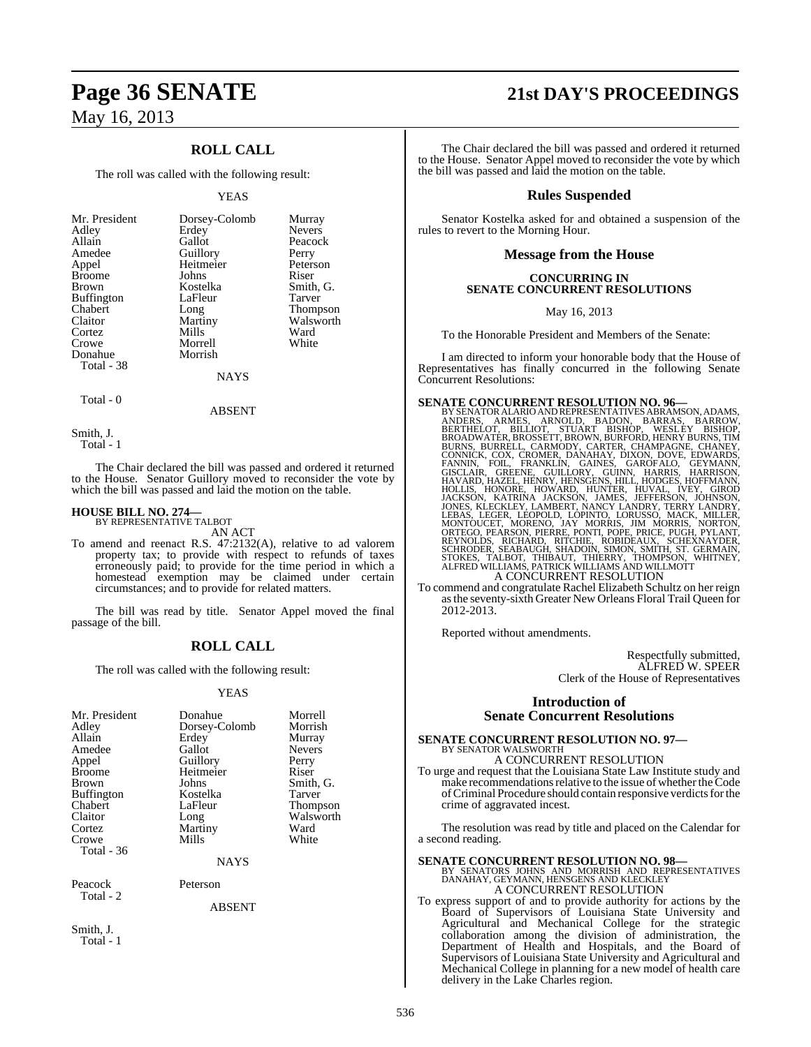## **ROLL CALL**

The roll was called with the following result:

#### YEAS

| Mr. President     | Dorsey-Colomb  | Murray          |
|-------------------|----------------|-----------------|
| Adley             | Erdey          | <b>Nevers</b>   |
| Allain            | Gallot         | Peacock         |
| Amedee            | Guillory       | Perry           |
| Appel             | Heitmeier      | Peterson        |
| <b>Broome</b>     | Johns          | Riser           |
| Brown             | Kostelka       | Smith, G.       |
| <b>Buffington</b> | LaFleur        | Tarver          |
| Chabert           | Long           | <b>Thompson</b> |
| Claitor           | Martiny        | Walsworth       |
| Cortez            | Mills          | Ward            |
| Crowe             | Morrell        | White           |
| Donahue           | Morrish        |                 |
| Total - 38        |                |                 |
|                   | <b>ATA TTM</b> |                 |

#### NAYS

Total - 0

ABSENT

Smith, J. Total - 1

The Chair declared the bill was passed and ordered it returned to the House. Senator Guillory moved to reconsider the vote by which the bill was passed and laid the motion on the table.

## **HOUSE BILL NO. 274—** BY REPRESENTATIVE TALBOT

AN ACT

To amend and reenact R.S. 47:2132(A), relative to ad valorem property tax; to provide with respect to refunds of taxes erroneously paid; to provide for the time period in which a homestead exemption may be claimed under certain circumstances; and to provide for related matters.

The bill was read by title. Senator Appel moved the final passage of the bill.

## **ROLL CALL**

The roll was called with the following result:

#### YEAS

| Mr. President<br>Adley<br>Allain<br>Amedee<br>Appel<br><b>Broome</b><br><b>Brown</b><br><b>Buffington</b><br>Chabert<br>Claitor<br>Cortez<br>Crowe<br>Total - 36 | Donahue<br>Dorsey-Colomb<br>Erdey<br>Gallot<br>Guillory<br>Heitmeier<br>Johns<br>Kostelka<br>LaFleur<br>Long<br>Martiny<br>Mills<br><b>NAYS</b> | Morrell<br>Morrish<br>Murray<br><b>Nevers</b><br>Perry<br>Riser<br>Smith, G.<br>Tarver<br>Thompson<br>Walsworth<br>Ward<br>White |
|------------------------------------------------------------------------------------------------------------------------------------------------------------------|-------------------------------------------------------------------------------------------------------------------------------------------------|----------------------------------------------------------------------------------------------------------------------------------|
|                                                                                                                                                                  |                                                                                                                                                 |                                                                                                                                  |
| Peacock<br>Total - 2                                                                                                                                             | Peterson                                                                                                                                        |                                                                                                                                  |

#### ABSENT

Smith, J. Total - 1

# **Page 36 SENATE 21st DAY'S PROCEEDINGS**

The Chair declared the bill was passed and ordered it returned to the House. Senator Appel moved to reconsider the vote by which the bill was passed and laid the motion on the table.

#### **Rules Suspended**

Senator Kostelka asked for and obtained a suspension of the rules to revert to the Morning Hour.

#### **Message from the House**

#### **CONCURRING IN SENATE CONCURRENT RESOLUTIONS**

May 16, 2013

To the Honorable President and Members of the Senate:

I am directed to inform your honorable body that the House of Representatives has finally concurred in the following Senate Concurrent Resolutions:

**SENATE CONCURRENT RESOLUTION NO. 96**<br>BY SENATOR ALARIO ANDREPRESENTATIVES ABRAMSON, ADAMS, ANDERS, ARMES, ARNOLD, BADON, BARRAS, BARROW, BERTHELOT, BILLIOT, STUART BISHOP, WESLEY BISHOP, BROADWATER, BROWN, BURFORD, HENNEY

TO CONCURRENT RESOLUTION<br>To commend and congratulate Rachel Elizabeth Schultz on her reign asthe seventy-sixth Greater New Orleans Floral Trail Queen for 2012-2013.

Reported without amendments.

Respectfully submitted, ALFRED W. SPEER Clerk of the House of Representatives

#### **Introduction of Senate Concurrent Resolutions**

**SENATE CONCURRENT RESOLUTION NO. 97—** BY SENATOR WALSWORTH

A CONCURRENT RESOLUTION To urge and request that the Louisiana State Law Institute study and make recommendations relative to the issue of whether the  $\overline{Code}$ of Criminal Procedure should contain responsive verdicts for the crime of aggravated incest.

The resolution was read by title and placed on the Calendar for a second reading.

#### **SENATE CONCURRENT RESOLUTION NO. 98—**

BY SENATORS JOHNS AND MORRISH AND REPRESENTATIVES DANAHAY, GEYMANN, HENSGENS AND KLECKLEY A CONCURRENT RESOLUTION

To express support of and to provide authority for actions by the Board of Supervisors of Louisiana State University and Agricultural and Mechanical College for the strategic collaboration among the division of administration, the Department of Health and Hospitals, and the Board of Supervisors of Louisiana State University and Agricultural and Mechanical College in planning for a new model of health care delivery in the Lake Charles region.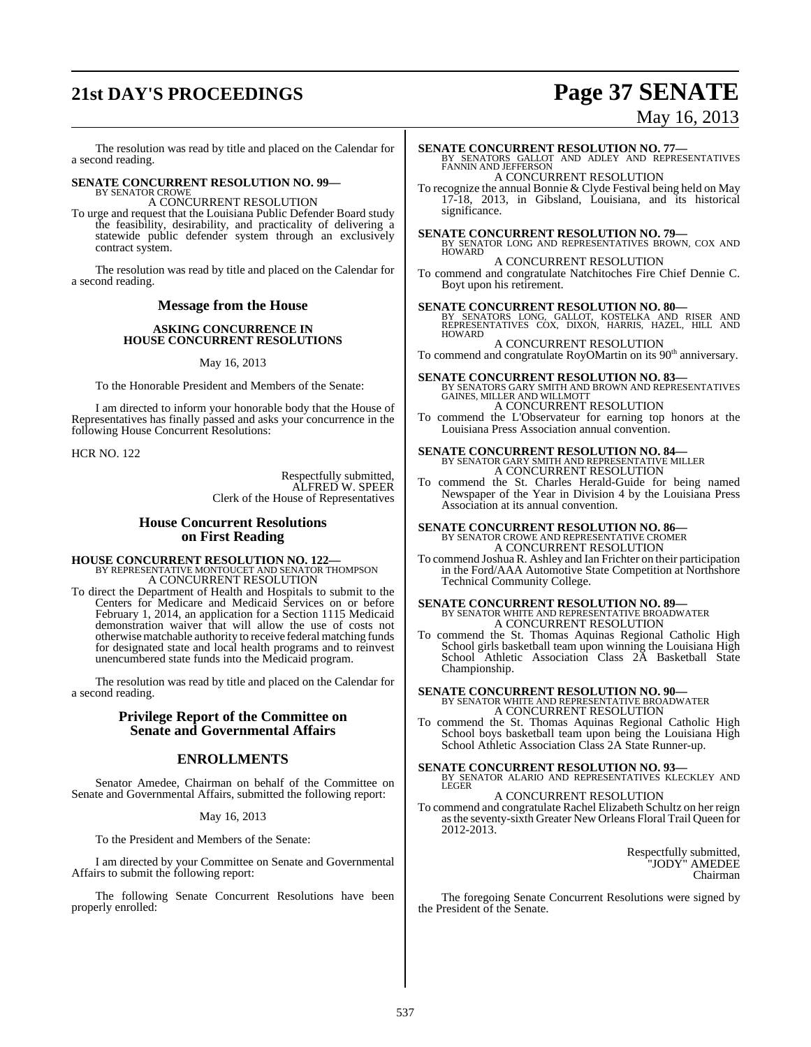# **21st DAY'S PROCEEDINGS Page 37 SENATE**

# May 16, 2013

The resolution was read by title and placed on the Calendar for a second reading.

## **SENATE CONCURRENT RESOLUTION NO. 99—** BY SENATOR CROWE

A CONCURRENT RESOLUTION

To urge and request that the Louisiana Public Defender Board study the feasibility, desirability, and practicality of delivering a statewide public defender system through an exclusively contract system.

The resolution was read by title and placed on the Calendar for a second reading.

## **Message from the House**

#### **ASKING CONCURRENCE IN HOUSE CONCURRENT RESOLUTIONS**

#### May 16, 2013

To the Honorable President and Members of the Senate:

I am directed to inform your honorable body that the House of Representatives has finally passed and asks your concurrence in the following House Concurrent Resolutions:

HCR NO. 122

Respectfully submitted, ALFRED W. SPEER Clerk of the House of Representatives

#### **House Concurrent Resolutions on First Reading**

**HOUSE CONCURRENT RESOLUTION NO. 122—** BY REPRESENTATIVE MONTOUCET AND SENATOR THOMPSON A CONCURRENT RESOLUTION

To direct the Department of Health and Hospitals to submit to the Centers for Medicare and Medicaid Services on or before February 1, 2014, an application for a Section 1115 Medicaid demonstration waiver that will allow the use of costs not otherwisematchable authority to receive federal matching funds for designated state and local health programs and to reinvest unencumbered state funds into the Medicaid program.

The resolution was read by title and placed on the Calendar for a second reading.

#### **Privilege Report of the Committee on Senate and Governmental Affairs**

#### **ENROLLMENTS**

Senator Amedee, Chairman on behalf of the Committee on Senate and Governmental Affairs, submitted the following report:

#### May 16, 2013

To the President and Members of the Senate:

I am directed by your Committee on Senate and Governmental Affairs to submit the following report:

The following Senate Concurrent Resolutions have been properly enrolled:

## **SENATE CONCURRENT RESOLUTION NO. 77—BY SENATORS GALLOT AND ADLEY AND REPRESENTATIVES FANNIN AND JEFFERSON** A CONCURRENT RESOLUTION

To recognize the annual Bonnie & Clyde Festival being held on May 17-18, 2013, in Gibsland, Louisiana, and its historical significance.

#### **SENATE CONCURRENT RESOLUTION NO. 79—**

BY SENATOR LONG AND REPRESENTATIVES BROWN, COX AND HOWARD A CONCURRENT RESOLUTION

To commend and congratulate Natchitoches Fire Chief Dennie C. Boyt upon his retirement.

#### **SENATE CONCURRENT RESOLUTION NO. 80—**

BY SENATORS LONG, GALLOT, KOSTELKA AND RISER AND REPRESENTATIVES COX, DIXON, HARRIS, HAZEL, HILL AND HOWARD

A CONCURRENT RESOLUTION

To commend and congratulate  $RoyOMartin$  on its  $90<sup>th</sup>$  anniversary.

**SENATE CONCURRENT RESOLUTION NO. 83—BY SENATORS GARY SMITH AND BROWN AND REPRESENTATIVES**<br>GAINES, MILLER AND WILLMOTT A CONCURRENT RESOLUTION

To commend the L'Observateur for earning top honors at the Louisiana Press Association annual convention.

# **SENATE CONCURRENT RESOLUTION NO. 84—**<br>BY SENATOR GARY SMITH AND REPRESENTATIVE MILLER A CONCURRENT RESOLUTION

To commend the St. Charles Herald-Guide for being named Newspaper of the Year in Division 4 by the Louisiana Press Association at its annual convention.

# **SENATE CONCURRENT RESOLUTION NO. 86—**<br>BY SENATOR CROWE AND REPRESENTATIVE CROMER<br>A CONCURRENT RESOLUTION

To commend Joshua R. Ashley and Ian Frichter on their participation in the Ford/AAA Automotive State Competition at Northshore Technical Community College.

## **SENATE CONCURRENT RESOLUTION NO. 89—** BY SENATOR WHITE AND REPRESENTATIVE BROADWATER A CONCURRENT RESOLUTION

To commend the St. Thomas Aquinas Regional Catholic High School girls basketball team upon winning the Louisiana High School Athletic Association Class 2A Basketball State Championship.

## **SENATE CONCURRENT RESOLUTION NO. 90—** BY SENATOR WHITE AND REPRESENTATIVE BROADWATER A CONCURRENT RESOLUTION

To commend the St. Thomas Aquinas Regional Catholic High School boys basketball team upon being the Louisiana High School Athletic Association Class 2A State Runner-up.

#### **SENATE CONCURRENT RESOLUTION NO. 93—**

BY SENATOR ALARIO AND REPRESENTATIVES KLECKLEY AND LEGER A CONCURRENT RESOLUTION

#### To commend and congratulate Rachel Elizabeth Schultz on her reign asthe seventy-sixth Greater New Orleans Floral Trail Queen for 2012-2013.

Respectfully submitted, "JODY" AMEDEE Chairman

The foregoing Senate Concurrent Resolutions were signed by the President of the Senate.